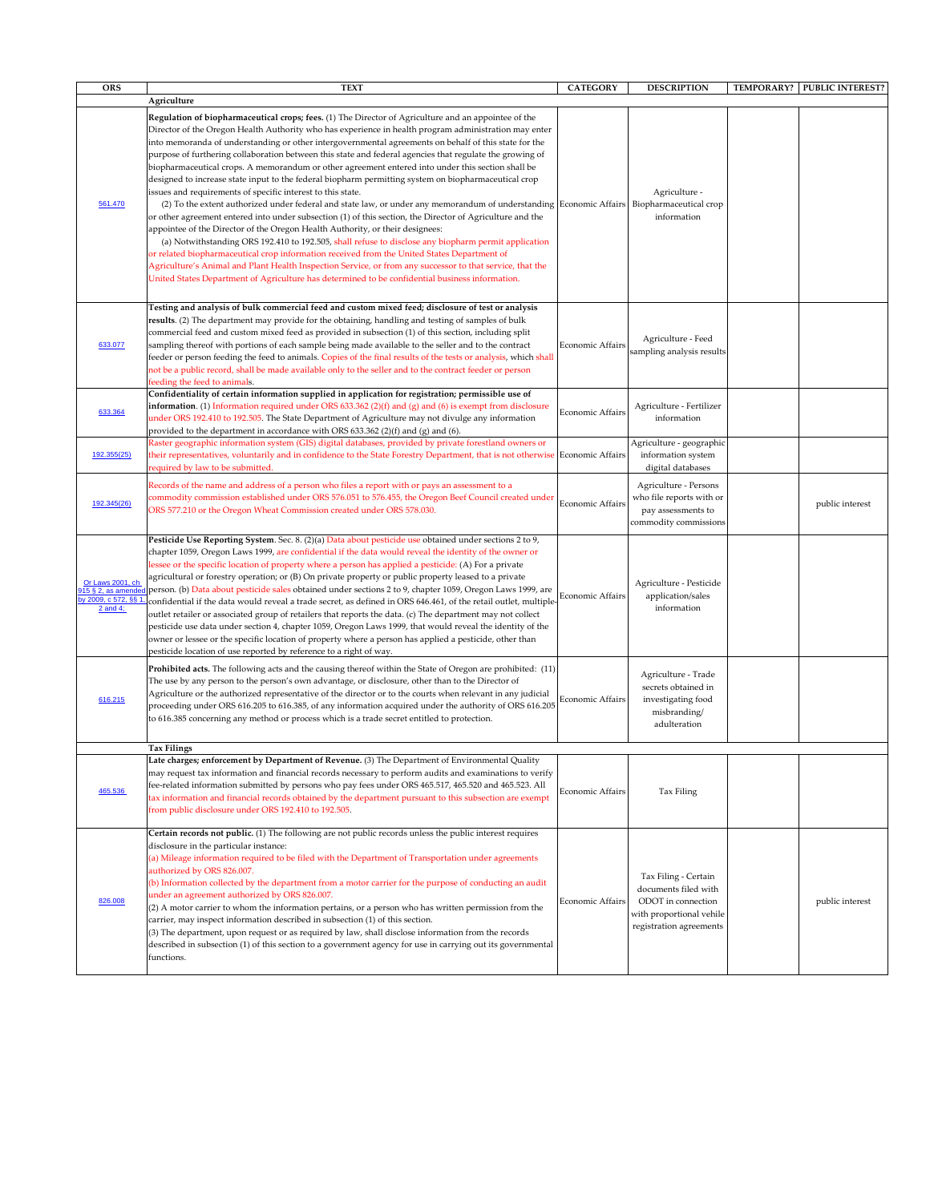| <b>ORS</b>                                                                   | <b>TEXT</b>                                                                                                                                                                                                                                                                                                                                                                                                                                                                                                                                                                                                                                                                                                                                                                                                                                                                                                                                                                                                                                                                                                                                                                                                                                                                                                                                                                                                                                                                         | <b>CATEGORY</b>         | <b>DESCRIPTION</b>                                                                                                        | TEMPORARY? | <b>PUBLIC INTEREST?</b> |
|------------------------------------------------------------------------------|-------------------------------------------------------------------------------------------------------------------------------------------------------------------------------------------------------------------------------------------------------------------------------------------------------------------------------------------------------------------------------------------------------------------------------------------------------------------------------------------------------------------------------------------------------------------------------------------------------------------------------------------------------------------------------------------------------------------------------------------------------------------------------------------------------------------------------------------------------------------------------------------------------------------------------------------------------------------------------------------------------------------------------------------------------------------------------------------------------------------------------------------------------------------------------------------------------------------------------------------------------------------------------------------------------------------------------------------------------------------------------------------------------------------------------------------------------------------------------------|-------------------------|---------------------------------------------------------------------------------------------------------------------------|------------|-------------------------|
|                                                                              | Agriculture                                                                                                                                                                                                                                                                                                                                                                                                                                                                                                                                                                                                                                                                                                                                                                                                                                                                                                                                                                                                                                                                                                                                                                                                                                                                                                                                                                                                                                                                         |                         |                                                                                                                           |            |                         |
| 561.470                                                                      | Regulation of biopharmaceutical crops; fees. (1) The Director of Agriculture and an appointee of the<br>Director of the Oregon Health Authority who has experience in health program administration may enter<br>into memoranda of understanding or other intergovernmental agreements on behalf of this state for the<br>purpose of furthering collaboration between this state and federal agencies that regulate the growing of<br>biopharmaceutical crops. A memorandum or other agreement entered into under this section shall be<br>designed to increase state input to the federal biopharm permitting system on biopharmaceutical crop<br>issues and requirements of specific interest to this state.<br>(2) To the extent authorized under federal and state law, or under any memorandum of understanding Economic Affairs   Biopharmaceutical crop<br>or other agreement entered into under subsection (1) of this section, the Director of Agriculture and the<br>appointee of the Director of the Oregon Health Authority, or their designees:<br>(a) Notwithstanding ORS 192.410 to 192.505, shall refuse to disclose any biopharm permit application<br>or related biopharmaceutical crop information received from the United States Department of<br>Agriculture's Animal and Plant Health Inspection Service, or from any successor to that service, that the<br>United States Department of Agriculture has determined to be confidential business information. |                         | Agriculture -<br>information                                                                                              |            |                         |
| 633.077                                                                      | Testing and analysis of bulk commercial feed and custom mixed feed; disclosure of test or analysis<br>results. (2) The department may provide for the obtaining, handling and testing of samples of bulk<br>commercial feed and custom mixed feed as provided in subsection (1) of this section, including split<br>sampling thereof with portions of each sample being made available to the seller and to the contract<br>feeder or person feeding the feed to animals. Copies of the final results of the tests or analysis, which shall<br>not be a public record, shall be made available only to the seller and to the contract feeder or person<br>feeding the feed to animals.<br>Confidentiality of certain information supplied in application for registration; permissible use of                                                                                                                                                                                                                                                                                                                                                                                                                                                                                                                                                                                                                                                                                       | Economic Affairs        | Agriculture - Feed<br>sampling analysis results                                                                           |            |                         |
| 633.364                                                                      | <b>information</b> . (1) Information required under ORS 633.362 (2)(f) and (g) and (6) is exempt from disclosure<br>under ORS 192.410 to 192.505. The State Department of Agriculture may not divulge any information<br>provided to the department in accordance with ORS $633.362$ (2)(f) and (g) and (6).                                                                                                                                                                                                                                                                                                                                                                                                                                                                                                                                                                                                                                                                                                                                                                                                                                                                                                                                                                                                                                                                                                                                                                        | Economic Affairs        | Agriculture - Fertilizer<br>information                                                                                   |            |                         |
| 192.355(25)                                                                  | Raster geographic information system (GIS) digital databases, provided by private forestland owners or<br>their representatives, voluntarily and in confidence to the State Forestry Department, that is not otherwise Economic Affairs<br>required by law to be submitted.                                                                                                                                                                                                                                                                                                                                                                                                                                                                                                                                                                                                                                                                                                                                                                                                                                                                                                                                                                                                                                                                                                                                                                                                         |                         | Agriculture - geographic<br>information system<br>digital databases                                                       |            |                         |
| 192.345(26)                                                                  | Records of the name and address of a person who files a report with or pays an assessment to a<br>commodity commission established under ORS 576.051 to 576.455, the Oregon Beef Council created under<br>ORS 577.210 or the Oregon Wheat Commission created under ORS 578.030.                                                                                                                                                                                                                                                                                                                                                                                                                                                                                                                                                                                                                                                                                                                                                                                                                                                                                                                                                                                                                                                                                                                                                                                                     | <b>Economic Affairs</b> | Agriculture - Persons<br>who file reports with or<br>pay assessments to<br>commodity commissions                          |            | public interest         |
| Or Laws 2001, ch<br>915 § 2, as amended<br>by 2009, c 572, §§ 1,<br>2 and 4; | Pesticide Use Reporting System. Sec. 8. (2)(a) Data about pesticide use obtained under sections 2 to 9,<br>chapter 1059, Oregon Laws 1999, are confidential if the data would reveal the identity of the owner or<br>lessee or the specific location of property where a person has applied a pesticide: (A) For a private<br>agricultural or forestry operation; or (B) On private property or public property leased to a private<br>person. (b) Data about pesticide sales obtained under sections 2 to 9, chapter 1059, Oregon Laws 1999, are<br>confidential if the data would reveal a trade secret, as defined in ORS 646.461, of the retail outlet, multiple-<br>outlet retailer or associated group of retailers that reports the data. (c) The department may not collect<br>pesticide use data under section 4, chapter 1059, Oregon Laws 1999, that would reveal the identity of the<br>owner or lessee or the specific location of property where a person has applied a pesticide, other than<br>pesticide location of use reported by reference to a right of way.                                                                                                                                                                                                                                                                                                                                                                                                   | Economic Affairs        | Agriculture - Pesticide<br>application/sales<br>information                                                               |            |                         |
| 616.215                                                                      | <b>Prohibited acts.</b> The following acts and the causing thereof within the State of Oregon are prohibited: (11)<br>The use by any person to the person's own advantage, or disclosure, other than to the Director of<br>Agriculture or the authorized representative of the director or to the courts when relevant in any judicial<br>proceeding under ORS 616.205 to 616.385, of any information acquired under the authority of ORS 616.205<br>to 616.385 concerning any method or process which is a trade secret entitled to protection.                                                                                                                                                                                                                                                                                                                                                                                                                                                                                                                                                                                                                                                                                                                                                                                                                                                                                                                                    | Economic Affairs        | Agriculture - Trade<br>secrets obtained in<br>investigating food<br>misbranding/<br>adulteration                          |            |                         |
|                                                                              | <b>Tax Filings</b>                                                                                                                                                                                                                                                                                                                                                                                                                                                                                                                                                                                                                                                                                                                                                                                                                                                                                                                                                                                                                                                                                                                                                                                                                                                                                                                                                                                                                                                                  |                         |                                                                                                                           |            |                         |
| 465.536                                                                      | Late charges; enforcement by Department of Revenue. (3) The Department of Environmental Quality<br>may request tax information and financial records necessary to perform audits and examinations to verify<br>fee-related information submitted by persons who pay fees under ORS 465.517, 465.520 and 465.523. All<br>tax information and financial records obtained by the department pursuant to this subsection are exempt<br>from public disclosure under ORS 192.410 to 192.505.                                                                                                                                                                                                                                                                                                                                                                                                                                                                                                                                                                                                                                                                                                                                                                                                                                                                                                                                                                                             | <b>Economic Affairs</b> | Tax Filing                                                                                                                |            |                         |
| 826.008                                                                      | Certain records not public. (1) The following are not public records unless the public interest requires<br>disclosure in the particular instance:<br>(a) Mileage information required to be filed with the Department of Transportation under agreements<br>authorized by ORS 826.007.<br>(b) Information collected by the department from a motor carrier for the purpose of conducting an audit<br>under an agreement authorized by ORS 826.007.<br>$(2)$ A motor carrier to whom the information pertains, or a person who has written permission from the<br>carrier, may inspect information described in subsection (1) of this section.<br>$(3)$ The department, upon request or as required by law, shall disclose information from the records<br>described in subsection (1) of this section to a government agency for use in carrying out its governmental<br>functions.                                                                                                                                                                                                                                                                                                                                                                                                                                                                                                                                                                                               | <b>Economic Affairs</b> | Tax Filing - Certain<br>documents filed with<br>ODOT in connection<br>with proportional vehile<br>registration agreements |            | public interest         |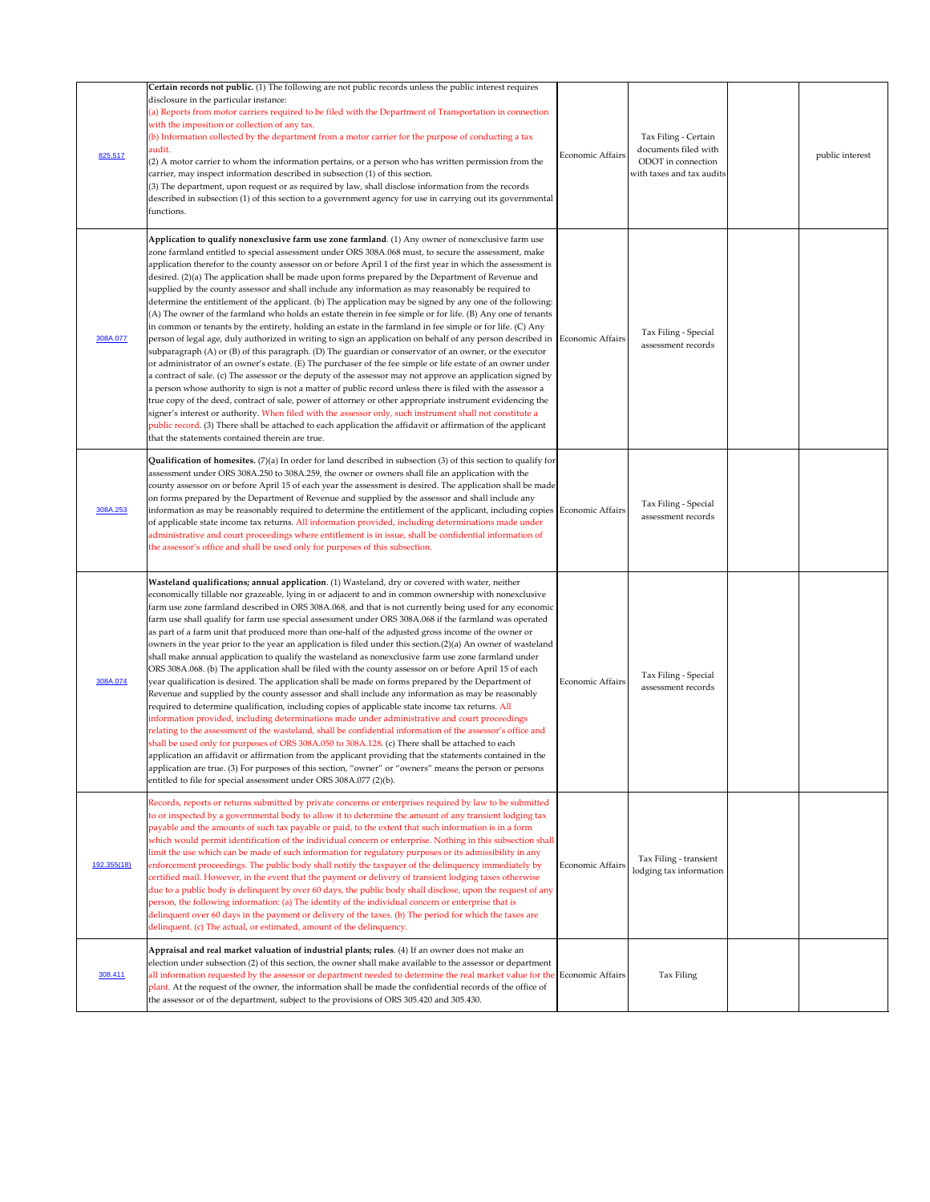| 825.517     | Certain records not public. (1) The following are not public records unless the public interest requires<br>disclosure in the particular instance:<br>(a) Reports from motor carriers required to be filed with the Department of Transportation in connection<br>with the imposition or collection of any tax.<br>(b) Information collected by the department from a motor carrier for the purpose of conducting a tax<br>audit.<br>(2) A motor carrier to whom the information pertains, or a person who has written permission from the<br>carrier, may inspect information described in subsection (1) of this section.<br>(3) The department, upon request or as required by law, shall disclose information from the records<br>described in subsection (1) of this section to a government agency for use in carrying out its governmental<br>functions.                                                                                                                                                                                                                                                                                                                                                                                                                                                                                                                                                                                                                                                                                                                                                                                                                                                                                                                                                                                                          | <b>Economic Affairs</b> | Tax Filing - Certain<br>documents filed with<br>ODOT in connection<br>with taxes and tax audits | public interest |
|-------------|--------------------------------------------------------------------------------------------------------------------------------------------------------------------------------------------------------------------------------------------------------------------------------------------------------------------------------------------------------------------------------------------------------------------------------------------------------------------------------------------------------------------------------------------------------------------------------------------------------------------------------------------------------------------------------------------------------------------------------------------------------------------------------------------------------------------------------------------------------------------------------------------------------------------------------------------------------------------------------------------------------------------------------------------------------------------------------------------------------------------------------------------------------------------------------------------------------------------------------------------------------------------------------------------------------------------------------------------------------------------------------------------------------------------------------------------------------------------------------------------------------------------------------------------------------------------------------------------------------------------------------------------------------------------------------------------------------------------------------------------------------------------------------------------------------------------------------------------------------------------------|-------------------------|-------------------------------------------------------------------------------------------------|-----------------|
| 308A.077    | Application to qualify nonexclusive farm use zone farmland. (1) Any owner of nonexclusive farm use<br>zone farmland entitled to special assessment under ORS 308A.068 must, to secure the assessment, make<br>application therefor to the county assessor on or before April 1 of the first year in which the assessment is<br>desired. (2)(a) The application shall be made upon forms prepared by the Department of Revenue and<br>supplied by the county assessor and shall include any information as may reasonably be required to<br>determine the entitlement of the applicant. (b) The application may be signed by any one of the following:<br>(A) The owner of the farmland who holds an estate therein in fee simple or for life. (B) Any one of tenants<br>in common or tenants by the entirety, holding an estate in the farmland in fee simple or for life. (C) Any<br>person of legal age, duly authorized in writing to sign an application on behalf of any person described in  Economic Affairs<br>subparagraph (A) or (B) of this paragraph. (D) The guardian or conservator of an owner, or the executor<br>or administrator of an owner's estate. (E) The purchaser of the fee simple or life estate of an owner under<br>a contract of sale. (c) The assessor or the deputy of the assessor may not approve an application signed by<br>a person whose authority to sign is not a matter of public record unless there is filed with the assessor a<br>true copy of the deed, contract of sale, power of attorney or other appropriate instrument evidencing the<br>signer's interest or authority. When filed with the assessor only, such instrument shall not constitute a<br>public record. (3) There shall be attached to each application the affidavit or affirmation of the applicant<br>that the statements contained therein are true. |                         | Tax Filing - Special<br>assessment records                                                      |                 |
| 308A.253    | <b>Qualification of homesites.</b> $(7)(a)$ In order for land described in subsection $(3)$ of this section to qualify for<br>assessment under ORS 308A.250 to 308A.259, the owner or owners shall file an application with the<br>county assessor on or before April 15 of each year the assessment is desired. The application shall be made<br>on forms prepared by the Department of Revenue and supplied by the assessor and shall include any<br>information as may be reasonably required to determine the entitlement of the applicant, including copies Economic Affairs<br>of applicable state income tax returns. All information provided, including determinations made under<br>administrative and court proceedings where entitlement is in issue, shall be confidential information of<br>the assessor's office and shall be used only for purposes of this subsection.                                                                                                                                                                                                                                                                                                                                                                                                                                                                                                                                                                                                                                                                                                                                                                                                                                                                                                                                                                                  |                         | Tax Filing - Special<br>assessment records                                                      |                 |
| 308A.074    | Wasteland qualifications; annual application. (1) Wasteland, dry or covered with water, neither<br>economically tillable nor grazeable, lying in or adjacent to and in common ownership with nonexclusive<br>farm use zone farmland described in ORS 308A.068, and that is not currently being used for any economic<br>farm use shall qualify for farm use special assessment under ORS 308A.068 if the farmland was operated<br>as part of a farm unit that produced more than one-half of the adjusted gross income of the owner or<br>owners in the year prior to the year an application is filed under this section.(2)(a) An owner of wasteland<br>shall make annual application to qualify the wasteland as nonexclusive farm use zone farmland under<br>ORS 308A.068. (b) The application shall be filed with the county assessor on or before April 15 of each<br>year qualification is desired. The application shall be made on forms prepared by the Department of<br>Revenue and supplied by the county assessor and shall include any information as may be reasonably<br>required to determine qualification, including copies of applicable state income tax returns. All<br>information provided, including determinations made under administrative and court proceedings<br>relating to the assessment of the wasteland, shall be confidential information of the assessor's office and<br>shall be used only for purposes of ORS 308A.050 to 308A.128. (c) There shall be attached to each<br>application an affidavit or affirmation from the applicant providing that the statements contained in the<br>application are true. (3) For purposes of this section, "owner" or "owners" means the person or persons<br>entitled to file for special assessment under ORS 308A.077 (2)(b).                                                            | Economic Affairs        | Tax Filing - Special<br>assessment records                                                      |                 |
| 192.355(18) | Records, reports or returns submitted by private concerns or enterprises required by law to be submitted<br>to or inspected by a governmental body to allow it to determine the amount of any transient lodging tax<br>payable and the amounts of such tax payable or paid, to the extent that such information is in a form<br>which would permit identification of the individual concern or enterprise. Nothing in this subsection shall<br>limit the use which can be made of such information for regulatory purposes or its admissibility in any<br>enforcement proceedings. The public body shall notify the taxpayer of the delinquency immediately by<br>certified mail. However, in the event that the payment or delivery of transient lodging taxes otherwise<br>due to a public body is delinquent by over 60 days, the public body shall disclose, upon the request of any<br>person, the following information: (a) The identity of the individual concern or enterprise that is<br>delinquent over 60 days in the payment or delivery of the taxes. (b) The period for which the taxes are<br>delinquent. (c) The actual, or estimated, amount of the delinquency.                                                                                                                                                                                                                                                                                                                                                                                                                                                                                                                                                                                                                                                                                       | <b>Economic Affairs</b> | Tax Filing - transient<br>lodging tax information                                               |                 |
| 308.411     | Appraisal and real market valuation of industrial plants; rules. (4) If an owner does not make an<br>election under subsection (2) of this section, the owner shall make available to the assessor or department<br>all information requested by the assessor or department needed to determine the real market value for the Economic Affairs<br>plant. At the request of the owner, the information shall be made the confidential records of the office of<br>the assessor or of the department, subject to the provisions of ORS 305.420 and 305.430.                                                                                                                                                                                                                                                                                                                                                                                                                                                                                                                                                                                                                                                                                                                                                                                                                                                                                                                                                                                                                                                                                                                                                                                                                                                                                                                |                         | Tax Filing                                                                                      |                 |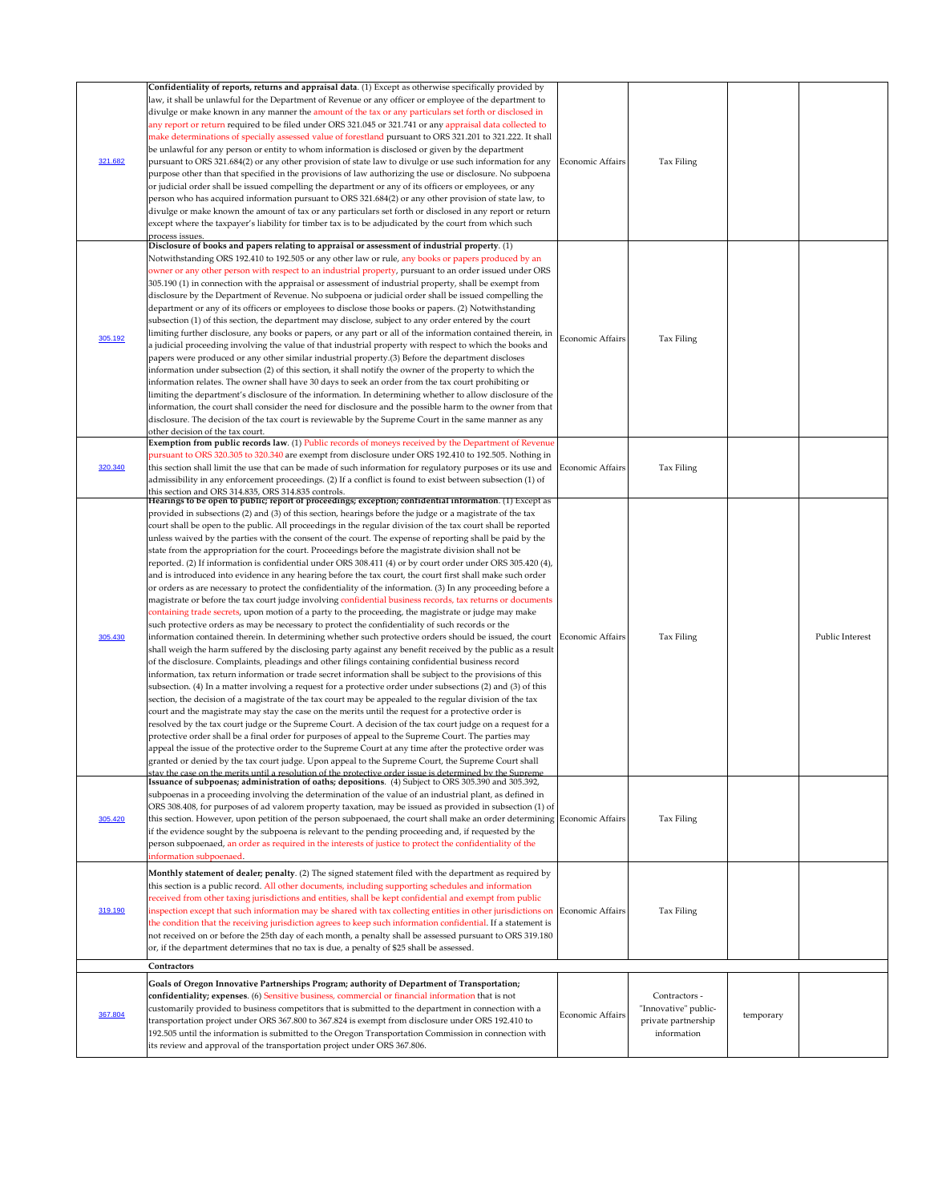| 319.190<br>Contractors                      | stav the case on the merits until a resolution of the protective order issue is determined by the Supreme<br>Issuance of subpoenas; administration of oaths; depositions. (4) Subject to ORS 305.390 and 305.392,<br>subpoenas in a proceeding involving the determination of the value of an industrial plant, as defined in<br>ORS 308.408, for purposes of ad valorem property taxation, may be issued as provided in subsection (1) of<br>this section. However, upon petition of the person subpoenaed, the court shall make an order determining Economic Affairs<br>if the evidence sought by the subpoena is relevant to the pending proceeding and, if requested by the<br>person subpoenaed, an order as required in the interests of justice to protect the confidentiality of the<br>Monthly statement of dealer; penalty. (2) The signed statement filed with the department as required by<br>this section is a public record. All other documents, including supporting schedules and information<br>received from other taxing jurisdictions and entities, shall be kept confidential and exempt from public<br>inspection except that such information may be shared with tax collecting entities in other jurisdictions on Economic Affairs<br>the condition that the receiving jurisdiction agrees to keep such information confidential. If a statement is<br>not received on or before the 25th day of each month, a penalty shall be assessed pursuant to ORS 319.180<br>or, if the department determines that no tax is due, a penalty of \$25 shall be assessed.                                                                                                                                                                                                                                                                                                                                                                                                                                                                                                                                                                                                                                                                                                                                                                                                                                                                                                                                                |                  | Tax Filing<br>Tax Filing |                 |
|---------------------------------------------|-----------------------------------------------------------------------------------------------------------------------------------------------------------------------------------------------------------------------------------------------------------------------------------------------------------------------------------------------------------------------------------------------------------------------------------------------------------------------------------------------------------------------------------------------------------------------------------------------------------------------------------------------------------------------------------------------------------------------------------------------------------------------------------------------------------------------------------------------------------------------------------------------------------------------------------------------------------------------------------------------------------------------------------------------------------------------------------------------------------------------------------------------------------------------------------------------------------------------------------------------------------------------------------------------------------------------------------------------------------------------------------------------------------------------------------------------------------------------------------------------------------------------------------------------------------------------------------------------------------------------------------------------------------------------------------------------------------------------------------------------------------------------------------------------------------------------------------------------------------------------------------------------------------------------------------------------------------------------------------------------------------------------------------------------------------------------------------------------------------------------------------------------------------------------------------------------------------------------------------------------------------------------------------------------------------------------------------------------------------------------------------------------------------------------------------------------------------------------------------------------------------------------------------------|------------------|--------------------------|-----------------|
|                                             |                                                                                                                                                                                                                                                                                                                                                                                                                                                                                                                                                                                                                                                                                                                                                                                                                                                                                                                                                                                                                                                                                                                                                                                                                                                                                                                                                                                                                                                                                                                                                                                                                                                                                                                                                                                                                                                                                                                                                                                                                                                                                                                                                                                                                                                                                                                                                                                                                                                                                                                                         |                  |                          |                 |
| 305.420<br>information subpoenaed.          |                                                                                                                                                                                                                                                                                                                                                                                                                                                                                                                                                                                                                                                                                                                                                                                                                                                                                                                                                                                                                                                                                                                                                                                                                                                                                                                                                                                                                                                                                                                                                                                                                                                                                                                                                                                                                                                                                                                                                                                                                                                                                                                                                                                                                                                                                                                                                                                                                                                                                                                                         |                  |                          |                 |
| 305.430                                     | this section and ORS 314.835, ORS 314.835 controls.<br>Hearings to be open to public; report of proceedings; exception; confidential information. (1) Except as<br>provided in subsections (2) and (3) of this section, hearings before the judge or a magistrate of the tax<br>court shall be open to the public. All proceedings in the regular division of the tax court shall be reported<br>unless waived by the parties with the consent of the court. The expense of reporting shall be paid by the<br>state from the appropriation for the court. Proceedings before the magistrate division shall not be<br>reported. (2) If information is confidential under ORS 308.411 (4) or by court order under ORS 305.420 (4),<br>and is introduced into evidence in any hearing before the tax court, the court first shall make such order<br>or orders as are necessary to protect the confidentiality of the information. (3) In any proceeding before a<br>magistrate or before the tax court judge involving confidential business records, tax returns or documents<br>containing trade secrets, upon motion of a party to the proceeding, the magistrate or judge may make<br>such protective orders as may be necessary to protect the confidentiality of such records or the<br>information contained therein. In determining whether such protective orders should be issued, the court Economic Affairs<br>shall weigh the harm suffered by the disclosing party against any benefit received by the public as a result<br>of the disclosure. Complaints, pleadings and other filings containing confidential business record<br>information, tax return information or trade secret information shall be subject to the provisions of this<br>subsection. (4) In a matter involving a request for a protective order under subsections (2) and (3) of this<br>section, the decision of a magistrate of the tax court may be appealed to the regular division of the tax<br>court and the magistrate may stay the case on the merits until the request for a protective order is<br>resolved by the tax court judge or the Supreme Court. A decision of the tax court judge on a request for a<br>protective order shall be a final order for purposes of appeal to the Supreme Court. The parties may<br>appeal the issue of the protective order to the Supreme Court at any time after the protective order was<br>granted or denied by the tax court judge. Upon appeal to the Supreme Court, the Supreme Court shall |                  | Tax Filing               | Public Interest |
| 320.340                                     | Exemption from public records law. (1) Public records of moneys received by the Department of Revenue<br>pursuant to ORS 320.305 to 320.340 are exempt from disclosure under ORS 192.410 to 192.505. Nothing in<br>this section shall limit the use that can be made of such information for regulatory purposes or its use and Economic Affairs<br>admissibility in any enforcement proceedings. (2) If a conflict is found to exist between subsection (1) of                                                                                                                                                                                                                                                                                                                                                                                                                                                                                                                                                                                                                                                                                                                                                                                                                                                                                                                                                                                                                                                                                                                                                                                                                                                                                                                                                                                                                                                                                                                                                                                                                                                                                                                                                                                                                                                                                                                                                                                                                                                                         |                  | Tax Filing               |                 |
| 305.192<br>other decision of the tax court. | Disclosure of books and papers relating to appraisal or assessment of industrial property. (1)<br>Notwithstanding ORS 192.410 to 192.505 or any other law or rule, any books or papers produced by an<br>owner or any other person with respect to an industrial property, pursuant to an order issued under ORS<br>305.190 (1) in connection with the appraisal or assessment of industrial property, shall be exempt from<br>disclosure by the Department of Revenue. No subpoena or judicial order shall be issued compelling the<br>department or any of its officers or employees to disclose those books or papers. (2) Notwithstanding<br>subsection (1) of this section, the department may disclose, subject to any order entered by the court<br>limiting further disclosure, any books or papers, or any part or all of the information contained therein, in<br>a judicial proceeding involving the value of that industrial property with respect to which the books and<br>papers were produced or any other similar industrial property.(3) Before the department discloses<br>information under subsection (2) of this section, it shall notify the owner of the property to which the<br>information relates. The owner shall have 30 days to seek an order from the tax court prohibiting or<br>limiting the department's disclosure of the information. In determining whether to allow disclosure of the<br>information, the court shall consider the need for disclosure and the possible harm to the owner from that<br>disclosure. The decision of the tax court is reviewable by the Supreme Court in the same manner as any                                                                                                                                                                                                                                                                                                                                                                                                                                                                                                                                                                                                                                                                                                                                                                                                                                                                                    | Economic Affairs | Tax Filing               |                 |
| 321.682<br>process issues.                  | Confidentiality of reports, returns and appraisal data. (1) Except as otherwise specifically provided by<br>law, it shall be unlawful for the Department of Revenue or any officer or employee of the department to<br>divulge or make known in any manner the amount of the tax or any particulars set forth or disclosed in<br>any report or return required to be filed under ORS 321.045 or 321.741 or any appraisal data collected to<br>make determinations of specially assessed value of forestland pursuant to ORS 321.201 to 321.222. It shall<br>be unlawful for any person or entity to whom information is disclosed or given by the department<br>pursuant to ORS 321.684(2) or any other provision of state law to divulge or use such information for any<br>purpose other than that specified in the provisions of law authorizing the use or disclosure. No subpoena<br>or judicial order shall be issued compelling the department or any of its officers or employees, or any<br>person who has acquired information pursuant to ORS 321.684(2) or any other provision of state law, to<br>divulge or make known the amount of tax or any particulars set forth or disclosed in any report or return<br>except where the taxpayer's liability for timber tax is to be adjudicated by the court from which such                                                                                                                                                                                                                                                                                                                                                                                                                                                                                                                                                                                                                                                                                                                                                                                                                                                                                                                                                                                                                                                                                                                                                                                                      | Economic Affairs | Tax Filing               |                 |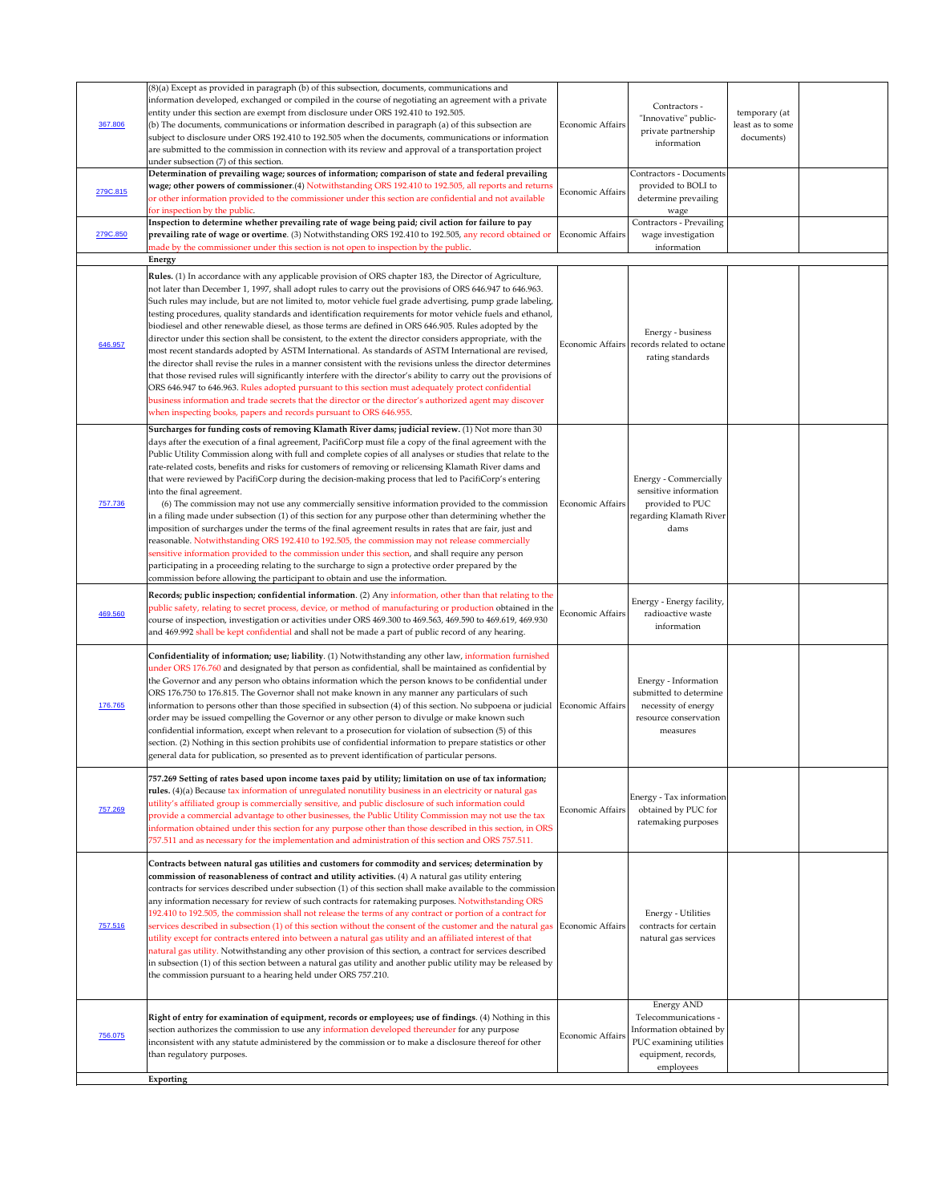|          | (8)(a) Except as provided in paragraph (b) of this subsection, documents, communications and                                                                                                                      |                         |                                            |                  |  |
|----------|-------------------------------------------------------------------------------------------------------------------------------------------------------------------------------------------------------------------|-------------------------|--------------------------------------------|------------------|--|
|          | information developed, exchanged or compiled in the course of negotiating an agreement with a private                                                                                                             |                         |                                            |                  |  |
|          | entity under this section are exempt from disclosure under ORS 192.410 to 192.505.                                                                                                                                |                         | Contractors -                              | temporary (at    |  |
| 367.806  | $\vert$ (b) The documents, communications or information described in paragraph (a) of this subsection are                                                                                                        | <b>Economic Affairs</b> | "Innovative" public-                       | least as to some |  |
|          | subject to disclosure under ORS 192.410 to 192.505 when the documents, communications or information                                                                                                              |                         | private partnership                        | documents)       |  |
|          | are submitted to the commission in connection with its review and approval of a transportation project                                                                                                            |                         | information                                |                  |  |
|          | under subsection (7) of this section.                                                                                                                                                                             |                         |                                            |                  |  |
|          | Determination of prevailing wage; sources of information; comparison of state and federal prevailing                                                                                                              |                         | <b>Contractors - Documents</b>             |                  |  |
|          | wage; other powers of commissioner.(4) Notwithstanding ORS 192.410 to 192.505, all reports and returns                                                                                                            |                         | provided to BOLI to                        |                  |  |
| 279C.815 | or other information provided to the commissioner under this section are confidential and not available                                                                                                           | Economic Affairs        | determine prevailing                       |                  |  |
|          | for inspection by the public.                                                                                                                                                                                     |                         | wage                                       |                  |  |
|          | Inspection to determine whether prevailing rate of wage being paid; civil action for failure to pay                                                                                                               |                         | <b>Contractors - Prevailing</b>            |                  |  |
| 279C.850 | prevailing rate of wage or overtime. (3) Notwithstanding ORS 192.410 to 192.505, any record obtained or Economic Affairs                                                                                          |                         | wage investigation                         |                  |  |
|          | made by the commissioner under this section is not open to inspection by the public.                                                                                                                              |                         | information                                |                  |  |
|          | Energy                                                                                                                                                                                                            |                         |                                            |                  |  |
|          | Rules. (1) In accordance with any applicable provision of ORS chapter 183, the Director of Agriculture,                                                                                                           |                         |                                            |                  |  |
|          | not later than December 1, 1997, shall adopt rules to carry out the provisions of ORS 646.947 to 646.963.                                                                                                         |                         |                                            |                  |  |
|          | Such rules may include, but are not limited to, motor vehicle fuel grade advertising, pump grade labeling,                                                                                                        |                         |                                            |                  |  |
|          | testing procedures, quality standards and identification requirements for motor vehicle fuels and ethanol,                                                                                                        |                         |                                            |                  |  |
|          | biodiesel and other renewable diesel, as those terms are defined in ORS 646.905. Rules adopted by the                                                                                                             |                         |                                            |                  |  |
|          | director under this section shall be consistent, to the extent the director considers appropriate, with the                                                                                                       |                         | Energy - business                          |                  |  |
| 646.957  | most recent standards adopted by ASTM International. As standards of ASTM International are revised,                                                                                                              |                         | Economic Affairs records related to octane |                  |  |
|          | the director shall revise the rules in a manner consistent with the revisions unless the director determines                                                                                                      |                         | rating standards                           |                  |  |
|          | that those revised rules will significantly interfere with the director's ability to carry out the provisions of                                                                                                  |                         |                                            |                  |  |
|          | ORS 646.947 to 646.963. Rules adopted pursuant to this section must adequately protect confidential                                                                                                               |                         |                                            |                  |  |
|          | business information and trade secrets that the director or the director's authorized agent may discover                                                                                                          |                         |                                            |                  |  |
|          | when inspecting books, papers and records pursuant to ORS 646.955.                                                                                                                                                |                         |                                            |                  |  |
|          |                                                                                                                                                                                                                   |                         |                                            |                  |  |
|          | Surcharges for funding costs of removing Klamath River dams; judicial review. (1) Not more than 30                                                                                                                |                         |                                            |                  |  |
|          | days after the execution of a final agreement, PacifiCorp must file a copy of the final agreement with the                                                                                                        |                         |                                            |                  |  |
|          | Public Utility Commission along with full and complete copies of all analyses or studies that relate to the                                                                                                       |                         |                                            |                  |  |
|          | rate-related costs, benefits and risks for customers of removing or relicensing Klamath River dams and                                                                                                            |                         |                                            |                  |  |
|          | that were reviewed by PacifiCorp during the decision-making process that led to PacifiCorp's entering                                                                                                             |                         | <b>Energy - Commercially</b>               |                  |  |
|          | into the final agreement.                                                                                                                                                                                         |                         | sensitive information                      |                  |  |
| 757.736  | (6) The commission may not use any commercially sensitive information provided to the commission                                                                                                                  | Economic Affairs        | provided to PUC                            |                  |  |
|          | in a filing made under subsection (1) of this section for any purpose other than determining whether the                                                                                                          |                         | regarding Klamath River                    |                  |  |
|          | imposition of surcharges under the terms of the final agreement results in rates that are fair, just and                                                                                                          |                         | dams                                       |                  |  |
|          | reasonable. Notwithstanding ORS 192.410 to 192.505, the commission may not release commercially                                                                                                                   |                         |                                            |                  |  |
|          | sensitive information provided to the commission under this section, and shall require any person                                                                                                                 |                         |                                            |                  |  |
|          | participating in a proceeding relating to the surcharge to sign a protective order prepared by the                                                                                                                |                         |                                            |                  |  |
|          | commission before allowing the participant to obtain and use the information.                                                                                                                                     |                         |                                            |                  |  |
|          | Records; public inspection; confidential information. (2) Any information, other than that relating to the                                                                                                        |                         | Energy - Energy facility,                  |                  |  |
| 469.560  | public safety, relating to secret process, device, or method of manufacturing or production obtained in the                                                                                                       | Economic Affairs        | radioactive waste                          |                  |  |
|          | course of inspection, investigation or activities under ORS 469.300 to 469.563, 469.590 to 469.619, 469.930                                                                                                       |                         | information                                |                  |  |
|          | and 469.992 shall be kept confidential and shall not be made a part of public record of any hearing.                                                                                                              |                         |                                            |                  |  |
|          |                                                                                                                                                                                                                   |                         |                                            |                  |  |
|          | Confidentiality of information; use; liability. (1) Notwithstanding any other law, information furnished                                                                                                          |                         |                                            |                  |  |
|          | under ORS 176.760 and designated by that person as confidential, shall be maintained as confidential by                                                                                                           |                         |                                            |                  |  |
|          | the Governor and any person who obtains information which the person knows to be confidential under                                                                                                               |                         | Energy - Information                       |                  |  |
|          | ORS 176.750 to 176.815. The Governor shall not make known in any manner any particulars of such                                                                                                                   |                         | submitted to determine                     |                  |  |
| 176.765  | information to persons other than those specified in subsection $(4)$ of this section. No subpoena or judicial Economic Affairs                                                                                   |                         | necessity of energy                        |                  |  |
|          | order may be issued compelling the Governor or any other person to divulge or make known such                                                                                                                     |                         | resource conservation                      |                  |  |
|          | confidential information, except when relevant to a prosecution for violation of subsection (5) of this                                                                                                           |                         | measures                                   |                  |  |
|          | section. (2) Nothing in this section prohibits use of confidential information to prepare statistics or other                                                                                                     |                         |                                            |                  |  |
|          | general data for publication, so presented as to prevent identification of particular persons.                                                                                                                    |                         |                                            |                  |  |
|          |                                                                                                                                                                                                                   |                         |                                            |                  |  |
|          | 757.269 Setting of rates based upon income taxes paid by utility; limitation on use of tax information;                                                                                                           |                         |                                            |                  |  |
|          | rules. (4)(a) Because tax information of unregulated nonutility business in an electricity or natural gas                                                                                                         |                         | Energy - Tax information                   |                  |  |
| 757.269  | utility's affiliated group is commercially sensitive, and public disclosure of such information could<br>provide a commercial advantage to other businesses, the Public Utility Commission may not use the tax    | Economic Affairs        | obtained by PUC for                        |                  |  |
|          |                                                                                                                                                                                                                   |                         | ratemaking purposes                        |                  |  |
|          | information obtained under this section for any purpose other than those described in this section, in ORS<br>757.511 and as necessary for the implementation and administration of this section and ORS 757.511. |                         |                                            |                  |  |
|          |                                                                                                                                                                                                                   |                         |                                            |                  |  |
|          | Contracts between natural gas utilities and customers for commodity and services; determination by                                                                                                                |                         |                                            |                  |  |
|          | commission of reasonableness of contract and utility activities. (4) A natural gas utility entering                                                                                                               |                         |                                            |                  |  |
|          | contracts for services described under subsection (1) of this section shall make available to the commission                                                                                                      |                         |                                            |                  |  |
|          | any information necessary for review of such contracts for ratemaking purposes. Notwithstanding ORS                                                                                                               |                         |                                            |                  |  |
|          | 192.410 to 192.505, the commission shall not release the terms of any contract or portion of a contract for                                                                                                       |                         | <b>Energy - Utilities</b>                  |                  |  |
| 757.516  | services described in subsection (1) of this section without the consent of the customer and the natural gas Economic Affairs                                                                                     |                         | contracts for certain                      |                  |  |
|          | utility except for contracts entered into between a natural gas utility and an affiliated interest of that                                                                                                        |                         | natural gas services                       |                  |  |
|          | natural gas utility. Notwithstanding any other provision of this section, a contract for services described                                                                                                       |                         |                                            |                  |  |
|          | in subsection (1) of this section between a natural gas utility and another public utility may be released by                                                                                                     |                         |                                            |                  |  |
|          | the commission pursuant to a hearing held under ORS 757.210.                                                                                                                                                      |                         |                                            |                  |  |
|          |                                                                                                                                                                                                                   |                         |                                            |                  |  |
|          |                                                                                                                                                                                                                   |                         | <b>Energy AND</b>                          |                  |  |
|          | Right of entry for examination of equipment, records or employees; use of findings. (4) Nothing in this                                                                                                           |                         | Telecommunications -                       |                  |  |
|          | section authorizes the commission to use any information developed thereunder for any purpose                                                                                                                     |                         | Information obtained by                    |                  |  |
| 756.075  | inconsistent with any statute administered by the commission or to make a disclosure thereof for other                                                                                                            | <b>Economic Affairs</b> | PUC examining utilities                    |                  |  |
|          | than regulatory purposes.                                                                                                                                                                                         |                         | equipment, records,                        |                  |  |
|          |                                                                                                                                                                                                                   |                         | employees                                  |                  |  |
|          | Exporting                                                                                                                                                                                                         |                         |                                            |                  |  |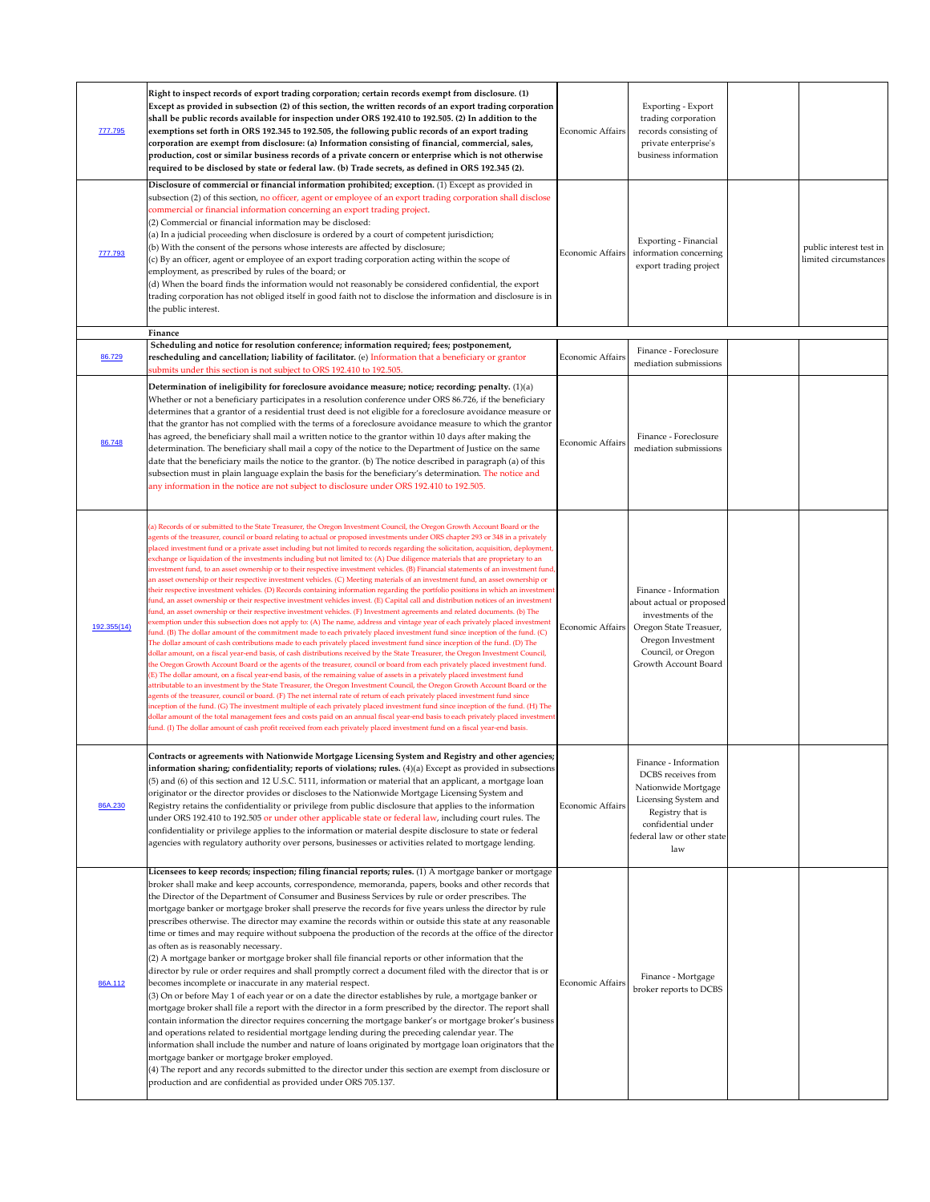| 777.795     | Right to inspect records of export trading corporation; certain records exempt from disclosure. (1)<br>Except as provided in subsection (2) of this section, the written records of an export trading corporation<br>shall be public records available for inspection under ORS 192.410 to 192.505. (2) In addition to the<br>exemptions set forth in ORS 192.345 to 192.505, the following public records of an export trading<br>corporation are exempt from disclosure: (a) Information consisting of financial, commercial, sales,<br>production, cost or similar business records of a private concern or enterprise which is not otherwise<br>required to be disclosed by state or federal law. (b) Trade secrets, as defined in ORS 192.345 (2).                                                                                                                                                                                                                                                                                                                                                                                                                                                                                                                                                                                                                                                                                                                                                                                                                                                                                                                                                                                                                                                                                                                                                                                                                                                                                                                                                                                                                                                                                                                                                                                                                                                                                                                                                                                                                                                                                                                                         | <b>Economic Affairs</b> | Exporting - Export<br>trading corporation<br>records consisting of<br>private enterprise's<br>business information                                                        |                                                  |
|-------------|-------------------------------------------------------------------------------------------------------------------------------------------------------------------------------------------------------------------------------------------------------------------------------------------------------------------------------------------------------------------------------------------------------------------------------------------------------------------------------------------------------------------------------------------------------------------------------------------------------------------------------------------------------------------------------------------------------------------------------------------------------------------------------------------------------------------------------------------------------------------------------------------------------------------------------------------------------------------------------------------------------------------------------------------------------------------------------------------------------------------------------------------------------------------------------------------------------------------------------------------------------------------------------------------------------------------------------------------------------------------------------------------------------------------------------------------------------------------------------------------------------------------------------------------------------------------------------------------------------------------------------------------------------------------------------------------------------------------------------------------------------------------------------------------------------------------------------------------------------------------------------------------------------------------------------------------------------------------------------------------------------------------------------------------------------------------------------------------------------------------------------------------------------------------------------------------------------------------------------------------------------------------------------------------------------------------------------------------------------------------------------------------------------------------------------------------------------------------------------------------------------------------------------------------------------------------------------------------------------------------------------------------------------------------------------------------------|-------------------------|---------------------------------------------------------------------------------------------------------------------------------------------------------------------------|--------------------------------------------------|
| 777.793     | Disclosure of commercial or financial information prohibited; exception. (1) Except as provided in<br>subsection (2) of this section, no officer, agent or employee of an export trading corporation shall disclose<br>commercial or financial information concerning an export trading project.<br>$(2)$ Commercial or financial information may be disclosed:<br>$\vert$ (a) In a judicial proceeding when disclosure is ordered by a court of competent jurisdiction;<br>(b) With the consent of the persons whose interests are affected by disclosure;<br>$(c)$ By an officer, agent or employee of an export trading corporation acting within the scope of<br>employment, as prescribed by rules of the board; or<br>$\vert$ (d) When the board finds the information would not reasonably be considered confidential, the export<br>trading corporation has not obliged itself in good faith not to disclose the information and disclosure is in<br>the public interest.                                                                                                                                                                                                                                                                                                                                                                                                                                                                                                                                                                                                                                                                                                                                                                                                                                                                                                                                                                                                                                                                                                                                                                                                                                                                                                                                                                                                                                                                                                                                                                                                                                                                                                               | <b>Economic Affairs</b> | Exporting - Financial<br>information concerning<br>export trading project                                                                                                 | public interest test in<br>limited circumstances |
| 86.729      | Finance<br>Scheduling and notice for resolution conference; information required; fees; postponement,<br>rescheduling and cancellation; liability of facilitator. (e) Information that a beneficiary or grantor                                                                                                                                                                                                                                                                                                                                                                                                                                                                                                                                                                                                                                                                                                                                                                                                                                                                                                                                                                                                                                                                                                                                                                                                                                                                                                                                                                                                                                                                                                                                                                                                                                                                                                                                                                                                                                                                                                                                                                                                                                                                                                                                                                                                                                                                                                                                                                                                                                                                                 | <b>Economic Affairs</b> | Finance - Foreclosure<br>mediation submissions                                                                                                                            |                                                  |
| 86.748      | submits under this section is not subject to ORS 192.410 to 192.505.<br>Determination of ineligibility for foreclosure avoidance measure; notice; recording; penalty. $(1)(a)$<br>Whether or not a beneficiary participates in a resolution conference under ORS 86.726, if the beneficiary<br>determines that a grantor of a residential trust deed is not eligible for a foreclosure avoidance measure or<br>that the grantor has not complied with the terms of a foreclosure avoidance measure to which the grantor<br>has agreed, the beneficiary shall mail a written notice to the grantor within 10 days after making the<br>determination. The beneficiary shall mail a copy of the notice to the Department of Justice on the same<br>date that the beneficiary mails the notice to the grantor. (b) The notice described in paragraph (a) of this<br>subsection must in plain language explain the basis for the beneficiary's determination. The notice and<br>any information in the notice are not subject to disclosure under ORS 192.410 to 192.505.                                                                                                                                                                                                                                                                                                                                                                                                                                                                                                                                                                                                                                                                                                                                                                                                                                                                                                                                                                                                                                                                                                                                                                                                                                                                                                                                                                                                                                                                                                                                                                                                                            | Economic Affairs        | Finance - Foreclosure<br>mediation submissions                                                                                                                            |                                                  |
| 192.355(14) | (a) Records of or submitted to the State Treasurer, the Oregon Investment Council, the Oregon Growth Account Board or the<br>agents of the treasurer, council or board relating to actual or proposed investments under ORS chapter 293 or 348 in a privately<br>placed investment fund or a private asset including but not limited to records regarding the solicitation, acquisition, deployment,<br>exchange or liquidation of the investments including but not limited to: (A) Due diligence materials that are proprietary to an<br>investment fund, to an asset ownership or to their respective investment vehicles. (B) Financial statements of an investment fund,<br>an asset ownership or their respective investment vehicles. (C) Meeting materials of an investment fund, an asset ownership or<br>their respective investment vehicles. (D) Records containing information regarding the portfolio positions in which an investment<br>fund, an asset ownership or their respective investment vehicles invest. (E) Capital call and distribution notices of an investment<br>fund, an asset ownership or their respective investment vehicles. (F) Investment agreements and related documents. (b) The<br>exemption under this subsection does not apply to: (A) The name, address and vintage year of each privately placed investment<br>fund. (B) The dollar amount of the commitment made to each privately placed investment fund since inception of the fund. (C)<br>The dollar amount of cash contributions made to each privately placed investment fund since inception of the fund. (D) The<br>dollar amount, on a fiscal year-end basis, of cash distributions received by the State Treasurer, the Oregon Investment Council,<br>the Oregon Growth Account Board or the agents of the treasurer, council or board from each privately placed investment fund.<br>(E) The dollar amount, on a fiscal year-end basis, of the remaining value of assets in a privately placed investment fund<br>attributable to an investment by the State Treasurer, the Oregon Investment Council, the Oregon Growth Account Board or the<br>agents of the treasurer, council or board. (F) The net internal rate of return of each privately placed investment fund since<br>inception of the fund. (G) The investment multiple of each privately placed investment fund since inception of the fund. (H) The<br>dollar amount of the total management fees and costs paid on an annual fiscal year-end basis to each privately placed investment<br>fund. (I) The dollar amount of cash profit received from each privately placed investment fund on a fiscal year-end basis. | Economic Affairs        | Finance - Information<br>about actual or proposed<br>investments of the<br>Oregon State Treasuer,<br>Oregon Investment<br>Council, or Oregon<br>Growth Account Board      |                                                  |
| 86A.230     | Contracts or agreements with Nationwide Mortgage Licensing System and Registry and other agencies;<br>information sharing; confidentiality; reports of violations; rules. $(4)(a)$ Except as provided in subsections<br>$(5)$ and (6) of this section and 12 U.S.C. 5111, information or material that an applicant, a mortgage loan<br>originator or the director provides or discloses to the Nationwide Mortgage Licensing System and<br>Registry retains the confidentiality or privilege from public disclosure that applies to the information<br>under ORS 192.410 to 192.505 or under other applicable state or federal law, including court rules. The<br>confidentiality or privilege applies to the information or material despite disclosure to state or federal<br>agencies with regulatory authority over persons, businesses or activities related to mortgage lending.                                                                                                                                                                                                                                                                                                                                                                                                                                                                                                                                                                                                                                                                                                                                                                                                                                                                                                                                                                                                                                                                                                                                                                                                                                                                                                                                                                                                                                                                                                                                                                                                                                                                                                                                                                                                         | <b>Economic Affairs</b> | Finance - Information<br>DCBS receives from<br>Nationwide Mortgage<br>Licensing System and<br>Registry that is<br>confidential under<br>federal law or other state<br>law |                                                  |
| 86A.112     | Licensees to keep records; inspection; filing financial reports; rules. (1) A mortgage banker or mortgage<br>broker shall make and keep accounts, correspondence, memoranda, papers, books and other records that<br>the Director of the Department of Consumer and Business Services by rule or order prescribes. The<br>mortgage banker or mortgage broker shall preserve the records for five years unless the director by rule<br>prescribes otherwise. The director may examine the records within or outside this state at any reasonable<br>time or times and may require without subpoena the production of the records at the office of the director<br>as often as is reasonably necessary.<br>$(2)$ A mortgage banker or mortgage broker shall file financial reports or other information that the<br>director by rule or order requires and shall promptly correct a document filed with the director that is or<br>becomes incomplete or inaccurate in any material respect.<br>$(3)$ On or before May 1 of each year or on a date the director establishes by rule, a mortgage banker or<br>mortgage broker shall file a report with the director in a form prescribed by the director. The report shall<br>contain information the director requires concerning the mortgage banker's or mortgage broker's business<br>and operations related to residential mortgage lending during the preceding calendar year. The<br> information shall include the number and nature of loans originated by mortgage loan originators that the  <br>mortgage banker or mortgage broker employed.<br>$(4)$ The report and any records submitted to the director under this section are exempt from disclosure or<br>production and are confidential as provided under ORS 705.137.                                                                                                                                                                                                                                                                                                                                                                                                                                                                                                                                                                                                                                                                                                                                                                                                                                                                                                          | Economic Affairs        | Finance - Mortgage<br>broker reports to DCBS                                                                                                                              |                                                  |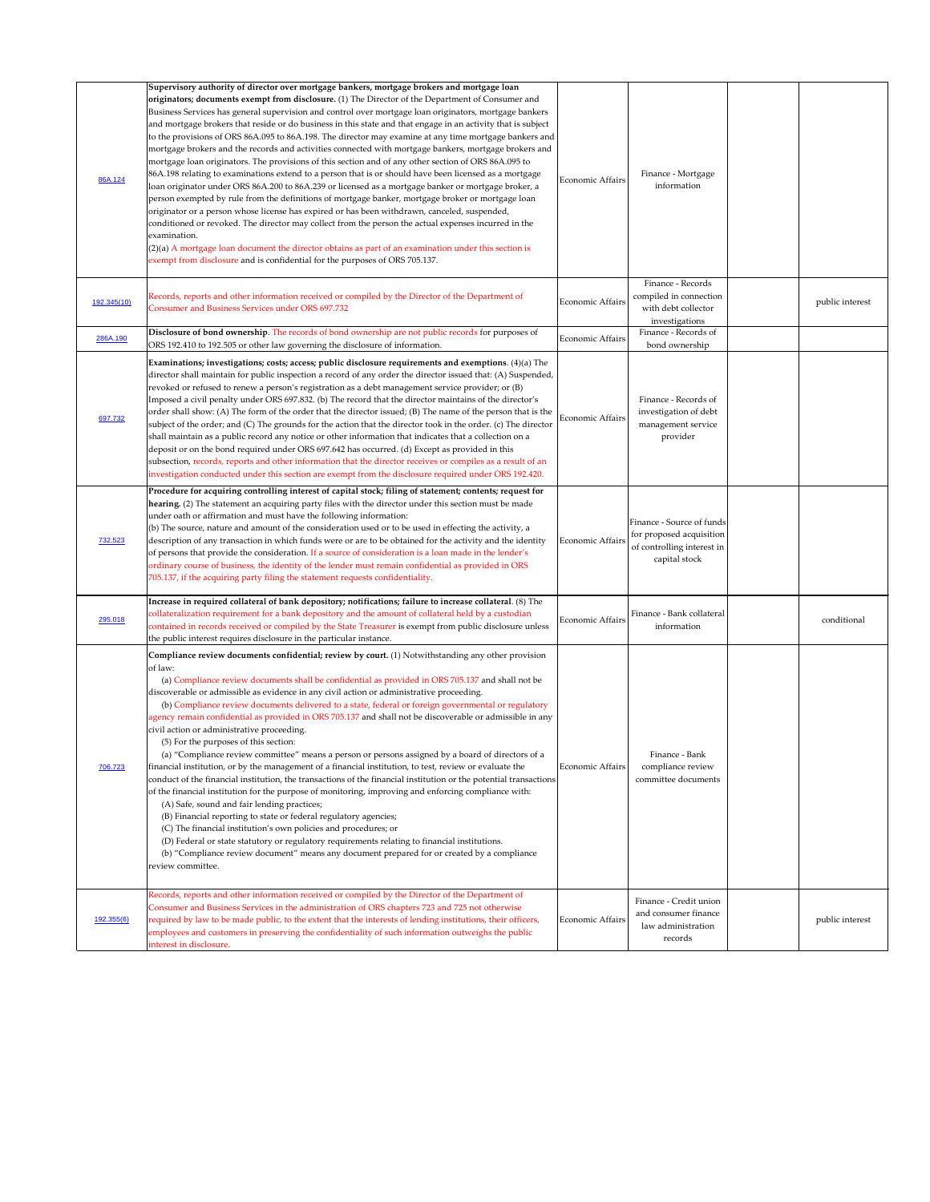| 86A.124     | Supervisory authority of director over mortgage bankers, mortgage brokers and mortgage loan<br>originators; documents exempt from disclosure. (1) The Director of the Department of Consumer and<br>Business Services has general supervision and control over mortgage loan originators, mortgage bankers<br>and mortgage brokers that reside or do business in this state and that engage in an activity that is subject<br>to the provisions of ORS 86A.095 to 86A.198. The director may examine at any time mortgage bankers and<br>mortgage brokers and the records and activities connected with mortgage bankers, mortgage brokers and<br>mortgage loan originators. The provisions of this section and of any other section of ORS 86A.095 to<br>86A.198 relating to examinations extend to a person that is or should have been licensed as a mortgage<br>loan originator under ORS 86A.200 to 86A.239 or licensed as a mortgage banker or mortgage broker, a<br>person exempted by rule from the definitions of mortgage banker, mortgage broker or mortgage loan<br>originator or a person whose license has expired or has been withdrawn, canceled, suspended,<br>conditioned or revoked. The director may collect from the person the actual expenses incurred in the<br>examination.<br>(2)(a) A mortgage loan document the director obtains as part of an examination under this section is<br>exempt from disclosure and is confidential for the purposes of ORS 705.137. | <b>Economic Affairs</b> | Finance - Mortgage<br>information                                                                    |                 |
|-------------|--------------------------------------------------------------------------------------------------------------------------------------------------------------------------------------------------------------------------------------------------------------------------------------------------------------------------------------------------------------------------------------------------------------------------------------------------------------------------------------------------------------------------------------------------------------------------------------------------------------------------------------------------------------------------------------------------------------------------------------------------------------------------------------------------------------------------------------------------------------------------------------------------------------------------------------------------------------------------------------------------------------------------------------------------------------------------------------------------------------------------------------------------------------------------------------------------------------------------------------------------------------------------------------------------------------------------------------------------------------------------------------------------------------------------------------------------------------------------------------------|-------------------------|------------------------------------------------------------------------------------------------------|-----------------|
| 192.345(10) | Records, reports and other information received or compiled by the Director of the Department of<br><b>Consumer and Business Services under ORS 697.732</b>                                                                                                                                                                                                                                                                                                                                                                                                                                                                                                                                                                                                                                                                                                                                                                                                                                                                                                                                                                                                                                                                                                                                                                                                                                                                                                                                | Economic Affairs        | Finance - Records<br>compiled in connection<br>with debt collector<br>investigations                 | public interest |
| 286A.190    | Disclosure of bond ownership. The records of bond ownership are not public records for purposes of<br>ORS 192.410 to 192.505 or other law governing the disclosure of information.                                                                                                                                                                                                                                                                                                                                                                                                                                                                                                                                                                                                                                                                                                                                                                                                                                                                                                                                                                                                                                                                                                                                                                                                                                                                                                         | Economic Affairs        | Finance - Records of<br>bond ownership                                                               |                 |
| 697.732     | Examinations; investigations; costs; access; public disclosure requirements and exemptions. (4)(a) The<br>director shall maintain for public inspection a record of any order the director issued that: (A) Suspended,<br>revoked or refused to renew a person's registration as a debt management service provider; or (B)<br>Imposed a civil penalty under ORS 697.832. (b) The record that the director maintains of the director's<br>order shall show: (A) The form of the order that the director issued; (B) The name of the person that is the<br>subject of the order; and (C) The grounds for the action that the director took in the order. (c) The director<br>shall maintain as a public record any notice or other information that indicates that a collection on a<br>deposit or on the bond required under ORS 697.642 has occurred. (d) Except as provided in this<br>subsection, records, reports and other information that the director receives or compiles as a result of an<br>investigation conducted under this section are exempt from the disclosure required under ORS 192.420.                                                                                                                                                                                                                                                                                                                                                                              | Economic Affairs        | Finance - Records of<br>investigation of debt<br>management service<br>provider                      |                 |
| 732.523     | Procedure for acquiring controlling interest of capital stock; filing of statement; contents; request for<br>hearing. (2) The statement an acquiring party files with the director under this section must be made<br>under oath or affirmation and must have the following information:<br>(b) The source, nature and amount of the consideration used or to be used in effecting the activity, a<br>description of any transaction in which funds were or are to be obtained for the activity and the identity<br>of persons that provide the consideration. If a source of consideration is a loan made in the lender's<br>ordinary course of business, the identity of the lender must remain confidential as provided in ORS<br>705.137, if the acquiring party filing the statement requests confidentiality.                                                                                                                                                                                                                                                                                                                                                                                                                                                                                                                                                                                                                                                                        | Economic Affairs        | Finance - Source of funds<br>for proposed acquisition<br>of controlling interest in<br>capital stock |                 |
| 295.018     | Increase in required collateral of bank depository; notifications; failure to increase collateral. (8) The<br>collateralization requirement for a bank depository and the amount of collateral held by a custodian<br>contained in records received or compiled by the State Treasurer is exempt from public disclosure unless<br>the public interest requires disclosure in the particular instance.                                                                                                                                                                                                                                                                                                                                                                                                                                                                                                                                                                                                                                                                                                                                                                                                                                                                                                                                                                                                                                                                                      | <b>Economic Affairs</b> | Finance - Bank collateral<br>information                                                             | conditional     |
| 706.723     | Compliance review documents confidential; review by court. (1) Notwithstanding any other provision<br>of law:<br>(a) Compliance review documents shall be confidential as provided in ORS 705.137 and shall not be<br>discoverable or admissible as evidence in any civil action or administrative proceeding.<br>(b) Compliance review documents delivered to a state, federal or foreign governmental or regulatory<br>agency remain confidential as provided in ORS 705.137 and shall not be discoverable or admissible in any<br>civil action or administrative proceeding.<br>(5) For the purposes of this section:<br>(a) "Compliance review committee" means a person or persons assigned by a board of directors of a<br>financial institution, or by the management of a financial institution, to test, review or evaluate the<br>conduct of the financial institution, the transactions of the financial institution or the potential transactions<br>of the financial institution for the purpose of monitoring, improving and enforcing compliance with:<br>(A) Safe, sound and fair lending practices;<br>(B) Financial reporting to state or federal regulatory agencies;<br>(C) The financial institution's own policies and procedures; or<br>(D) Federal or state statutory or regulatory requirements relating to financial institutions.<br>(b) "Compliance review document" means any document prepared for or created by a compliance<br>review committee.           | Economic Affairs        | Finance - Bank<br>compliance review<br>committee documents                                           |                 |
| 192.355(6)  | Records, reports and other information received or compiled by the Director of the Department of<br>Consumer and Business Services in the administration of ORS chapters 723 and 725 not otherwise<br>required by law to be made public, to the extent that the interests of lending institutions, their officers,<br>employees and customers in preserving the confidentiality of such information outweighs the public<br>interest in disclosure.                                                                                                                                                                                                                                                                                                                                                                                                                                                                                                                                                                                                                                                                                                                                                                                                                                                                                                                                                                                                                                        | Economic Affairs        | Finance - Credit union<br>and consumer finance<br>law administration<br>records                      | public interest |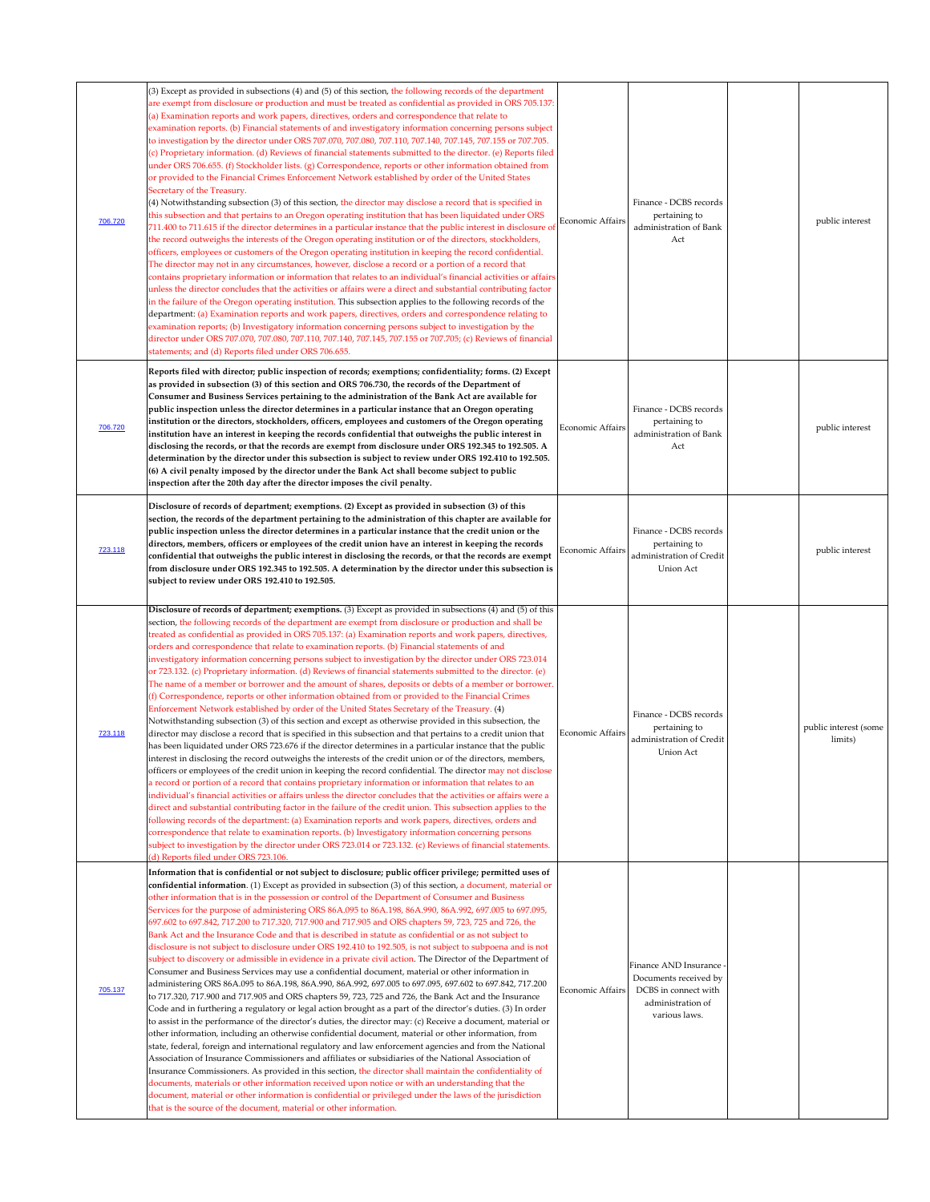| 706.720 | (3) Except as provided in subsections (4) and (5) of this section, the following records of the department<br>are exempt from disclosure or production and must be treated as confidential as provided in ORS 705.137:<br>(a) Examination reports and work papers, directives, orders and correspondence that relate to<br>examination reports. (b) Financial statements of and investigatory information concerning persons subject<br>to investigation by the director under ORS 707.070, 707.080, 707.110, 707.140, 707.145, 707.155 or 707.705.<br>(c) Proprietary information. (d) Reviews of financial statements submitted to the director. (e) Reports filed<br>under ORS 706.655. (f) Stockholder lists. (g) Correspondence, reports or other information obtained from<br>or provided to the Financial Crimes Enforcement Network established by order of the United States<br>Secretary of the Treasury.<br>$(4)$ Notwithstanding subsection $(3)$ of this section, the director may disclose a record that is specified in<br>this subsection and that pertains to an Oregon operating institution that has been liquidated under ORS<br>711.400 to 711.615 if the director determines in a particular instance that the public interest in disclosure of<br>the record outweighs the interests of the Oregon operating institution or of the directors, stockholders,<br>officers, employees or customers of the Oregon operating institution in keeping the record confidential.<br>The director may not in any circumstances, however, disclose a record or a portion of a record that<br>contains proprietary information or information that relates to an individual's financial activities or affairs<br>unless the director concludes that the activities or affairs were a direct and substantial contributing factor<br>in the failure of the Oregon operating institution. This subsection applies to the following records of the<br>department: (a) Examination reports and work papers, directives, orders and correspondence relating to<br>examination reports; (b) Investigatory information concerning persons subject to investigation by the<br>director under ORS 707.070, 707.080, 707.110, 707.140, 707.145, 707.155 or 707.705; (c) Reviews of financial<br>statements; and (d) Reports filed under ORS 706.655. | <b>Economic Affairs</b> | Finance - DCBS records<br>pertaining to<br>administration of Bank<br>Act                | public interest                  |
|---------|------------------------------------------------------------------------------------------------------------------------------------------------------------------------------------------------------------------------------------------------------------------------------------------------------------------------------------------------------------------------------------------------------------------------------------------------------------------------------------------------------------------------------------------------------------------------------------------------------------------------------------------------------------------------------------------------------------------------------------------------------------------------------------------------------------------------------------------------------------------------------------------------------------------------------------------------------------------------------------------------------------------------------------------------------------------------------------------------------------------------------------------------------------------------------------------------------------------------------------------------------------------------------------------------------------------------------------------------------------------------------------------------------------------------------------------------------------------------------------------------------------------------------------------------------------------------------------------------------------------------------------------------------------------------------------------------------------------------------------------------------------------------------------------------------------------------------------------------------------------------------------------------------------------------------------------------------------------------------------------------------------------------------------------------------------------------------------------------------------------------------------------------------------------------------------------------------------------------------------------------------------------------------------------------------------------------------------------------------|-------------------------|-----------------------------------------------------------------------------------------|----------------------------------|
| 706.720 | Reports filed with director; public inspection of records; exemptions; confidentiality; forms. (2) Except<br>as provided in subsection (3) of this section and ORS 706.730, the records of the Department of<br>Consumer and Business Services pertaining to the administration of the Bank Act are available for<br>public inspection unless the director determines in a particular instance that an Oregon operating<br>institution or the directors, stockholders, officers, employees and customers of the Oregon operating<br>institution have an interest in keeping the records confidential that outweighs the public interest in<br>disclosing the records, or that the records are exempt from disclosure under ORS 192.345 to 192.505. A<br>determination by the director under this subsection is subject to review under ORS 192.410 to 192.505.<br>(6) A civil penalty imposed by the director under the Bank Act shall become subject to public<br>inspection after the 20th day after the director imposes the civil penalty.                                                                                                                                                                                                                                                                                                                                                                                                                                                                                                                                                                                                                                                                                                                                                                                                                                                                                                                                                                                                                                                                                                                                                                                                                                                                                                       | Economic Affairs        | Finance - DCBS records<br>pertaining to<br>administration of Bank<br>Act                | public interest                  |
| 723.118 | Disclosure of records of department; exemptions. (2) Except as provided in subsection (3) of this<br>section, the records of the department pertaining to the administration of this chapter are available for<br>public inspection unless the director determines in a particular instance that the credit union or the<br>directors, members, officers or employees of the credit union have an interest in keeping the records<br>confidential that outweighs the public interest in disclosing the records, or that the records are exempt<br>from disclosure under ORS 192.345 to 192.505. A determination by the director under this subsection is<br>subject to review under ORS 192.410 to 192.505.                                                                                                                                                                                                                                                                                                                                                                                                                                                                                                                                                                                                                                                                                                                                                                                                                                                                                                                                                                                                                                                                                                                                                                                                                                                                                                                                                                                                                                                                                                                                                                                                                                          | Economic Affairs        | Finance - DCBS records<br>pertaining to<br>administration of Credit<br><b>Union Act</b> | public interest                  |
|         | Disclosure of records of department; exemptions. (3) Except as provided in subsections (4) and (5) of this<br>section, the following records of the department are exempt from disclosure or production and shall be<br>treated as confidential as provided in ORS 705.137: (a) Examination reports and work papers, directives,<br>orders and correspondence that relate to examination reports. (b) Financial statements of and<br>investigatory information concerning persons subject to investigation by the director under ORS 723.014<br>or 723.132. (c) Proprietary information. (d) Reviews of financial statements submitted to the director. (e)<br>The name of a member or borrower and the amount of shares, deposits or debts of a member or borrower.<br>(f) Correspondence, reports or other information obtained from or provided to the Financial Crimes<br>Enforcement Network established by order of the United States Secretary of the Treasury. (4)<br>Notwithstanding subsection (3) of this section and except as otherwise provided in this subsection, the                                                                                                                                                                                                                                                                                                                                                                                                                                                                                                                                                                                                                                                                                                                                                                                                                                                                                                                                                                                                                                                                                                                                                                                                                                                                |                         | Finance - DCBS records                                                                  |                                  |
| 723.118 | director may disclose a record that is specified in this subsection and that pertains to a credit union that<br>has been liquidated under ORS 723.676 if the director determines in a particular instance that the public<br>interest in disclosing the record outweighs the interests of the credit union or of the directors, members,<br>officers or employees of the credit union in keeping the record confidential. The director may not disclose<br>a record or portion of a record that contains proprietary information or information that relates to an<br>individual's financial activities or affairs unless the director concludes that the activities or affairs were a<br>direct and substantial contributing factor in the failure of the credit union. This subsection applies to the<br>following records of the department: (a) Examination reports and work papers, directives, orders and<br>correspondence that relate to examination reports. (b) Investigatory information concerning persons<br>subject to investigation by the director under ORS 723.014 or 723.132. (c) Reviews of financial statements.<br>(d) Reports filed under ORS 723.106.                                                                                                                                                                                                                                                                                                                                                                                                                                                                                                                                                                                                                                                                                                                                                                                                                                                                                                                                                                                                                                                                                                                                                                        | Economic Affairs        | pertaining to<br>administration of Credit<br><b>Union Act</b>                           | public interest (some<br>limits) |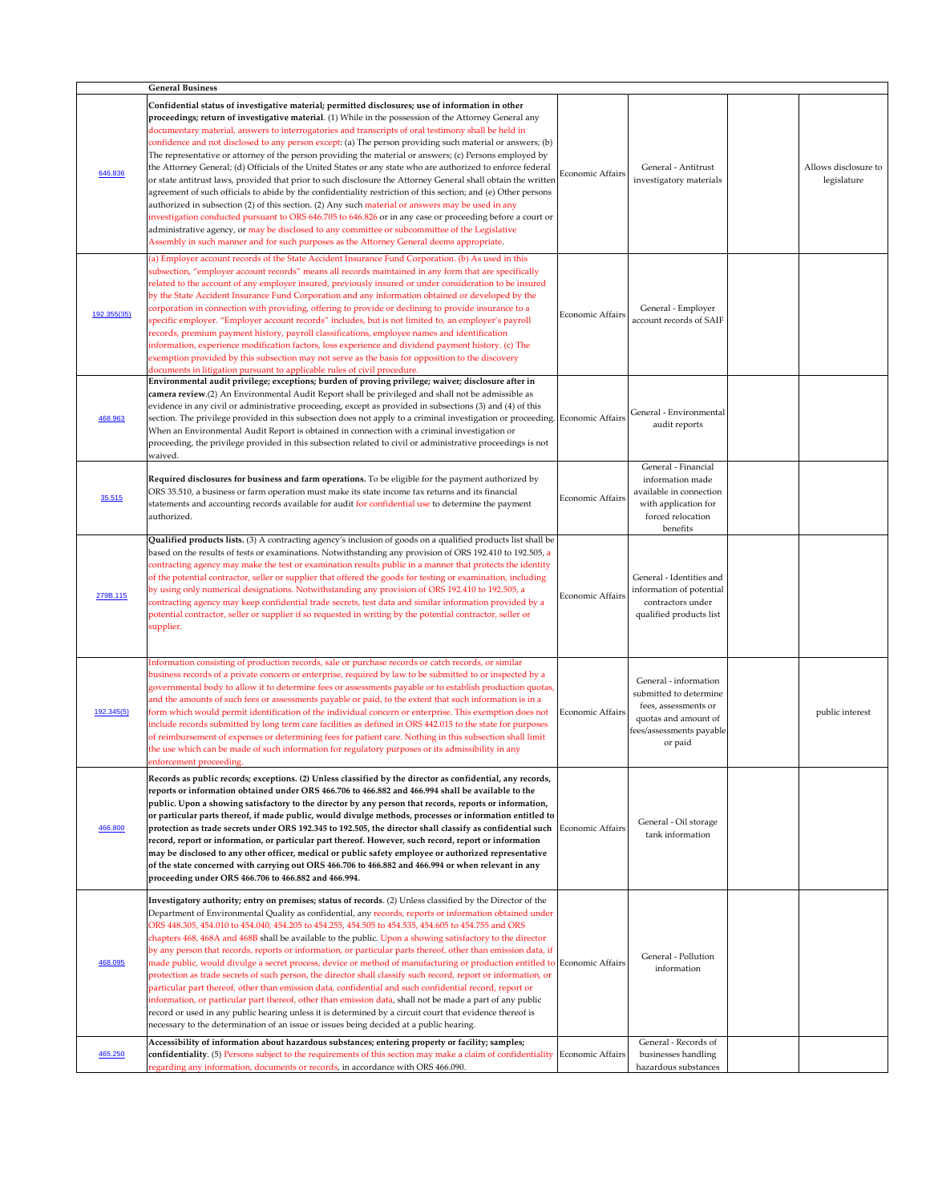|             | <b>General Business</b>                                                                                                                                                                                                                                                                                                                                                                                                                                                                                                                                                                                                                                                                                                                                                                                                                                                                                                                                                                                                                                                                                                                                                                                                                                                                                      |                         |                                                                                                                                        |                                     |
|-------------|--------------------------------------------------------------------------------------------------------------------------------------------------------------------------------------------------------------------------------------------------------------------------------------------------------------------------------------------------------------------------------------------------------------------------------------------------------------------------------------------------------------------------------------------------------------------------------------------------------------------------------------------------------------------------------------------------------------------------------------------------------------------------------------------------------------------------------------------------------------------------------------------------------------------------------------------------------------------------------------------------------------------------------------------------------------------------------------------------------------------------------------------------------------------------------------------------------------------------------------------------------------------------------------------------------------|-------------------------|----------------------------------------------------------------------------------------------------------------------------------------|-------------------------------------|
| 646.836     | Confidential status of investigative material; permitted disclosures; use of information in other<br>proceedings; return of investigative material. (1) While in the possession of the Attorney General any<br>documentary material, answers to interrogatories and transcripts of oral testimony shall be held in<br>confidence and not disclosed to any person except: (a) The person providing such material or answers; (b)<br>The representative or attorney of the person providing the material or answers; (c) Persons employed by<br>the Attorney General; (d) Officials of the United States or any state who are authorized to enforce federal<br>or state antitrust laws, provided that prior to such disclosure the Attorney General shall obtain the written<br>agreement of such officials to abide by the confidentiality restriction of this section; and (e) Other persons<br>authorized in subsection (2) of this section. (2) Any such material or answers may be used in any<br>investigation conducted pursuant to ORS 646.705 to 646.826 or in any case or proceeding before a court or<br>administrative agency, or may be disclosed to any committee or subcommittee of the Legislative<br>Assembly in such manner and for such purposes as the Attorney General deems appropriate. | Economic Affairs        | General - Antitrust<br>investigatory materials                                                                                         | Allows disclosure to<br>legislature |
| 192.355(35) | (a) Employer account records of the State Accident Insurance Fund Corporation. (b) As used in this<br>subsection, "employer account records" means all records maintained in any form that are specifically<br>related to the account of any employer insured, previously insured or under consideration to be insured<br>by the State Accident Insurance Fund Corporation and any information obtained or developed by the<br>corporation in connection with providing, offering to provide or declining to provide insurance to a<br>specific employer. "Employer account records" includes, but is not limited to, an employer's payroll<br>records, premium payment history, payroll classifications, employee names and identification<br>information, experience modification factors, loss experience and dividend payment history. (c) The<br>exemption provided by this subsection may not serve as the basis for opposition to the discovery<br>documents in litigation pursuant to applicable rules of civil procedure.                                                                                                                                                                                                                                                                           | Economic Affairs        | General - Employer<br>account records of SAIF                                                                                          |                                     |
| 468.963     | Environmental audit privilege; exceptions; burden of proving privilege; waiver; disclosure after in<br>camera review.(2) An Environmental Audit Report shall be privileged and shall not be admissible as<br>evidence in any civil or administrative proceeding, except as provided in subsections (3) and (4) of this<br>section. The privilege provided in this subsection does not apply to a criminal investigation or proceeding. Economic Affairs<br>When an Environmental Audit Report is obtained in connection with a criminal investigation or<br>proceeding, the privilege provided in this subsection related to civil or administrative proceedings is not<br>waived.                                                                                                                                                                                                                                                                                                                                                                                                                                                                                                                                                                                                                           |                         | General - Environmental<br>audit reports                                                                                               |                                     |
| 35.515      | Required disclosures for business and farm operations. To be eligible for the payment authorized by<br>ORS 35.510, a business or farm operation must make its state income tax returns and its financial<br>statements and accounting records available for audit for confidential use to determine the payment<br>authorized.                                                                                                                                                                                                                                                                                                                                                                                                                                                                                                                                                                                                                                                                                                                                                                                                                                                                                                                                                                               | Economic Affairs        | General - Financial<br>information made<br>available in connection<br>with application for<br>forced relocation<br>benefits            |                                     |
| 279B.115    | Qualified products lists. (3) A contracting agency's inclusion of goods on a qualified products list shall be<br>based on the results of tests or examinations. Notwithstanding any provision of ORS 192.410 to 192.505, a<br>contracting agency may make the test or examination results public in a manner that protects the identity<br>of the potential contractor, seller or supplier that offered the goods for testing or examination, including<br>by using only numerical designations. Notwithstanding any provision of ORS 192.410 to 192.505, a<br>contracting agency may keep confidential trade secrets, test data and similar information provided by a<br>potential contractor, seller or supplier if so requested in writing by the potential contractor, seller or<br>supplier.                                                                                                                                                                                                                                                                                                                                                                                                                                                                                                            | <b>Economic Affairs</b> | General - Identities and<br>information of potential<br>contractors under<br>qualified products list                                   |                                     |
| 192.345(5)  | Information consisting of production records, sale or purchase records or catch records, or similar<br>business records of a private concern or enterprise, required by law to be submitted to or inspected by a<br>governmental body to allow it to determine fees or assessments payable or to establish production quotas,<br>and the amounts of such fees or assessments payable or paid, to the extent that such information is in a<br>form which would permit identification of the individual concern or enterprise. This exemption does not<br>include records submitted by long term care facilities as defined in ORS 442.015 to the state for purposes<br>of reimbursement of expenses or determining fees for patient care. Nothing in this subsection shall limit<br>the use which can be made of such information for regulatory purposes or its admissibility in any<br>enforcement proceeding.                                                                                                                                                                                                                                                                                                                                                                                              | Economic Affairs        | General - information<br>submitted to determine<br>fees, assessments or<br>quotas and amount of<br>fees/assessments payable<br>or paid | public interest                     |
| 466.800     | Records as public records; exceptions. (2) Unless classified by the director as confidential, any records,<br>reports or information obtained under ORS 466.706 to 466.882 and 466.994 shall be available to the<br>public. Upon a showing satisfactory to the director by any person that records, reports or information,<br>or particular parts thereof, if made public, would divulge methods, processes or information entitled to<br>protection as trade secrets under ORS 192.345 to 192.505, the director shall classify as confidential such $\mid$<br>record, report or information, or particular part thereof. However, such record, report or information<br>may be disclosed to any other officer, medical or public safety employee or authorized representative<br>of the state concerned with carrying out ORS 466.706 to 466.882 and 466.994 or when relevant in any<br>proceeding under ORS 466.706 to 466.882 and 466.994.                                                                                                                                                                                                                                                                                                                                                               | <b>Economic Affairs</b> | General - Oil storage<br>tank information                                                                                              |                                     |
| 468.095     | Investigatory authority; entry on premises; status of records. (2) Unless classified by the Director of the<br>Department of Environmental Quality as confidential, any records, reports or information obtained under<br>ORS 448.305, 454.010 to 454.040, 454.205 to 454.255, 454.505 to 454.535, 454.605 to 454.755 and ORS<br>chapters 468, 468A and 468B shall be available to the public. Upon a showing satisfactory to the director<br>by any person that records, reports or information, or particular parts thereof, other than emission data, if<br>made public, would divulge a secret process, device or method of manufacturing or production entitled to Economic Affairs<br>protection as trade secrets of such person, the director shall classify such record, report or information, or<br>particular part thereof, other than emission data, confidential and such confidential record, report or<br>information, or particular part thereof, other than emission data, shall not be made a part of any public<br>record or used in any public hearing unless it is determined by a circuit court that evidence thereof is<br>necessary to the determination of an issue or issues being decided at a public hearing.                                                                    |                         | General - Pollution<br>information                                                                                                     |                                     |
| 465.250     | Accessibility of information about hazardous substances; entering property or facility; samples;<br>confidentiality. (5) Persons subject to the requirements of this section may make a claim of confidentiality Economic Affairs<br>regarding any information, documents or records, in accordance with ORS 466.090.                                                                                                                                                                                                                                                                                                                                                                                                                                                                                                                                                                                                                                                                                                                                                                                                                                                                                                                                                                                        |                         | General - Records of<br>businesses handling<br>hazardous substances                                                                    |                                     |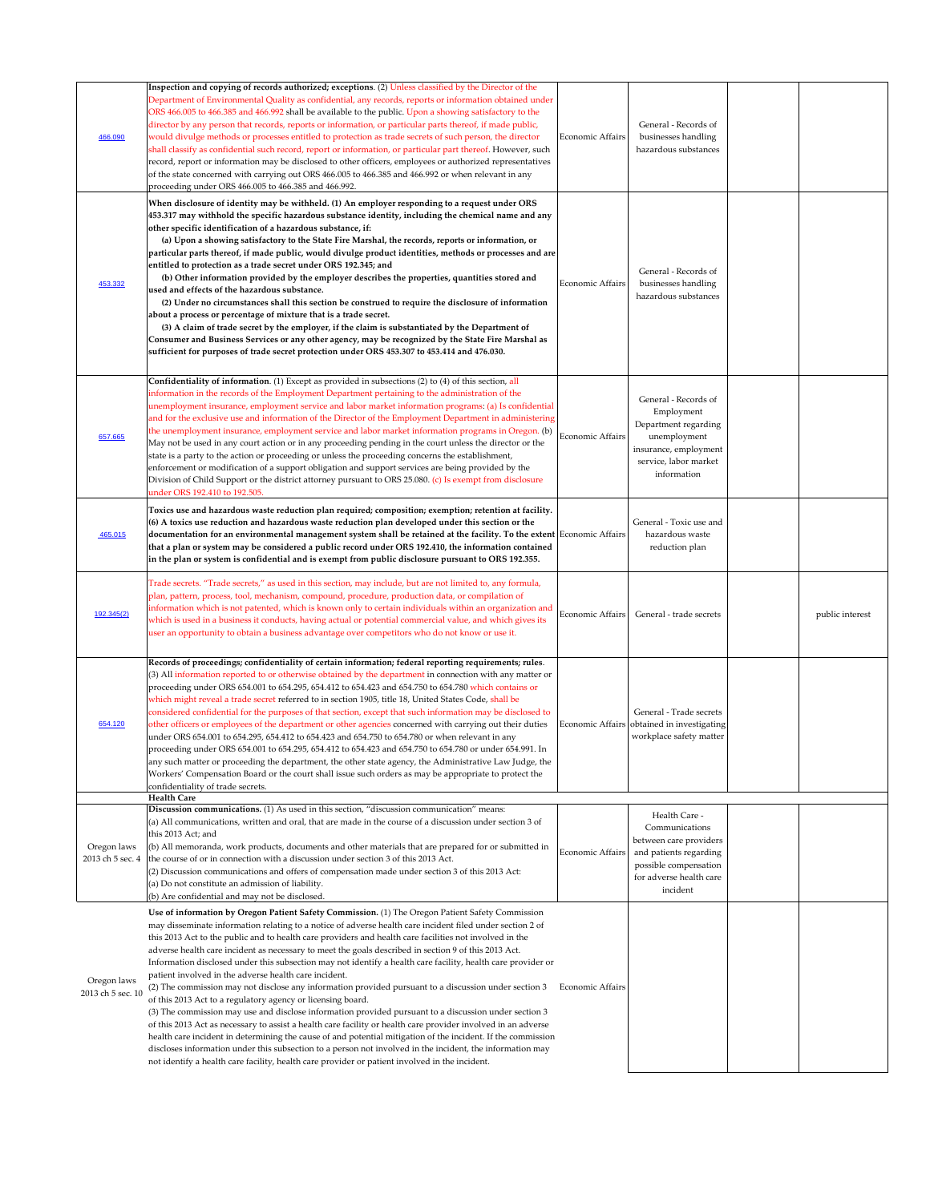| 466.090                          | Inspection and copying of records authorized; exceptions. (2) Unless classified by the Director of the<br>Department of Environmental Quality as confidential, any records, reports or information obtained under<br>ORS 466.005 to 466.385 and 466.992 shall be available to the public. Upon a showing satisfactory to the<br>director by any person that records, reports or information, or particular parts thereof, if made public,<br>would divulge methods or processes entitled to protection as trade secrets of such person, the director<br>shall classify as confidential such record, report or information, or particular part thereof. However, such<br>record, report or information may be disclosed to other officers, employees or authorized representatives<br>of the state concerned with carrying out ORS 466.005 to 466.385 and 466.992 or when relevant in any<br>proceeding under ORS 466.005 to 466.385 and 466.992.<br>When disclosure of identity may be withheld. (1) An employer responding to a request under ORS<br>453.317 may withhold the specific hazardous substance identity, including the chemical name and any<br>other specific identification of a hazardous substance, if:<br>(a) Upon a showing satisfactory to the State Fire Marshal, the records, reports or information, or             | <b>Economic Affairs</b> | General - Records of<br>businesses handling<br>hazardous substances                                                                                 |                 |
|----------------------------------|--------------------------------------------------------------------------------------------------------------------------------------------------------------------------------------------------------------------------------------------------------------------------------------------------------------------------------------------------------------------------------------------------------------------------------------------------------------------------------------------------------------------------------------------------------------------------------------------------------------------------------------------------------------------------------------------------------------------------------------------------------------------------------------------------------------------------------------------------------------------------------------------------------------------------------------------------------------------------------------------------------------------------------------------------------------------------------------------------------------------------------------------------------------------------------------------------------------------------------------------------------------------------------------------------------------------------------------------|-------------------------|-----------------------------------------------------------------------------------------------------------------------------------------------------|-----------------|
| 453.332                          | particular parts thereof, if made public, would divulge product identities, methods or processes and are $\vert$<br>entitled to protection as a trade secret under ORS 192.345; and<br>(b) Other information provided by the employer describes the properties, quantities stored and<br>used and effects of the hazardous substance.<br>(2) Under no circumstances shall this section be construed to require the disclosure of information<br>about a process or percentage of mixture that is a trade secret.<br>(3) A claim of trade secret by the employer, if the claim is substantiated by the Department of<br>Consumer and Business Services or any other agency, may be recognized by the State Fire Marshal as<br>sufficient for purposes of trade secret protection under ORS 453.307 to 453.414 and 476.030.                                                                                                                                                                                                                                                                                                                                                                                                                                                                                                                  | Economic Affairs        | General - Records of<br>businesses handling<br>hazardous substances                                                                                 |                 |
| 657.665                          | Confidentiality of information. (1) Except as provided in subsections (2) to (4) of this section, all<br>information in the records of the Employment Department pertaining to the administration of the<br>unemployment insurance, employment service and labor market information programs: (a) Is confidential<br>and for the exclusive use and information of the Director of the Employment Department in administering<br>the unemployment insurance, employment service and labor market information programs in Oregon. (b)<br>May not be used in any court action or in any proceeding pending in the court unless the director or the<br>state is a party to the action or proceeding or unless the proceeding concerns the establishment,<br>enforcement or modification of a support obligation and support services are being provided by the<br>Division of Child Support or the district attorney pursuant to ORS 25.080. (c) Is exempt from disclosure<br>under ORS 192.410 to 192.505.                                                                                                                                                                                                                                                                                                                                    | Economic Affairs        | General - Records of<br>Employment<br>Department regarding<br>unemployment<br>insurance, employment<br>service, labor market<br>information         |                 |
| 465.015                          | Toxics use and hazardous waste reduction plan required; composition; exemption; retention at facility.<br>(6) A toxics use reduction and hazardous waste reduction plan developed under this section or the<br>documentation for an environmental management system shall be retained at the facility. To the extent Economic Affairs<br>that a plan or system may be considered a public record under ORS 192.410, the information contained<br>in the plan or system is confidential and is exempt from public disclosure pursuant to ORS 192.355.                                                                                                                                                                                                                                                                                                                                                                                                                                                                                                                                                                                                                                                                                                                                                                                       |                         | General - Toxic use and<br>hazardous waste<br>reduction plan                                                                                        |                 |
| 192.345(2)                       | Trade secrets. "Trade secrets," as used in this section, may include, but are not limited to, any formula,<br>plan, pattern, process, tool, mechanism, compound, procedure, production data, or compilation of<br>information which is not patented, which is known only to certain individuals within an organization and<br>which is used in a business it conducts, having actual or potential commercial value, and which gives its<br>user an opportunity to obtain a business advantage over competitors who do not know or use it.                                                                                                                                                                                                                                                                                                                                                                                                                                                                                                                                                                                                                                                                                                                                                                                                  | Economic Affairs        | General - trade secrets                                                                                                                             | public interest |
| 654.120                          | Records of proceedings; confidentiality of certain information; federal reporting requirements; rules.<br>(3) All information reported to or otherwise obtained by the department in connection with any matter or<br>proceeding under ORS 654.001 to 654.295, 654.412 to 654.423 and 654.750 to 654.780 which contains or<br>which might reveal a trade secret referred to in section 1905, title 18, United States Code, shall be<br>considered confidential for the purposes of that section, except that such information may be disclosed to<br>other officers or employees of the department or other agencies concerned with carrying out their duties<br>under ORS 654.001 to 654.295, 654.412 to 654.423 and 654.750 to 654.780 or when relevant in any<br>proceeding under ORS 654.001 to 654.295, 654.412 to 654.423 and 654.750 to 654.780 or under 654.991. In<br>any such matter or proceeding the department, the other state agency, the Administrative Law Judge, the<br>Workers' Compensation Board or the court shall issue such orders as may be appropriate to protect the<br>confidentiality of trade secrets.                                                                                                                                                                                                       |                         | General - Trade secrets<br>Economic Affairs obtained in investigating<br>workplace safety matter                                                    |                 |
| Oregon laws<br>2013 ch 5 sec. 4  | <b>Health Care</b><br>Discussion communications. (1) As used in this section, "discussion communication" means:<br>(a) All communications, written and oral, that are made in the course of a discussion under section 3 of<br>this 2013 Act; and<br>(b) All memoranda, work products, documents and other materials that are prepared for or submitted in<br>the course of or in connection with a discussion under section 3 of this 2013 Act.<br>(2) Discussion communications and offers of compensation made under section 3 of this 2013 Act:<br>(a) Do not constitute an admission of liability.<br>(b) Are confidential and may not be disclosed.                                                                                                                                                                                                                                                                                                                                                                                                                                                                                                                                                                                                                                                                                  | Economic Affairs        | Health Care -<br>Communications<br>between care providers<br>and patients regarding<br>possible compensation<br>for adverse health care<br>incident |                 |
| Oregon laws<br>2013 ch 5 sec. 10 | Use of information by Oregon Patient Safety Commission. (1) The Oregon Patient Safety Commission<br>may disseminate information relating to a notice of adverse health care incident filed under section 2 of<br>this 2013 Act to the public and to health care providers and health care facilities not involved in the<br>adverse health care incident as necessary to meet the goals described in section 9 of this 2013 Act.<br>Information disclosed under this subsection may not identify a health care facility, health care provider or<br>patient involved in the adverse health care incident.<br>(2) The commission may not disclose any information provided pursuant to a discussion under section 3<br>of this 2013 Act to a regulatory agency or licensing board.<br>(3) The commission may use and disclose information provided pursuant to a discussion under section 3<br>of this 2013 Act as necessary to assist a health care facility or health care provider involved in an adverse<br>health care incident in determining the cause of and potential mitigation of the incident. If the commission<br>discloses information under this subsection to a person not involved in the incident, the information may<br>not identify a health care facility, health care provider or patient involved in the incident. | <b>Economic Affairs</b> |                                                                                                                                                     |                 |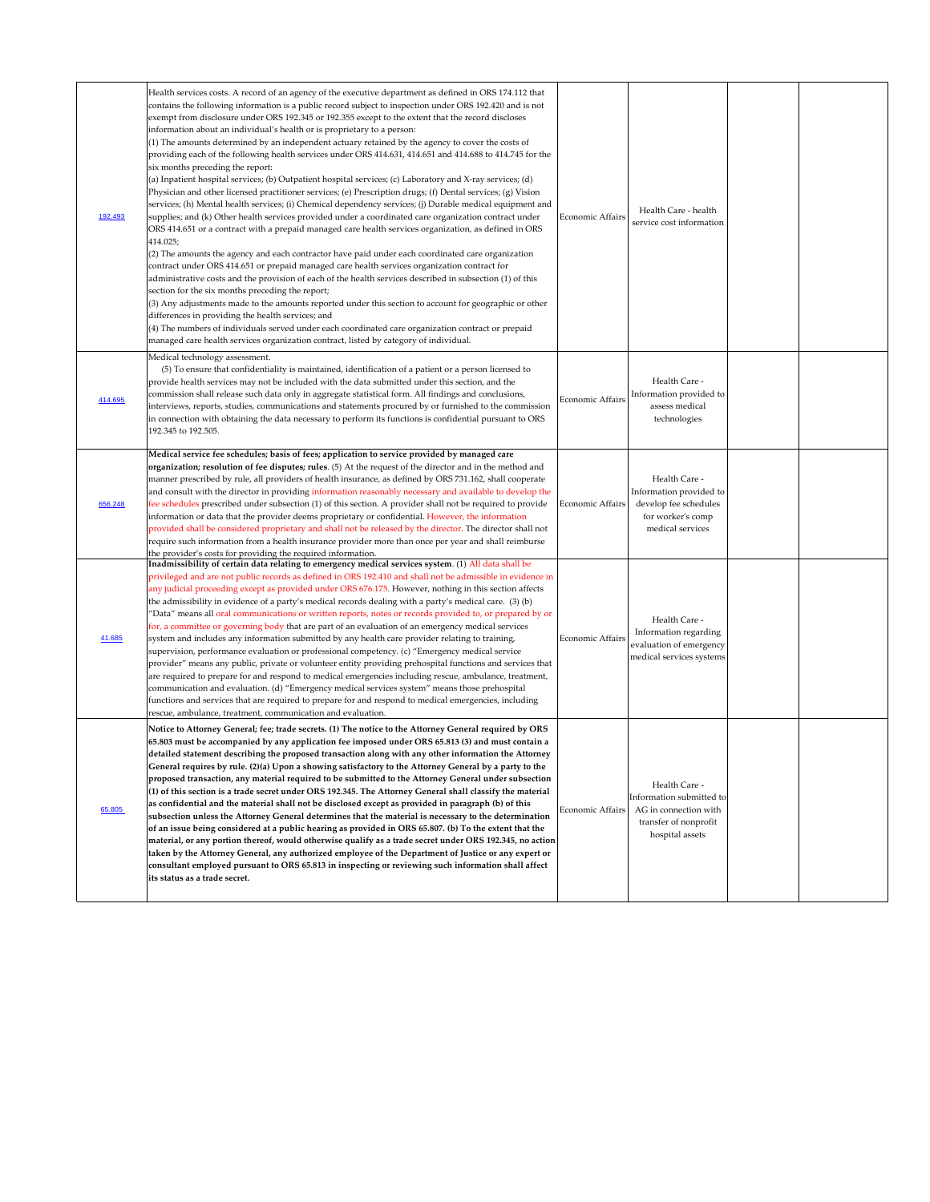| 192.493 | Health services costs. A record of an agency of the executive department as defined in ORS 174.112 that<br>contains the following information is a public record subject to inspection under ORS 192.420 and is not<br>exempt from disclosure under ORS 192.345 or 192.355 except to the extent that the record discloses<br>information about an individual's health or is proprietary to a person:<br>(1) The amounts determined by an independent actuary retained by the agency to cover the costs of<br>providing each of the following health services under ORS 414.631, 414.651 and 414.688 to 414.745 for the<br>six months preceding the report:<br>(a) Inpatient hospital services; (b) Outpatient hospital services; (c) Laboratory and X-ray services; (d)<br>Physician and other licensed practitioner services; (e) Prescription drugs; (f) Dental services; (g) Vision<br>services; (h) Mental health services; (i) Chemical dependency services; (j) Durable medical equipment and<br>supplies; and (k) Other health services provided under a coordinated care organization contract under<br>ORS 414.651 or a contract with a prepaid managed care health services organization, as defined in ORS<br>414.025;<br>(2) The amounts the agency and each contractor have paid under each coordinated care organization<br>contract under ORS 414.651 or prepaid managed care health services organization contract for<br>administrative costs and the provision of each of the health services described in subsection (1) of this<br>section for the six months preceding the report;<br>(3) Any adjustments made to the amounts reported under this section to account for geographic or other<br>differences in providing the health services; and<br>(4) The numbers of individuals served under each coordinated care organization contract or prepaid<br>managed care health services organization contract, listed by category of individual. | <b>Economic Affairs</b> | Health Care - health<br>service cost information                                                               |  |
|---------|-----------------------------------------------------------------------------------------------------------------------------------------------------------------------------------------------------------------------------------------------------------------------------------------------------------------------------------------------------------------------------------------------------------------------------------------------------------------------------------------------------------------------------------------------------------------------------------------------------------------------------------------------------------------------------------------------------------------------------------------------------------------------------------------------------------------------------------------------------------------------------------------------------------------------------------------------------------------------------------------------------------------------------------------------------------------------------------------------------------------------------------------------------------------------------------------------------------------------------------------------------------------------------------------------------------------------------------------------------------------------------------------------------------------------------------------------------------------------------------------------------------------------------------------------------------------------------------------------------------------------------------------------------------------------------------------------------------------------------------------------------------------------------------------------------------------------------------------------------------------------------------------------------------------------------------------------------------------------|-------------------------|----------------------------------------------------------------------------------------------------------------|--|
| 414.695 | Medical technology assessment.<br>(5) To ensure that confidentiality is maintained, identification of a patient or a person licensed to<br>provide health services may not be included with the data submitted under this section, and the<br>commission shall release such data only in aggregate statistical form. All findings and conclusions,<br>interviews, reports, studies, communications and statements procured by or furnished to the commission<br>in connection with obtaining the data necessary to perform its functions is confidential pursuant to ORS<br>192.345 to 192.505.                                                                                                                                                                                                                                                                                                                                                                                                                                                                                                                                                                                                                                                                                                                                                                                                                                                                                                                                                                                                                                                                                                                                                                                                                                                                                                                                                                       | Economic Affairs        | Health Care -<br>Information provided to<br>assess medical<br>technologies                                     |  |
| 656.248 | Medical service fee schedules; basis of fees; application to service provided by managed care<br>organization; resolution of fee disputes; rules. (5) At the request of the director and in the method and<br>manner prescribed by rule, all providers of health insurance, as defined by ORS 731.162, shall cooperate<br>and consult with the director in providing information reasonably necessary and available to develop the<br>fee schedules prescribed under subsection (1) of this section. A provider shall not be required to provide<br>information or data that the provider deems proprietary or confidential. However, the information<br>provided shall be considered proprietary and shall not be released by the director. The director shall not<br>require such information from a health insurance provider more than once per year and shall reimburse<br>the provider's costs for providing the required information.                                                                                                                                                                                                                                                                                                                                                                                                                                                                                                                                                                                                                                                                                                                                                                                                                                                                                                                                                                                                                          | Economic Affairs        | Health Care -<br>Information provided to<br>develop fee schedules<br>for worker's comp<br>medical services     |  |
| 41.685  | Inadmissibility of certain data relating to emergency medical services system. (1) All data shall be<br>privileged and are not public records as defined in ORS 192.410 and shall not be admissible in evidence in<br>any judicial proceeding except as provided under ORS 676.175. However, nothing in this section affects<br>the admissibility in evidence of a party's medical records dealing with a party's medical care. (3) (b)<br>"Data" means all oral communications or written reports, notes or records provided to, or prepared by or<br>for, a committee or governing body that are part of an evaluation of an emergency medical services<br>system and includes any information submitted by any health care provider relating to training,<br>supervision, performance evaluation or professional competency. (c) "Emergency medical service<br>provider" means any public, private or volunteer entity providing prehospital functions and services that<br>are required to prepare for and respond to medical emergencies including rescue, ambulance, treatment,<br>communication and evaluation. (d) "Emergency medical services system" means those prehospital<br>functions and services that are required to prepare for and respond to medical emergencies, including<br>rescue, ambulance, treatment, communication and evaluation.                                                                                                                                                                                                                                                                                                                                                                                                                                                                                                                                                                                                        | <b>Economic Affairs</b> | Health Care -<br>Information regarding<br>evaluation of emergency<br>medical services systems                  |  |
| 65.805  | Notice to Attorney General; fee; trade secrets. (1) The notice to the Attorney General required by ORS<br>65.803 must be accompanied by any application fee imposed under ORS 65.813 (3) and must contain a<br>detailed statement describing the proposed transaction along with any other information the Attorney<br>General requires by rule. (2)(a) Upon a showing satisfactory to the Attorney General by a party to the<br>$ {\mathsf{proposed}}$ transaction, any material required to be submitted to the Attorney General under subsection<br>$(1)$ of this section is a trade secret under ORS 192.345. The Attorney General shall classify the material<br>as confidential and the material shall not be disclosed except as provided in paragraph (b) of this<br>subsection unless the Attorney General determines that the material is necessary to the determination<br>of an issue being considered at a public hearing as provided in ORS 65.807. (b) To the extent that the<br>material, or any portion thereof, would otherwise qualify as a trade secret under ORS 192.345, no action<br>taken by the Attorney General, any authorized employee of the Department of Justice or any expert or<br>consultant employed pursuant to ORS 65.813 in inspecting or reviewing such information shall affect<br>its status as a trade secret.                                                                                                                                                                                                                                                                                                                                                                                                                                                                                                                                                                                                              | Economic Affairs        | Health Care -<br>Information submitted to<br>AG in connection with<br>transfer of nonprofit<br>hospital assets |  |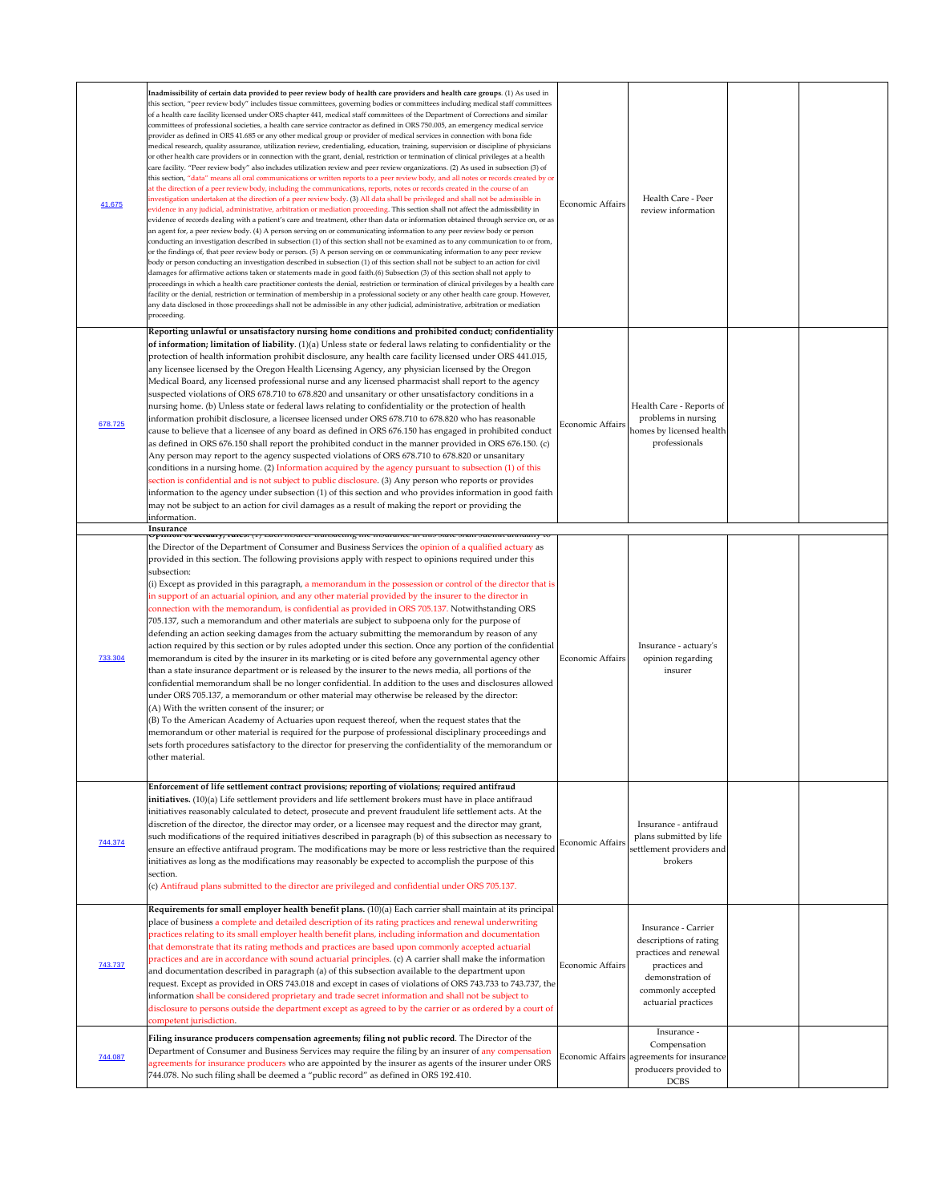| 41.675  | Inadmissibility of certain data provided to peer review body of health care providers and health care groups. (1) As used in<br>this section, "peer review body" includes tissue committees, governing bodies or committees including medical staff committees<br>of a health care facility licensed under ORS chapter 441, medical staff committees of the Department of Corrections and similar<br>committees of professional societies, a health care service contractor as defined in ORS 750.005, an emergency medical service<br>provider as defined in ORS 41.685 or any other medical group or provider of medical services in connection with bona fide<br>medical research, quality assurance, utilization review, credentialing, education, training, supervision or discipline of physicians<br>or other health care providers or in connection with the grant, denial, restriction or termination of clinical privileges at a health<br>care facility. "Peer review body" also includes utilization review and peer review organizations. (2) As used in subsection (3) of<br>this section, "data" means all oral communications or written reports to a peer review body, and all notes or records created by or<br>at the direction of a peer review body, including the communications, reports, notes or records created in the course of an<br>investigation undertaken at the direction of a peer review body. (3) All data shall be privileged and shall not be admissible in<br>evidence in any judicial, administrative, arbitration or mediation proceeding. This section shall not affect the admissibility in<br>evidence of records dealing with a patient's care and treatment, other than data or information obtained through service on, or as<br>an agent for, a peer review body. (4) A person serving on or communicating information to any peer review body or person<br>conducting an investigation described in subsection (1) of this section shall not be examined as to any communication to or from,<br>or the findings of, that peer review body or person. (5) A person serving on or communicating information to any peer review<br>body or person conducting an investigation described in subsection (1) of this section shall not be subject to an action for civil<br>damages for affirmative actions taken or statements made in good faith.(6) Subsection (3) of this section shall not apply to<br>proceedings in which a health care practitioner contests the denial, restriction or termination of clinical privileges by a health care<br>facility or the denial, restriction or termination of membership in a professional society or any other health care group. However,<br>any data disclosed in those proceedings shall not be admissible in any other judicial, administrative, arbitration or mediation<br>proceeding. | Economic Affairs | Health Care - Peer<br>review information                                                     |  |
|---------|-----------------------------------------------------------------------------------------------------------------------------------------------------------------------------------------------------------------------------------------------------------------------------------------------------------------------------------------------------------------------------------------------------------------------------------------------------------------------------------------------------------------------------------------------------------------------------------------------------------------------------------------------------------------------------------------------------------------------------------------------------------------------------------------------------------------------------------------------------------------------------------------------------------------------------------------------------------------------------------------------------------------------------------------------------------------------------------------------------------------------------------------------------------------------------------------------------------------------------------------------------------------------------------------------------------------------------------------------------------------------------------------------------------------------------------------------------------------------------------------------------------------------------------------------------------------------------------------------------------------------------------------------------------------------------------------------------------------------------------------------------------------------------------------------------------------------------------------------------------------------------------------------------------------------------------------------------------------------------------------------------------------------------------------------------------------------------------------------------------------------------------------------------------------------------------------------------------------------------------------------------------------------------------------------------------------------------------------------------------------------------------------------------------------------------------------------------------------------------------------------------------------------------------------------------------------------------------------------------------------------------------------------------------------------------------------------------------------------------------------------------------------------------------------------------------------------------------------------------------------------------------------|------------------|----------------------------------------------------------------------------------------------|--|
| 678.725 | Reporting unlawful or unsatisfactory nursing home conditions and prohibited conduct; confidentiality<br>of information; limitation of liability. (1)(a) Unless state or federal laws relating to confidentiality or the<br>protection of health information prohibit disclosure, any health care facility licensed under ORS 441.015,<br>any licensee licensed by the Oregon Health Licensing Agency, any physician licensed by the Oregon<br>Medical Board, any licensed professional nurse and any licensed pharmacist shall report to the agency<br>suspected violations of ORS 678.710 to 678.820 and unsanitary or other unsatisfactory conditions in a<br>nursing home. (b) Unless state or federal laws relating to confidentiality or the protection of health<br>information prohibit disclosure, a licensee licensed under ORS 678.710 to 678.820 who has reasonable<br>cause to believe that a licensee of any board as defined in ORS 676.150 has engaged in prohibited conduct<br>as defined in ORS 676.150 shall report the prohibited conduct in the manner provided in ORS 676.150. (c)<br>Any person may report to the agency suspected violations of ORS 678.710 to 678.820 or unsanitary<br>conditions in a nursing home. (2) Information acquired by the agency pursuant to subsection (1) of this<br>section is confidential and is not subject to public disclosure. (3) Any person who reports or provides<br>information to the agency under subsection (1) of this section and who provides information in good faith<br>may not be subject to an action for civil damages as a result of making the report or providing the<br>information.                                                                                                                                                                                                                                                                                                                                                                                                                                                                                                                                                                                                                                                                                                                                                                                                                                                                                                                                                                                                                                                                                                                                                                                                                   | Economic Affairs | Health Care - Reports of<br>problems in nursing<br>homes by licensed health<br>professionals |  |
|         | Insurance<br>$\sigma$ ринон от астиату, титез. (1) васи пъщет ттанзастив тие пъщансе ни инз згате знан зигнит анниану то                                                                                                                                                                                                                                                                                                                                                                                                                                                                                                                                                                                                                                                                                                                                                                                                                                                                                                                                                                                                                                                                                                                                                                                                                                                                                                                                                                                                                                                                                                                                                                                                                                                                                                                                                                                                                                                                                                                                                                                                                                                                                                                                                                                                                                                                                                                                                                                                                                                                                                                                                                                                                                                                                                                                                                |                  |                                                                                              |  |
|         | the Director of the Department of Consumer and Business Services the opinion of a qualified actuary as<br>provided in this section. The following provisions apply with respect to opinions required under this<br>subsection:<br>$(i)$ Except as provided in this paragraph, a memorandum in the possession or control of the director that is<br>in support of an actuarial opinion, and any other material provided by the insurer to the director in<br>connection with the memorandum, is confidential as provided in ORS 705.137. Notwithstanding ORS<br>705.137, such a memorandum and other materials are subject to subpoena only for the purpose of<br>defending an action seeking damages from the actuary submitting the memorandum by reason of any                                                                                                                                                                                                                                                                                                                                                                                                                                                                                                                                                                                                                                                                                                                                                                                                                                                                                                                                                                                                                                                                                                                                                                                                                                                                                                                                                                                                                                                                                                                                                                                                                                                                                                                                                                                                                                                                                                                                                                                                                                                                                                                        |                  |                                                                                              |  |

| 733.304 | action required by this section or by rules adopted under this section. Once any portion of the confidential<br>memorandum is cited by the insurer in its marketing or is cited before any governmental agency other<br>than a state insurance department or is released by the insurer to the news media, all portions of the<br>confidential memorandum shall be no longer confidential. In addition to the uses and disclosures allowed<br>under ORS 705.137, a memorandum or other material may otherwise be released by the director:<br>(A) With the written consent of the insurer; or<br>(B) To the American Academy of Actuaries upon request thereof, when the request states that the<br>memorandum or other material is required for the purpose of professional disciplinary proceedings and<br>sets forth procedures satisfactory to the director for preserving the confidentiality of the memorandum or<br>other material.                                                                            | <b>Economic Affairs</b> | Insurance - actuary's<br>opinion regarding<br>insurer                                                                                                   |  |
|---------|-----------------------------------------------------------------------------------------------------------------------------------------------------------------------------------------------------------------------------------------------------------------------------------------------------------------------------------------------------------------------------------------------------------------------------------------------------------------------------------------------------------------------------------------------------------------------------------------------------------------------------------------------------------------------------------------------------------------------------------------------------------------------------------------------------------------------------------------------------------------------------------------------------------------------------------------------------------------------------------------------------------------------|-------------------------|---------------------------------------------------------------------------------------------------------------------------------------------------------|--|
| 744.374 | Enforcement of life settlement contract provisions; reporting of violations; required antifraud<br>initiatives. (10)(a) Life settlement providers and life settlement brokers must have in place antifraud<br>initiatives reasonably calculated to detect, prosecute and prevent fraudulent life settlement acts. At the<br>discretion of the director, the director may order, or a licensee may request and the director may grant,<br>such modifications of the required initiatives described in paragraph (b) of this subsection as necessary to<br>ensure an effective antifraud program. The modifications may be more or less restrictive than the required<br>initiatives as long as the modifications may reasonably be expected to accomplish the purpose of this<br>section.<br>(c) Antifraud plans submitted to the director are privileged and confidential under ORS 705.137.                                                                                                                          | Economic Affairs        | Insurance - antifraud<br>plans submitted by life<br>settlement providers and<br>brokers                                                                 |  |
| 743.737 | Requirements for small employer health benefit plans. (10)(a) Each carrier shall maintain at its principal<br>place of business a complete and detailed description of its rating practices and renewal underwriting<br>practices relating to its small employer health benefit plans, including information and documentation<br>that demonstrate that its rating methods and practices are based upon commonly accepted actuarial<br>practices and are in accordance with sound actuarial principles. (c) A carrier shall make the information<br>and documentation described in paragraph (a) of this subsection available to the department upon<br>request. Except as provided in ORS 743.018 and except in cases of violations of ORS 743.733 to 743.737, the<br>information shall be considered proprietary and trade secret information and shall not be subject to<br>disclosure to persons outside the department except as agreed to by the carrier or as ordered by a court of<br>competent jurisdiction. | <b>Economic Affairs</b> | Insurance - Carrier<br>descriptions of rating<br>practices and renewal<br>practices and<br>demonstration of<br>commonly accepted<br>actuarial practices |  |
| 744.087 | Filing insurance producers compensation agreements; filing not public record. The Director of the<br>Department of Consumer and Business Services may require the filing by an insurer of any compensation<br>agreements for insurance producers who are appointed by the insurer as agents of the insurer under ORS<br>744.078. No such filing shall be deemed a "public record" as defined in ORS 192.410.                                                                                                                                                                                                                                                                                                                                                                                                                                                                                                                                                                                                          |                         | Insurance -<br>Compensation<br>Economic Affairs agreements for insurance<br>producers provided to<br><b>DCBS</b>                                        |  |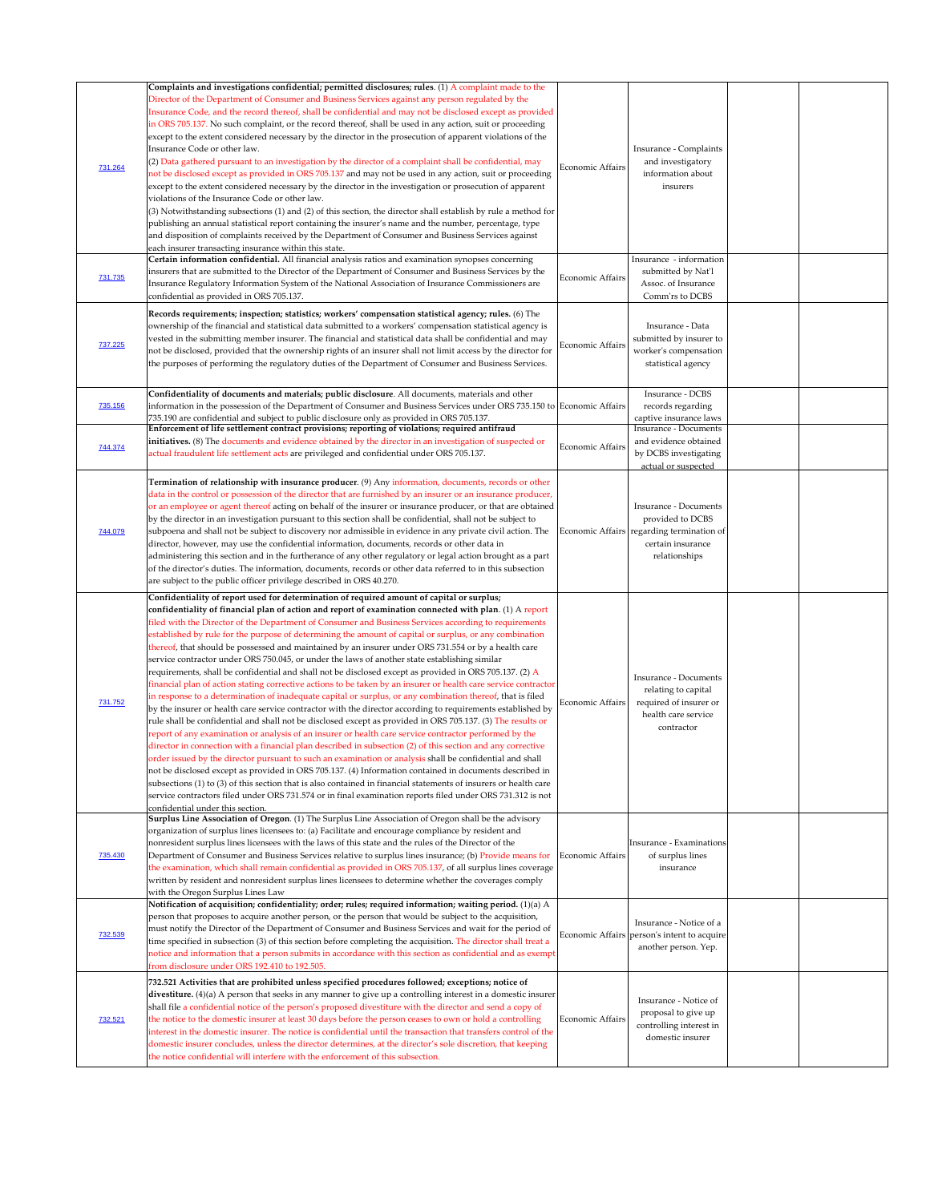| 731.264<br>731.735<br>737.225 | Complaints and investigations confidential; permitted disclosures; rules. (1) A complaint made to the<br>Director of the Department of Consumer and Business Services against any person regulated by the<br>Insurance Code, and the record thereof, shall be confidential and may not be disclosed except as provided<br>in ORS 705.137. No such complaint, or the record thereof, shall be used in any action, suit or proceeding<br>except to the extent considered necessary by the director in the prosecution of apparent violations of the<br>Insurance Code or other law.<br>(2) Data gathered pursuant to an investigation by the director of a complaint shall be confidential, may<br>not be disclosed except as provided in ORS 705.137 and may not be used in any action, suit or proceeding<br>except to the extent considered necessary by the director in the investigation or prosecution of apparent<br>violations of the Insurance Code or other law.<br>$(3)$ Notwithstanding subsections (1) and (2) of this section, the director shall establish by rule a method for<br>publishing an annual statistical report containing the insurer's name and the number, percentage, type<br>and disposition of complaints received by the Department of Consumer and Business Services against<br>each insurer transacting insurance within this state.<br>Certain information confidential. All financial analysis ratios and examination synopses concerning<br>insurers that are submitted to the Director of the Department of Consumer and Business Services by the<br>Insurance Regulatory Information System of the National Association of Insurance Commissioners are<br>confidential as provided in ORS 705.137.<br>Records requirements; inspection; statistics; workers' compensation statistical agency; rules. (6) The<br>ownership of the financial and statistical data submitted to a workers' compensation statistical agency is<br>vested in the submitting member insurer. The financial and statistical data shall be confidential and may<br>not be disclosed, provided that the ownership rights of an insurer shall not limit access by the director for | <b>Economic Affairs</b><br>Economic Affairs<br><b>Economic Affairs</b> | Insurance - Complaints<br>and investigatory<br>information about<br>insurers<br>Insurance - information<br>submitted by Nat'l<br>Assoc. of Insurance<br>Comm'rs to DCBS<br>Insurance - Data<br>submitted by insurer to<br>worker's compensation |  |
|-------------------------------|------------------------------------------------------------------------------------------------------------------------------------------------------------------------------------------------------------------------------------------------------------------------------------------------------------------------------------------------------------------------------------------------------------------------------------------------------------------------------------------------------------------------------------------------------------------------------------------------------------------------------------------------------------------------------------------------------------------------------------------------------------------------------------------------------------------------------------------------------------------------------------------------------------------------------------------------------------------------------------------------------------------------------------------------------------------------------------------------------------------------------------------------------------------------------------------------------------------------------------------------------------------------------------------------------------------------------------------------------------------------------------------------------------------------------------------------------------------------------------------------------------------------------------------------------------------------------------------------------------------------------------------------------------------------------------------------------------------------------------------------------------------------------------------------------------------------------------------------------------------------------------------------------------------------------------------------------------------------------------------------------------------------------------------------------------------------------------------------------------------------------------------------------------------------------------------------|------------------------------------------------------------------------|-------------------------------------------------------------------------------------------------------------------------------------------------------------------------------------------------------------------------------------------------|--|
|                               | the purposes of performing the regulatory duties of the Department of Consumer and Business Services.<br>Confidentiality of documents and materials; public disclosure. All documents, materials and other                                                                                                                                                                                                                                                                                                                                                                                                                                                                                                                                                                                                                                                                                                                                                                                                                                                                                                                                                                                                                                                                                                                                                                                                                                                                                                                                                                                                                                                                                                                                                                                                                                                                                                                                                                                                                                                                                                                                                                                     |                                                                        | statistical agency<br>Insurance - DCBS                                                                                                                                                                                                          |  |
| 735.156<br>744.374            | information in the possession of the Department of Consumer and Business Services under ORS 735.150 to Economic Affairs<br>735.190 are confidential and subject to public disclosure only as provided in ORS 705.137.<br>Enforcement of life settlement contract provisions; reporting of violations; required antifraud<br>initiatives. (8) The documents and evidence obtained by the director in an investigation of suspected or<br>actual fraudulent life settlement acts are privileged and confidential under ORS 705.137.                                                                                                                                                                                                                                                                                                                                                                                                                                                                                                                                                                                                                                                                                                                                                                                                                                                                                                                                                                                                                                                                                                                                                                                                                                                                                                                                                                                                                                                                                                                                                                                                                                                              | Economic Affairs                                                       | records regarding<br>captive insurance laws<br><b>Insurance - Documents</b><br>and evidence obtained<br>by DCBS investigating<br>actual or suspected                                                                                            |  |
| 744.079                       | Termination of relationship with insurance producer. (9) Any information, documents, records or other<br>data in the control or possession of the director that are furnished by an insurer or an insurance producer,<br>or an employee or agent thereof acting on behalf of the insurer or insurance producer, or that are obtained<br>by the director in an investigation pursuant to this section shall be confidential, shall not be subject to<br>subpoena and shall not be subject to discovery nor admissible in evidence in any private civil action. The<br>director, however, may use the confidential information, documents, records or other data in<br>administering this section and in the furtherance of any other regulatory or legal action brought as a part<br>of the director's duties. The information, documents, records or other data referred to in this subsection<br>are subject to the public officer privilege described in ORS 40.270.                                                                                                                                                                                                                                                                                                                                                                                                                                                                                                                                                                                                                                                                                                                                                                                                                                                                                                                                                                                                                                                                                                                                                                                                                         |                                                                        | <b>Insurance - Documents</b><br>provided to DCBS<br>Economic Affairs regarding termination of<br>certain insurance<br>relationships                                                                                                             |  |
| 731.752                       | Confidentiality of report used for determination of required amount of capital or surplus;<br>confidentiality of financial plan of action and report of examination connected with plan. $(1)$ A report<br>filed with the Director of the Department of Consumer and Business Services according to requirements<br>established by rule for the purpose of determining the amount of capital or surplus, or any combination<br>thereof, that should be possessed and maintained by an insurer under ORS 731.554 or by a health care<br>service contractor under ORS 750.045, or under the laws of another state establishing similar<br>requirements, shall be confidential and shall not be disclosed except as provided in ORS 705.137. (2) A<br>financial plan of action stating corrective actions to be taken by an insurer or health care service contractor<br>in response to a determination of inadequate capital or surplus, or any combination thereof, that is filed<br>by the insurer or health care service contractor with the director according to requirements established by<br>rule shall be confidential and shall not be disclosed except as provided in ORS 705.137. (3) The results or<br>report of any examination or analysis of an insurer or health care service contractor performed by the<br>director in connection with a financial plan described in subsection (2) of this section and any corrective<br>order issued by the director pursuant to such an examination or analysis shall be confidential and shall<br>not be disclosed except as provided in ORS 705.137. (4) Information contained in documents described in<br>subsections (1) to (3) of this section that is also contained in financial statements of insurers or health care<br>service contractors filed under ORS 731.574 or in final examination reports filed under ORS 731.312 is not<br>confidential under this section.                                                                                                                                                                                                                                                           | Economic Affairs                                                       | <b>Insurance - Documents</b><br>relating to capital<br>required of insurer or<br>health care service<br>contractor                                                                                                                              |  |
| 735.430                       | Surplus Line Association of Oregon. (1) The Surplus Line Association of Oregon shall be the advisory<br>organization of surplus lines licensees to: (a) Facilitate and encourage compliance by resident and<br>nonresident surplus lines licensees with the laws of this state and the rules of the Director of the<br>Department of Consumer and Business Services relative to surplus lines insurance; (b) Provide means for Economic Affairs<br>the examination, which shall remain confidential as provided in ORS 705.137, of all surplus lines coverage<br>written by resident and nonresident surplus lines licensees to determine whether the coverages comply<br>with the Oregon Surplus Lines Law                                                                                                                                                                                                                                                                                                                                                                                                                                                                                                                                                                                                                                                                                                                                                                                                                                                                                                                                                                                                                                                                                                                                                                                                                                                                                                                                                                                                                                                                                    |                                                                        | Insurance - Examinations<br>of surplus lines<br>insurance                                                                                                                                                                                       |  |
| 732.539                       | $\vert$ Notification of acquisition; confidentiality; order; rules; required information; waiting period. (1)(a) $\rm A$<br>person that proposes to acquire another person, or the person that would be subject to the acquisition,<br>must notify the Director of the Department of Consumer and Business Services and wait for the period of<br>time specified in subsection (3) of this section before completing the acquisition. The director shall treat a<br>notice and information that a person submits in accordance with this section as confidential and as exempt<br>from disclosure under ORS 192.410 to 192.505.                                                                                                                                                                                                                                                                                                                                                                                                                                                                                                                                                                                                                                                                                                                                                                                                                                                                                                                                                                                                                                                                                                                                                                                                                                                                                                                                                                                                                                                                                                                                                                |                                                                        | Insurance - Notice of a<br>Economic Affairs person's intent to acquire<br>another person. Yep.                                                                                                                                                  |  |
| 732.521                       | 732.521 Activities that are prohibited unless specified procedures followed; exceptions; notice of<br>divestiture. $(4)(a)$ A person that seeks in any manner to give up a controlling interest in a domestic insurer<br>shall file a confidential notice of the person's proposed divestiture with the director and send a copy of<br>the notice to the domestic insurer at least 30 days before the person ceases to own or hold a controlling<br>interest in the domestic insurer. The notice is confidential until the transaction that transfers control of the<br>domestic insurer concludes, unless the director determines, at the director's sole discretion, that keeping<br>the notice confidential will interfere with the enforcement of this subsection.                                                                                                                                                                                                                                                                                                                                                                                                                                                                                                                                                                                                                                                                                                                                                                                                                                                                                                                                                                                                                                                                                                                                                                                                                                                                                                                                                                                                                         | Economic Affairs                                                       | Insurance - Notice of<br>proposal to give up<br>controlling interest in<br>domestic insurer                                                                                                                                                     |  |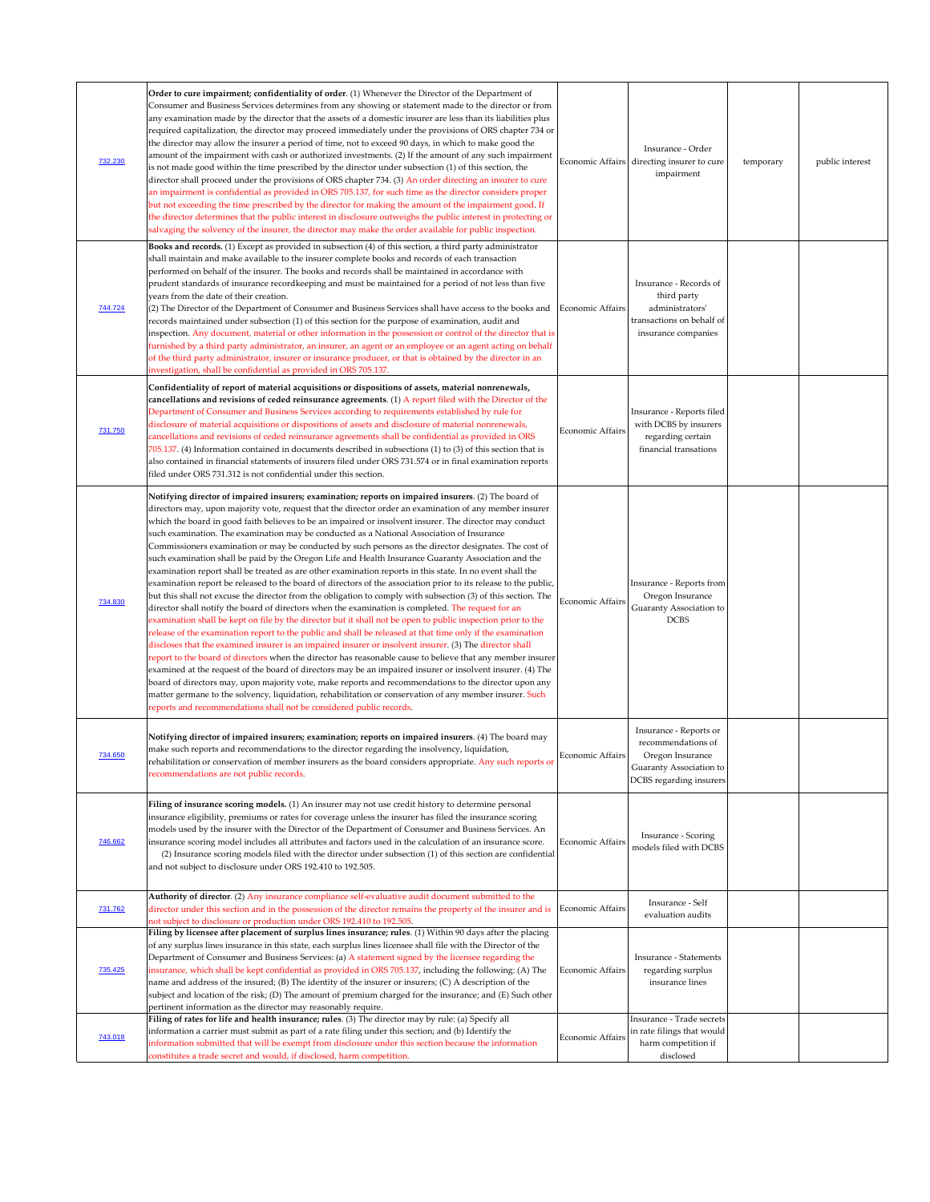| 732.230<br>744.724 | Order to cure impairment; confidentiality of order. (1) Whenever the Director of the Department of<br>Consumer and Business Services determines from any showing or statement made to the director or from<br>any examination made by the director that the assets of a domestic insurer are less than its liabilities plus<br>required capitalization, the director may proceed immediately under the provisions of ORS chapter 734 or<br>the director may allow the insurer a period of time, not to exceed 90 days, in which to make good the<br>amount of the impairment with cash or authorized investments. (2) If the amount of any such impairment<br>is not made good within the time prescribed by the director under subsection (1) of this section, the<br>director shall proceed under the provisions of ORS chapter 734. (3) An order directing an insurer to cure<br>an impairment is confidential as provided in ORS 705.137, for such time as the director considers proper<br>but not exceeding the time prescribed by the director for making the amount of the impairment good. If<br>the director determines that the public interest in disclosure outweighs the public interest in protecting or<br>salvaging the solvency of the insurer, the director may make the order available for public inspection.<br>Books and records. (1) Except as provided in subsection (4) of this section, a third party administrator<br>shall maintain and make available to the insurer complete books and records of each transaction<br>performed on behalf of the insurer. The books and records shall be maintained in accordance with<br>prudent standards of insurance recordkeeping and must be maintained for a period of not less than five<br>years from the date of their creation.<br>(2) The Director of the Department of Consumer and Business Services shall have access to the books and Economic Affairs<br>records maintained under subsection (1) of this section for the purpose of examination, audit and<br>inspection. Any document, material or other information in the possession or control of the director that is<br>furnished by a third party administrator, an insurer, an agent or an employee or an agent acting on behalf<br>of the third party administrator, insurer or insurance producer, or that is obtained by the director in an<br>investigation, shall be confidential as provided in ORS 705.137. |                         | Insurance - Order<br>Economic Affairs directing insurer to cure<br>impairment<br>Insurance - Records of<br>third party<br>administrators'<br>transactions on behalf of<br>insurance companies | temporary | public interest |
|--------------------|------------------------------------------------------------------------------------------------------------------------------------------------------------------------------------------------------------------------------------------------------------------------------------------------------------------------------------------------------------------------------------------------------------------------------------------------------------------------------------------------------------------------------------------------------------------------------------------------------------------------------------------------------------------------------------------------------------------------------------------------------------------------------------------------------------------------------------------------------------------------------------------------------------------------------------------------------------------------------------------------------------------------------------------------------------------------------------------------------------------------------------------------------------------------------------------------------------------------------------------------------------------------------------------------------------------------------------------------------------------------------------------------------------------------------------------------------------------------------------------------------------------------------------------------------------------------------------------------------------------------------------------------------------------------------------------------------------------------------------------------------------------------------------------------------------------------------------------------------------------------------------------------------------------------------------------------------------------------------------------------------------------------------------------------------------------------------------------------------------------------------------------------------------------------------------------------------------------------------------------------------------------------------------------------------------------------------------------------------------------------------------------------------------------------------------------------------------|-------------------------|-----------------------------------------------------------------------------------------------------------------------------------------------------------------------------------------------|-----------|-----------------|
| 731.750            | Confidentiality of report of material acquisitions or dispositions of assets, material nonrenewals,<br>cancellations and revisions of ceded reinsurance agreements. (1) A report filed with the Director of the<br>Department of Consumer and Business Services according to requirements established by rule for<br>disclosure of material acquisitions or dispositions of assets and disclosure of material nonrenewals,<br>cancellations and revisions of ceded reinsurance agreements shall be confidential as provided in ORS<br>705.137. (4) Information contained in documents described in subsections (1) to (3) of this section that is<br>also contained in financial statements of insurers filed under ORS 731.574 or in final examination reports<br>filed under ORS 731.312 is not confidential under this section.                                                                                                                                                                                                                                                                                                                                                                                                                                                                                                                                                                                                                                                                                                                                                                                                                                                                                                                                                                                                                                                                                                                                                                                                                                                                                                                                                                                                                                                                                                                                                                                                                         | <b>Economic Affairs</b> | Insurance - Reports filed<br>with DCBS by insurers<br>regarding certain<br>financial transations                                                                                              |           |                 |
| 734.830            | Notifying director of impaired insurers; examination; reports on impaired insurers. (2) The board of<br>directors may, upon majority vote, request that the director order an examination of any member insurer<br>which the board in good faith believes to be an impaired or insolvent insurer. The director may conduct<br>such examination. The examination may be conducted as a National Association of Insurance<br>Commissioners examination or may be conducted by such persons as the director designates. The cost of<br>such examination shall be paid by the Oregon Life and Health Insurance Guaranty Association and the<br>examination report shall be treated as are other examination reports in this state. In no event shall the<br>examination report be released to the board of directors of the association prior to its release to the public,<br>but this shall not excuse the director from the obligation to comply with subsection (3) of this section. The<br>director shall notify the board of directors when the examination is completed. The request for an<br>examination shall be kept on file by the director but it shall not be open to public inspection prior to the<br>release of the examination report to the public and shall be released at that time only if the examination<br>discloses that the examined insurer is an impaired insurer or insolvent insurer. (3) The director shall<br>report to the board of directors when the director has reasonable cause to believe that any member insurer<br>examined at the request of the board of directors may be an impaired insurer or insolvent insurer. (4) The<br>board of directors may, upon majority vote, make reports and recommendations to the director upon any<br>matter germane to the solvency, liquidation, rehabilitation or conservation of any member insurer. Such<br>reports and recommendations shall not be considered public records.                                                                                                                                                                                                                                                                                                                                                                                                                                                                                             | Economic Affairs        | Insurance - Reports from<br>Oregon Insurance<br>Guaranty Association to<br><b>DCBS</b>                                                                                                        |           |                 |
| 734.650            | Notifying director of impaired insurers; examination; reports on impaired insurers. (4) The board may<br>make such reports and recommendations to the director regarding the insolvency, liquidation,<br>rehabilitation or conservation of member insurers as the board considers appropriate. Any such reports or<br>recommendations are not public records.                                                                                                                                                                                                                                                                                                                                                                                                                                                                                                                                                                                                                                                                                                                                                                                                                                                                                                                                                                                                                                                                                                                                                                                                                                                                                                                                                                                                                                                                                                                                                                                                                                                                                                                                                                                                                                                                                                                                                                                                                                                                                              | Economic Affairs        | Insurance - Reports or<br>recommendations of<br>Oregon Insurance<br>Guaranty Association to<br>DCBS regarding insurers                                                                        |           |                 |
| 746.662            | Filing of insurance scoring models. (1) An insurer may not use credit history to determine personal<br>insurance eligibility, premiums or rates for coverage unless the insurer has filed the insurance scoring<br>models used by the insurer with the Director of the Department of Consumer and Business Services. An<br>insurance scoring model includes all attributes and factors used in the calculation of an insurance score.<br>(2) Insurance scoring models filed with the director under subsection (1) of this section are confidential<br>and not subject to disclosure under ORS 192.410 to 192.505.                                                                                                                                                                                                                                                                                                                                                                                                                                                                                                                                                                                                                                                                                                                                                                                                                                                                                                                                                                                                                                                                                                                                                                                                                                                                                                                                                                                                                                                                                                                                                                                                                                                                                                                                                                                                                                         | Economic Affairs        | <b>Insurance - Scoring</b><br>models filed with DCBS                                                                                                                                          |           |                 |
| 731.762            | Authority of director. (2) Any insurance compliance self-evaluative audit document submitted to the<br>director under this section and in the possession of the director remains the property of the insurer and is Economic Affairs<br>not subject to disclosure or production under ORS 192.410 to 192.505.                                                                                                                                                                                                                                                                                                                                                                                                                                                                                                                                                                                                                                                                                                                                                                                                                                                                                                                                                                                                                                                                                                                                                                                                                                                                                                                                                                                                                                                                                                                                                                                                                                                                                                                                                                                                                                                                                                                                                                                                                                                                                                                                              |                         | Insurance - Self<br>evaluation audits                                                                                                                                                         |           |                 |
| <u>735.425</u>     | Filing by licensee after placement of surplus lines insurance; rules. (1) Within 90 days after the placing<br>of any surplus lines insurance in this state, each surplus lines licensee shall file with the Director of the<br>Department of Consumer and Business Services: (a) A statement signed by the licensee regarding the<br>insurance, which shall be kept confidential as provided in ORS 705.137, including the following: (A) The<br>name and address of the insured; (B) The identity of the insurer or insurers; (C) A description of the<br>subject and location of the risk; (D) The amount of premium charged for the insurance; and (E) Such other<br>pertinent information as the director may reasonably require.                                                                                                                                                                                                                                                                                                                                                                                                                                                                                                                                                                                                                                                                                                                                                                                                                                                                                                                                                                                                                                                                                                                                                                                                                                                                                                                                                                                                                                                                                                                                                                                                                                                                                                                      | <b>Economic Affairs</b> | <b>Insurance - Statements</b><br>regarding surplus<br>insurance lines                                                                                                                         |           |                 |
| 743.018            | Filing of rates for life and health insurance; rules. (3) The director may by rule: (a) Specify all<br>information a carrier must submit as part of a rate filing under this section; and (b) Identify the<br>information submitted that will be exempt from disclosure under this section because the information<br>constitutes a trade secret and would, if disclosed, harm competition.                                                                                                                                                                                                                                                                                                                                                                                                                                                                                                                                                                                                                                                                                                                                                                                                                                                                                                                                                                                                                                                                                                                                                                                                                                                                                                                                                                                                                                                                                                                                                                                                                                                                                                                                                                                                                                                                                                                                                                                                                                                                | <b>Economic Affairs</b> | Insurance - Trade secrets<br>in rate filings that would<br>harm competition if<br>disclosed                                                                                                   |           |                 |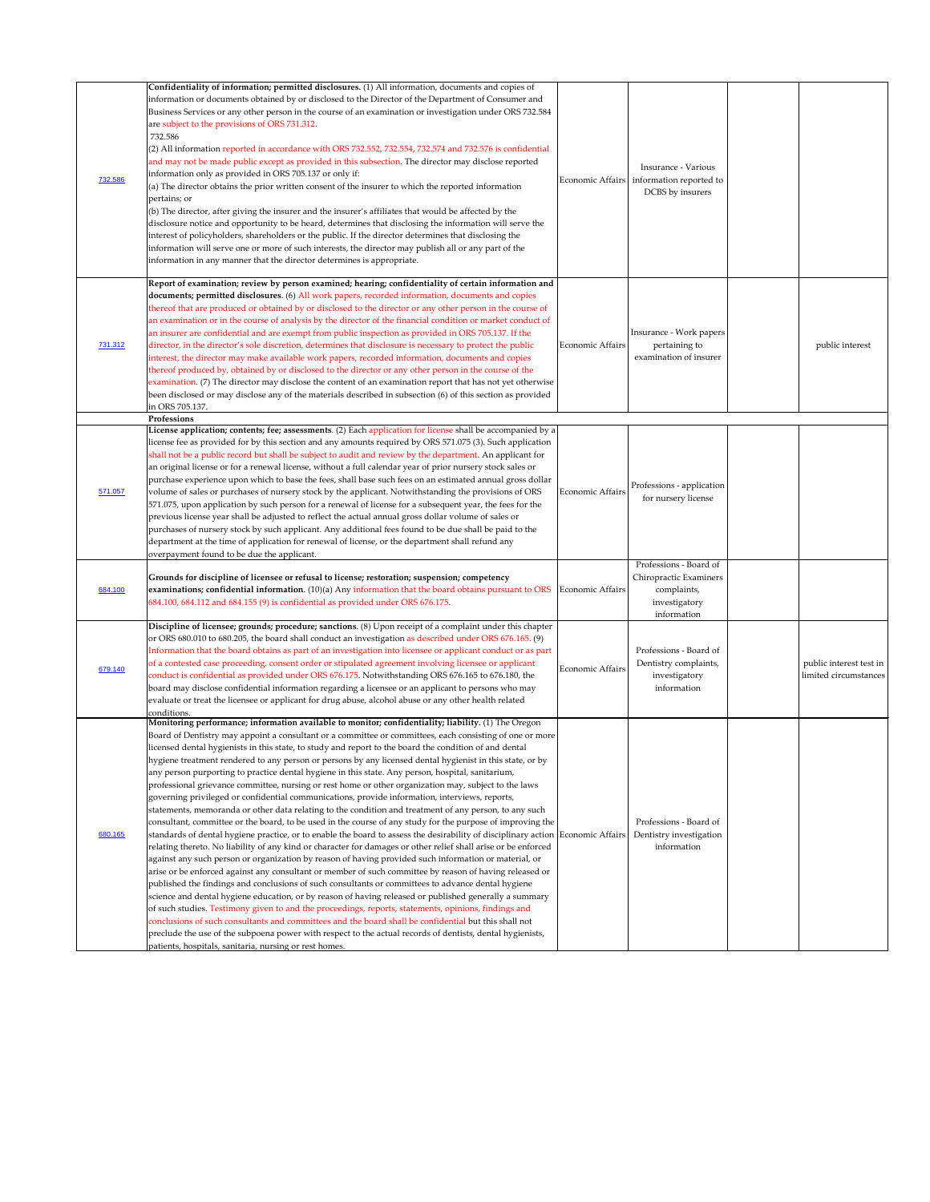|         | Confidentiality of information; permitted disclosures. (1) All information, documents and copies of                                                                                                                                                                                                                                                                                                                                                                                                                                                                                                                                                                                                                                                                                                                                                                                                                                                                                                                                                                                                          |                  |                                                                                                 |                                                  |
|---------|--------------------------------------------------------------------------------------------------------------------------------------------------------------------------------------------------------------------------------------------------------------------------------------------------------------------------------------------------------------------------------------------------------------------------------------------------------------------------------------------------------------------------------------------------------------------------------------------------------------------------------------------------------------------------------------------------------------------------------------------------------------------------------------------------------------------------------------------------------------------------------------------------------------------------------------------------------------------------------------------------------------------------------------------------------------------------------------------------------------|------------------|-------------------------------------------------------------------------------------------------|--------------------------------------------------|
|         | information or documents obtained by or disclosed to the Director of the Department of Consumer and<br>Business Services or any other person in the course of an examination or investigation under ORS 732.584<br>are subject to the provisions of ORS 731.312.<br>732.586<br>(2) All information reported in accordance with ORS 732.552, 732.554, 732.574 and 732.576 is confidential                                                                                                                                                                                                                                                                                                                                                                                                                                                                                                                                                                                                                                                                                                                     |                  |                                                                                                 |                                                  |
| 732.586 | and may not be made public except as provided in this subsection. The director may disclose reported<br>information only as provided in ORS 705.137 or only if:<br>$(a)$ The director obtains the prior written consent of the insurer to which the reported information<br>pertains; or                                                                                                                                                                                                                                                                                                                                                                                                                                                                                                                                                                                                                                                                                                                                                                                                                     |                  | Insurance - Various<br>Economic Affairs information reported to<br>DCBS by insurers             |                                                  |
|         | (b) The director, after giving the insurer and the insurer's affiliates that would be affected by the<br>disclosure notice and opportunity to be heard, determines that disclosing the information will serve the<br>interest of policyholders, shareholders or the public. If the director determines that disclosing the<br>information will serve one or more of such interests, the director may publish all or any part of the<br>information in any manner that the director determines is appropriate.                                                                                                                                                                                                                                                                                                                                                                                                                                                                                                                                                                                                |                  |                                                                                                 |                                                  |
|         | Report of examination; review by person examined; hearing; confidentiality of certain information and<br>documents; permitted disclosures. (6) All work papers, recorded information, documents and copies<br>thereof that are produced or obtained by or disclosed to the director or any other person in the course of<br>an examination or in the course of analysis by the director of the financial condition or market conduct of<br>an insurer are confidential and are exempt from public inspection as provided in ORS 705.137. If the                                                                                                                                                                                                                                                                                                                                                                                                                                                                                                                                                              |                  | Insurance - Work papers                                                                         |                                                  |
| 731.312 | director, in the director's sole discretion, determines that disclosure is necessary to protect the public<br>interest, the director may make available work papers, recorded information, documents and copies<br>thereof produced by, obtained by or disclosed to the director or any other person in the course of the<br>examination. (7) The director may disclose the content of an examination report that has not yet otherwise<br>been disclosed or may disclose any of the materials described in subsection (6) of this section as provided                                                                                                                                                                                                                                                                                                                                                                                                                                                                                                                                                       | Economic Affairs | pertaining to<br>examination of insurer                                                         | public interest                                  |
|         | in ORS 705.137.<br>Professions                                                                                                                                                                                                                                                                                                                                                                                                                                                                                                                                                                                                                                                                                                                                                                                                                                                                                                                                                                                                                                                                               |                  |                                                                                                 |                                                  |
| 571.057 | License application; contents; fee; assessments. (2) Each application for license shall be accompanied by a<br>license fee as provided for by this section and any amounts required by ORS 571.075 (3). Such application<br>shall not be a public record but shall be subject to audit and review by the department. An applicant for<br>an original license or for a renewal license, without a full calendar year of prior nursery stock sales or<br>purchase experience upon which to base the fees, shall base such fees on an estimated annual gross dollar<br>volume of sales or purchases of nursery stock by the applicant. Notwithstanding the provisions of ORS<br>571.075, upon application by such person for a renewal of license for a subsequent year, the fees for the<br>previous license year shall be adjusted to reflect the actual annual gross dollar volume of sales or<br>purchases of nursery stock by such applicant. Any additional fees found to be due shall be paid to the<br>department at the time of application for renewal of license, or the department shall refund any | Economic Affairs | Professions - application<br>for nursery license                                                |                                                  |
|         | overpayment found to be due the applicant.                                                                                                                                                                                                                                                                                                                                                                                                                                                                                                                                                                                                                                                                                                                                                                                                                                                                                                                                                                                                                                                                   |                  |                                                                                                 |                                                  |
| 684.100 | Grounds for discipline of licensee or refusal to license; restoration; suspension; competency<br>examinations; confidential information. $(10)(a)$ Any information that the board obtains pursuant to ORS Economic Affairs<br>684.100, 684.112 and 684.155 (9) is confidential as provided under ORS 676.175.                                                                                                                                                                                                                                                                                                                                                                                                                                                                                                                                                                                                                                                                                                                                                                                                |                  | Professions - Board of<br>Chiropractic Examiners<br>complaints,<br>investigatory<br>information |                                                  |
|         | Discipline of licensee; grounds; procedure; sanctions. (8) Upon receipt of a complaint under this chapter<br>or ORS 680.010 to 680.205, the board shall conduct an investigation as described under ORS 676.165. (9)<br>Information that the board obtains as part of an investigation into licensee or applicant conduct or as part                                                                                                                                                                                                                                                                                                                                                                                                                                                                                                                                                                                                                                                                                                                                                                         |                  | Professions - Board of                                                                          |                                                  |
| 679.140 | of a contested case proceeding, consent order or stipulated agreement involving licensee or applicant<br>conduct is confidential as provided under ORS 676.175. Notwithstanding ORS 676.165 to 676.180, the<br>board may disclose confidential information regarding a licensee or an applicant to persons who may<br>evaluate or treat the licensee or applicant for drug abuse, alcohol abuse or any other health related<br>conditions.                                                                                                                                                                                                                                                                                                                                                                                                                                                                                                                                                                                                                                                                   | Economic Affairs | Dentistry complaints,<br>investigatory<br>information                                           | public interest test in<br>limited circumstances |
|         | Monitoring performance; information available to monitor; confidentiality; liability. (1) The Oregon<br>Board of Dentistry may appoint a consultant or a committee or committees, each consisting of one or more<br>licensed dental hygienists in this state, to study and report to the board the condition of and dental<br>hygiene treatment rendered to any person or persons by any licensed dental hygienist in this state, or by                                                                                                                                                                                                                                                                                                                                                                                                                                                                                                                                                                                                                                                                      |                  |                                                                                                 |                                                  |
| 680.165 | any person purporting to practice dental hygiene in this state. Any person, hospital, sanitarium,<br>professional grievance committee, nursing or rest home or other organization may, subject to the laws<br>governing privileged or confidential communications, provide information, interviews, reports,<br>statements, memoranda or other data relating to the condition and treatment of any person, to any such<br>consultant, committee or the board, to be used in the course of any study for the purpose of improving the                                                                                                                                                                                                                                                                                                                                                                                                                                                                                                                                                                         |                  | Professions - Board of                                                                          |                                                  |
|         | standards of dental hygiene practice, or to enable the board to assess the desirability of disciplinary action Economic Affairs<br>relating thereto. No liability of any kind or character for damages or other relief shall arise or be enforced<br>against any such person or organization by reason of having provided such information or material, or<br>arise or be enforced against any consultant or member of such committee by reason of having released or<br>published the findings and conclusions of such consultants or committees to advance dental hygiene<br>science and dental hygiene education, or by reason of having released or published generally a summary<br>of such studies. Testimony given to and the proceedings, reports, statements, opinions, findings and                                                                                                                                                                                                                                                                                                                |                  | Dentistry investigation<br>information                                                          |                                                  |
|         | conclusions of such consultants and committees and the board shall be confidential but this shall not<br>preclude the use of the subpoena power with respect to the actual records of dentists, dental hygienists,<br>patients, hospitals, sanitaria, nursing or rest homes.                                                                                                                                                                                                                                                                                                                                                                                                                                                                                                                                                                                                                                                                                                                                                                                                                                 |                  |                                                                                                 |                                                  |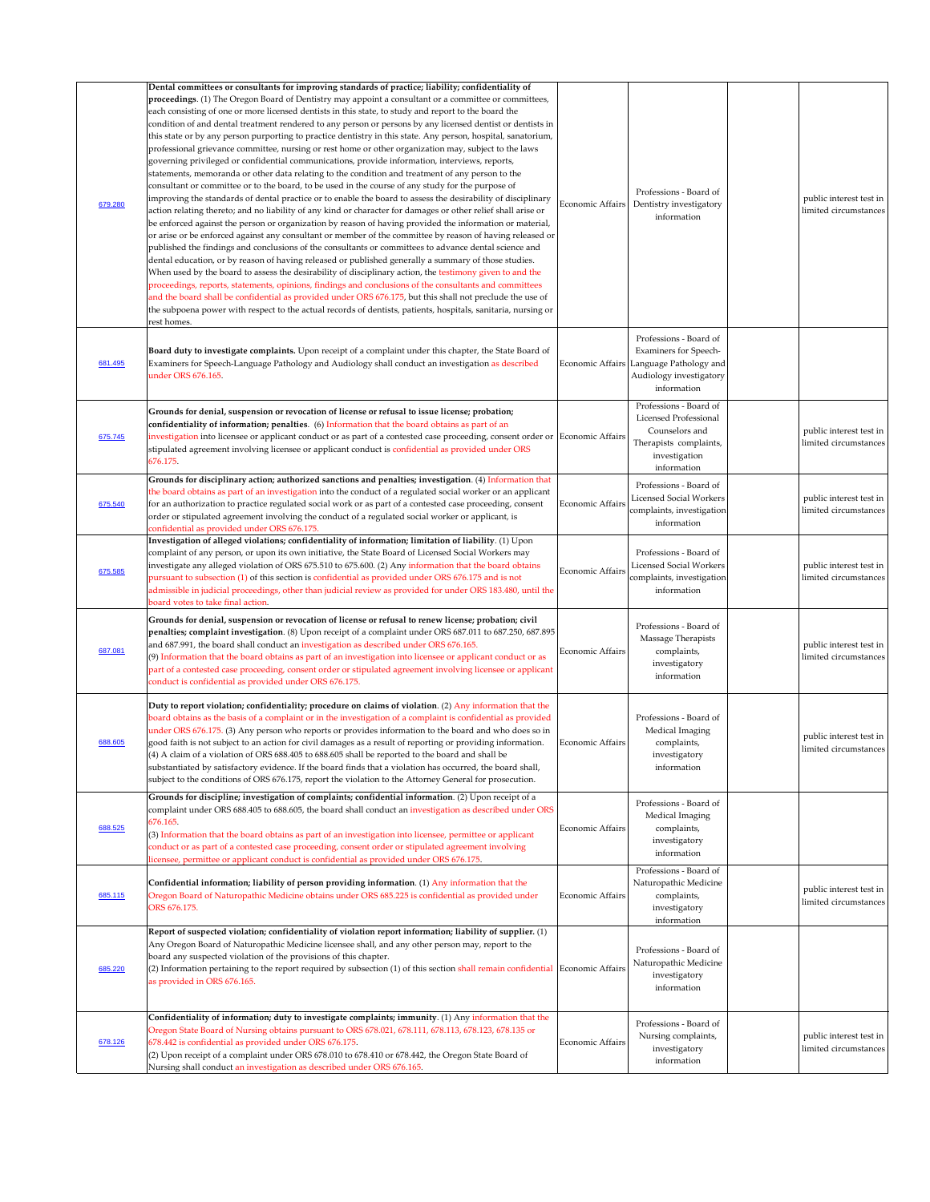| 679.280 | Dental committees or consultants for improving standards of practice; liability; confidentiality of<br>proceedings. (1) The Oregon Board of Dentistry may appoint a consultant or a committee or committees,<br>each consisting of one or more licensed dentists in this state, to study and report to the board the<br>condition of and dental treatment rendered to any person or persons by any licensed dentist or dentists in<br>this state or by any person purporting to practice dentistry in this state. Any person, hospital, sanatorium,<br>professional grievance committee, nursing or rest home or other organization may, subject to the laws<br>governing privileged or confidential communications, provide information, interviews, reports,<br>statements, memoranda or other data relating to the condition and treatment of any person to the<br>consultant or committee or to the board, to be used in the course of any study for the purpose of<br>improving the standards of dental practice or to enable the board to assess the desirability of disciplinary<br>action relating thereto; and no liability of any kind or character for damages or other relief shall arise or<br>be enforced against the person or organization by reason of having provided the information or material,<br>or arise or be enforced against any consultant or member of the committee by reason of having released or<br>published the findings and conclusions of the consultants or committees to advance dental science and<br>dental education, or by reason of having released or published generally a summary of those studies.<br>When used by the board to assess the desirability of disciplinary action, the testimony given to and the<br>proceedings, reports, statements, opinions, findings and conclusions of the consultants and committees<br>and the board shall be confidential as provided under ORS 676.175, but this shall not preclude the use of<br>the subpoena power with respect to the actual records of dentists, patients, hospitals, sanitaria, nursing or<br>rest homes. | Economic Affairs        | Professions - Board of<br>Dentistry investigatory<br>information                                                                            | public interest test in<br>limited circumstances |
|---------|-----------------------------------------------------------------------------------------------------------------------------------------------------------------------------------------------------------------------------------------------------------------------------------------------------------------------------------------------------------------------------------------------------------------------------------------------------------------------------------------------------------------------------------------------------------------------------------------------------------------------------------------------------------------------------------------------------------------------------------------------------------------------------------------------------------------------------------------------------------------------------------------------------------------------------------------------------------------------------------------------------------------------------------------------------------------------------------------------------------------------------------------------------------------------------------------------------------------------------------------------------------------------------------------------------------------------------------------------------------------------------------------------------------------------------------------------------------------------------------------------------------------------------------------------------------------------------------------------------------------------------------------------------------------------------------------------------------------------------------------------------------------------------------------------------------------------------------------------------------------------------------------------------------------------------------------------------------------------------------------------------------------------------------------------------------------------------------------------------------------------|-------------------------|---------------------------------------------------------------------------------------------------------------------------------------------|--------------------------------------------------|
| 681.495 | Board duty to investigate complaints. Upon receipt of a complaint under this chapter, the State Board of<br>Examiners for Speech-Language Pathology and Audiology shall conduct an investigation as described<br>under ORS 676.165.                                                                                                                                                                                                                                                                                                                                                                                                                                                                                                                                                                                                                                                                                                                                                                                                                                                                                                                                                                                                                                                                                                                                                                                                                                                                                                                                                                                                                                                                                                                                                                                                                                                                                                                                                                                                                                                                                   |                         | Professions - Board of<br><b>Examiners for Speech-</b><br>Economic Affairs Language Pathology and<br>Audiology investigatory<br>information |                                                  |
| 675.745 | Grounds for denial, suspension or revocation of license or refusal to issue license; probation;<br>confidentiality of information; penalties. (6) Information that the board obtains as part of an<br>investigation into licensee or applicant conduct or as part of a contested case proceeding, consent order or Economic Affairs<br>stipulated agreement involving licensee or applicant conduct is confidential as provided under ORS<br>676.175.                                                                                                                                                                                                                                                                                                                                                                                                                                                                                                                                                                                                                                                                                                                                                                                                                                                                                                                                                                                                                                                                                                                                                                                                                                                                                                                                                                                                                                                                                                                                                                                                                                                                 |                         | Professions - Board of<br><b>Licensed Professional</b><br>Counselors and<br>Therapists complaints,<br>investigation<br>information          | public interest test in<br>limited circumstances |
| 675.540 | Grounds for disciplinary action; authorized sanctions and penalties; investigation. (4) Information that<br>the board obtains as part of an investigation into the conduct of a regulated social worker or an applicant<br>for an authorization to practice regulated social work or as part of a contested case proceeding, consent<br>order or stipulated agreement involving the conduct of a regulated social worker or applicant, is<br>confidential as provided under ORS 676.175.                                                                                                                                                                                                                                                                                                                                                                                                                                                                                                                                                                                                                                                                                                                                                                                                                                                                                                                                                                                                                                                                                                                                                                                                                                                                                                                                                                                                                                                                                                                                                                                                                              | <b>Economic Affairs</b> | Professions - Board of<br><b>Licensed Social Workers</b><br>complaints, investigation<br>information                                        | public interest test in<br>limited circumstances |
| 675.585 | Investigation of alleged violations; confidentiality of information; limitation of liability. (1) Upon<br>complaint of any person, or upon its own initiative, the State Board of Licensed Social Workers may<br>investigate any alleged violation of ORS 675.510 to 675.600. (2) Any information that the board obtains<br>pursuant to subsection (1) of this section is confidential as provided under ORS 676.175 and is not<br>admissible in judicial proceedings, other than judicial review as provided for under ORS 183.480, until the<br>board votes to take final action.                                                                                                                                                                                                                                                                                                                                                                                                                                                                                                                                                                                                                                                                                                                                                                                                                                                                                                                                                                                                                                                                                                                                                                                                                                                                                                                                                                                                                                                                                                                                   | Economic Affairs        | Professions - Board of<br><b>Licensed Social Workers</b><br>complaints, investigation<br>information                                        | public interest test in<br>limited circumstances |
| 687.081 | Grounds for denial, suspension or revocation of license or refusal to renew license; probation; civil<br>penalties; complaint investigation. (8) Upon receipt of a complaint under ORS 687.011 to 687.250, 687.895<br>and 687.991, the board shall conduct an investigation as described under ORS 676.165.<br>$(9)$ Information that the board obtains as part of an investigation into licensee or applicant conduct or as<br>part of a contested case proceeding, consent order or stipulated agreement involving licensee or applicant<br>conduct is confidential as provided under ORS 676.175.                                                                                                                                                                                                                                                                                                                                                                                                                                                                                                                                                                                                                                                                                                                                                                                                                                                                                                                                                                                                                                                                                                                                                                                                                                                                                                                                                                                                                                                                                                                  | Economic Affairs        | Professions - Board of<br>Massage Therapists<br>complaints,<br>investigatory<br>information                                                 | public interest test in<br>limited circumstances |
| 688.605 | Duty to report violation; confidentiality; procedure on claims of violation. (2) Any information that the<br>board obtains as the basis of a complaint or in the investigation of a complaint is confidential as provided<br>under ORS 676.175. (3) Any person who reports or provides information to the board and who does so in<br>good faith is not subject to an action for civil damages as a result of reporting or providing information.<br>$(4)$ A claim of a violation of ORS 688.405 to 688.605 shall be reported to the board and shall be<br>substantiated by satisfactory evidence. If the board finds that a violation has occurred, the board shall,<br>subject to the conditions of ORS 676.175, report the violation to the Attorney General for prosecution.                                                                                                                                                                                                                                                                                                                                                                                                                                                                                                                                                                                                                                                                                                                                                                                                                                                                                                                                                                                                                                                                                                                                                                                                                                                                                                                                      | <b>Economic Affairs</b> | Professions - Board of<br>Medical Imaging<br>complaints,<br>investigatory<br>information                                                    | public interest test in<br>limited circumstances |
| 688.525 | Grounds for discipline; investigation of complaints; confidential information. (2) Upon receipt of a<br>complaint under ORS 688.405 to 688.605, the board shall conduct an investigation as described under ORS<br>676.165.<br>(3) Information that the board obtains as part of an investigation into licensee, permittee or applicant<br>conduct or as part of a contested case proceeding, consent order or stipulated agreement involving<br>licensee, permittee or applicant conduct is confidential as provided under ORS 676.175.                                                                                                                                                                                                                                                                                                                                                                                                                                                                                                                                                                                                                                                                                                                                                                                                                                                                                                                                                                                                                                                                                                                                                                                                                                                                                                                                                                                                                                                                                                                                                                              | <b>Economic Affairs</b> | Professions - Board of<br>Medical Imaging<br>complaints,<br>investigatory<br>information                                                    |                                                  |
| 685.115 | Confidential information; liability of person providing information. (1) Any information that the<br>Oregon Board of Naturopathic Medicine obtains under ORS 685.225 is confidential as provided under<br>ORS 676.175.                                                                                                                                                                                                                                                                                                                                                                                                                                                                                                                                                                                                                                                                                                                                                                                                                                                                                                                                                                                                                                                                                                                                                                                                                                                                                                                                                                                                                                                                                                                                                                                                                                                                                                                                                                                                                                                                                                | Economic Affairs        | Professions - Board of<br>Naturopathic Medicine<br>complaints,<br>investigatory<br>information                                              | public interest test in<br>limited circumstances |
| 685.220 | Report of suspected violation; confidentiality of violation report information; liability of supplier. $(1)$<br>Any Oregon Board of Naturopathic Medicine licensee shall, and any other person may, report to the<br>board any suspected violation of the provisions of this chapter.<br>$(2)$ Information pertaining to the report required by subsection $(1)$ of this section shall remain confidential Economic Affairs<br>as provided in ORS 676.165.                                                                                                                                                                                                                                                                                                                                                                                                                                                                                                                                                                                                                                                                                                                                                                                                                                                                                                                                                                                                                                                                                                                                                                                                                                                                                                                                                                                                                                                                                                                                                                                                                                                            |                         | Professions - Board of<br>Naturopathic Medicine<br>investigatory<br>information                                                             |                                                  |
| 678.126 | Confidentiality of information; duty to investigate complaints; immunity. (1) Any information that the<br>Oregon State Board of Nursing obtains pursuant to ORS 678.021, 678.111, 678.113, 678.123, 678.135 or<br>678.442 is confidential as provided under ORS 676.175.<br>$(2)$ Upon receipt of a complaint under ORS 678.010 to 678.410 or 678.442, the Oregon State Board of<br>Nursing shall conduct an investigation as described under ORS 676.165.                                                                                                                                                                                                                                                                                                                                                                                                                                                                                                                                                                                                                                                                                                                                                                                                                                                                                                                                                                                                                                                                                                                                                                                                                                                                                                                                                                                                                                                                                                                                                                                                                                                            | Economic Affairs        | Professions - Board of<br>Nursing complaints,<br>investigatory<br>information                                                               | public interest test in<br>limited circumstances |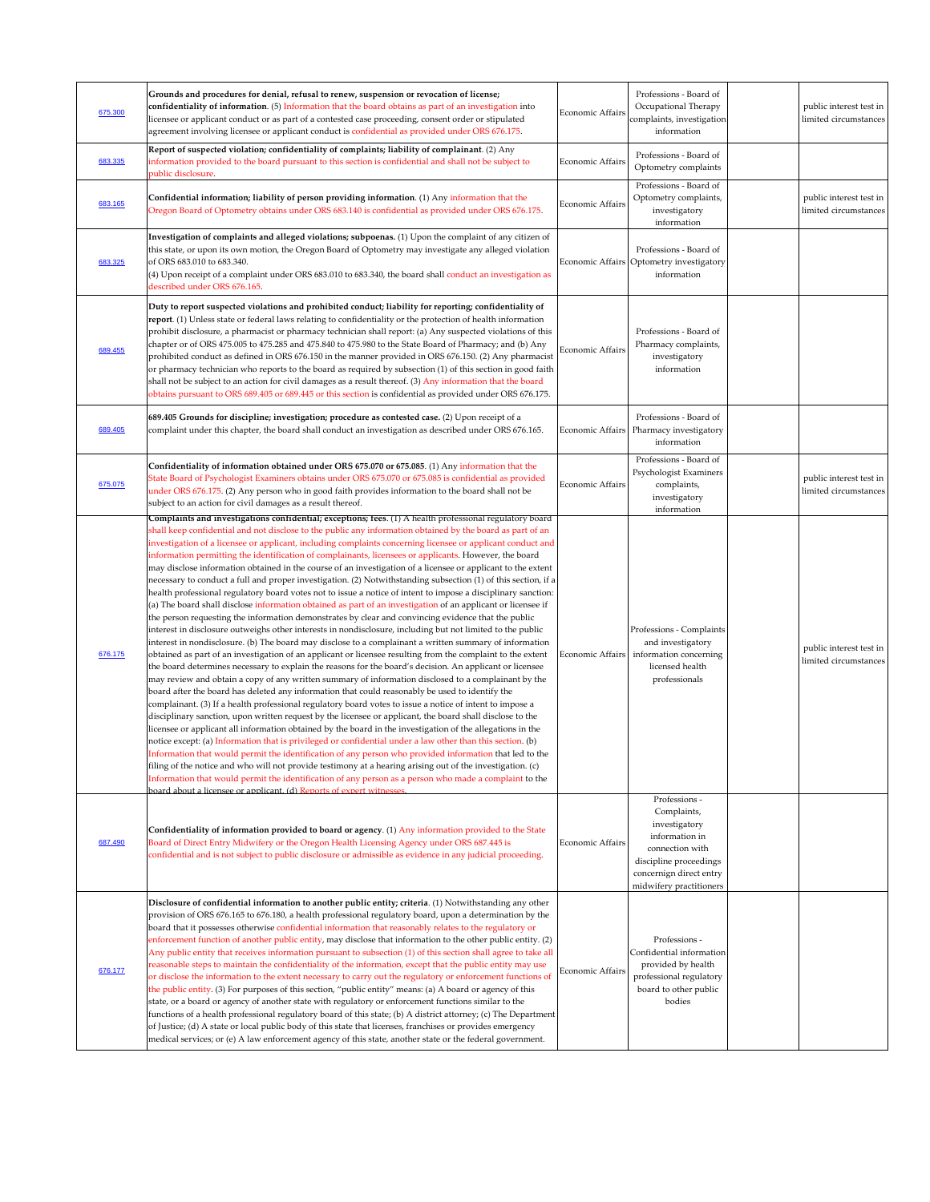| 675.300 | Grounds and procedures for denial, refusal to renew, suspension or revocation of license;<br>confidentiality of information. (5) Information that the board obtains as part of an investigation into<br>licensee or applicant conduct or as part of a contested case proceeding, consent order or stipulated<br>agreement involving licensee or applicant conduct is confidential as provided under ORS 676.175.                                                                                                                                                                                                                                                                                                                                                                                                                                                                                                                                                                                                                                                                                                                                                                                                                                                                                                                                                                                                                                                                                                                                                                                                                                                                                                                                                                                                                                                                                                                                                                                                                                                                                                                                                                                                                                                                                                                                                                                                                                                                                                                                          | <b>Economic Affairs</b> | Professions - Board of<br>Occupational Therapy<br>complaints, investigation<br>information                                                                         | public interest test in<br>limited circumstances |
|---------|-----------------------------------------------------------------------------------------------------------------------------------------------------------------------------------------------------------------------------------------------------------------------------------------------------------------------------------------------------------------------------------------------------------------------------------------------------------------------------------------------------------------------------------------------------------------------------------------------------------------------------------------------------------------------------------------------------------------------------------------------------------------------------------------------------------------------------------------------------------------------------------------------------------------------------------------------------------------------------------------------------------------------------------------------------------------------------------------------------------------------------------------------------------------------------------------------------------------------------------------------------------------------------------------------------------------------------------------------------------------------------------------------------------------------------------------------------------------------------------------------------------------------------------------------------------------------------------------------------------------------------------------------------------------------------------------------------------------------------------------------------------------------------------------------------------------------------------------------------------------------------------------------------------------------------------------------------------------------------------------------------------------------------------------------------------------------------------------------------------------------------------------------------------------------------------------------------------------------------------------------------------------------------------------------------------------------------------------------------------------------------------------------------------------------------------------------------------------------------------------------------------------------------------------------------------|-------------------------|--------------------------------------------------------------------------------------------------------------------------------------------------------------------|--------------------------------------------------|
| 683.335 | Report of suspected violation; confidentiality of complaints; liability of complainant. (2) Any<br>information provided to the board pursuant to this section is confidential and shall not be subject to<br>public disclosure.                                                                                                                                                                                                                                                                                                                                                                                                                                                                                                                                                                                                                                                                                                                                                                                                                                                                                                                                                                                                                                                                                                                                                                                                                                                                                                                                                                                                                                                                                                                                                                                                                                                                                                                                                                                                                                                                                                                                                                                                                                                                                                                                                                                                                                                                                                                           | Economic Affairs        | Professions - Board of<br>Optometry complaints                                                                                                                     |                                                  |
| 683.165 | Confidential information; liability of person providing information. (1) Any information that the<br>Oregon Board of Optometry obtains under ORS 683.140 is confidential as provided under ORS 676.175.                                                                                                                                                                                                                                                                                                                                                                                                                                                                                                                                                                                                                                                                                                                                                                                                                                                                                                                                                                                                                                                                                                                                                                                                                                                                                                                                                                                                                                                                                                                                                                                                                                                                                                                                                                                                                                                                                                                                                                                                                                                                                                                                                                                                                                                                                                                                                   | Economic Affairs        | Professions - Board of<br>Optometry complaints,<br>investigatory<br>information                                                                                    | public interest test in<br>limited circumstances |
| 683.325 | Investigation of complaints and alleged violations; subpoenas. (1) Upon the complaint of any citizen of<br>this state, or upon its own motion, the Oregon Board of Optometry may investigate any alleged violation<br>of ORS 683.010 to 683.340.<br>(4) Upon receipt of a complaint under ORS 683.010 to 683.340, the board shall conduct an investigation as<br>described under ORS 676.165.                                                                                                                                                                                                                                                                                                                                                                                                                                                                                                                                                                                                                                                                                                                                                                                                                                                                                                                                                                                                                                                                                                                                                                                                                                                                                                                                                                                                                                                                                                                                                                                                                                                                                                                                                                                                                                                                                                                                                                                                                                                                                                                                                             |                         | Professions - Board of<br>Economic Affairs Optometry investigatory<br>information                                                                                  |                                                  |
| 689.455 | Duty to report suspected violations and prohibited conduct; liability for reporting; confidentiality of<br>report. (1) Unless state or federal laws relating to confidentiality or the protection of health information<br>prohibit disclosure, a pharmacist or pharmacy technician shall report: (a) Any suspected violations of this<br>chapter or of ORS 475.005 to 475.285 and 475.840 to 475.980 to the State Board of Pharmacy; and (b) Any<br>prohibited conduct as defined in ORS 676.150 in the manner provided in ORS 676.150. (2) Any pharmacist<br>or pharmacy technician who reports to the board as required by subsection (1) of this section in good faith<br>shall not be subject to an action for civil damages as a result thereof. (3) Any information that the board<br>obtains pursuant to ORS 689.405 or 689.445 or this section is confidential as provided under ORS 676.175.                                                                                                                                                                                                                                                                                                                                                                                                                                                                                                                                                                                                                                                                                                                                                                                                                                                                                                                                                                                                                                                                                                                                                                                                                                                                                                                                                                                                                                                                                                                                                                                                                                                    | <b>Economic Affairs</b> | Professions - Board of<br>Pharmacy complaints,<br>investigatory<br>information                                                                                     |                                                  |
| 689.405 | 689.405 Grounds for discipline; investigation; procedure as contested case. (2) Upon receipt of a<br>complaint under this chapter, the board shall conduct an investigation as described under ORS 676.165.                                                                                                                                                                                                                                                                                                                                                                                                                                                                                                                                                                                                                                                                                                                                                                                                                                                                                                                                                                                                                                                                                                                                                                                                                                                                                                                                                                                                                                                                                                                                                                                                                                                                                                                                                                                                                                                                                                                                                                                                                                                                                                                                                                                                                                                                                                                                               |                         | Professions - Board of<br>Economic Affairs   Pharmacy investigatory<br>information                                                                                 |                                                  |
| 675.075 | Confidentiality of information obtained under ORS 675.070 or 675.085. (1) Any information that the<br>State Board of Psychologist Examiners obtains under ORS 675.070 or 675.085 is confidential as provided<br>under ORS 676.175. (2) Any person who in good faith provides information to the board shall not be<br>subject to an action for civil damages as a result thereof.                                                                                                                                                                                                                                                                                                                                                                                                                                                                                                                                                                                                                                                                                                                                                                                                                                                                                                                                                                                                                                                                                                                                                                                                                                                                                                                                                                                                                                                                                                                                                                                                                                                                                                                                                                                                                                                                                                                                                                                                                                                                                                                                                                         | Economic Affairs        | Professions - Board of<br>Psychologist Examiners<br>complaints,<br>investigatory<br>information                                                                    | public interest test in<br>limited circumstances |
| 676.175 | Complaints and investigations confidential; exceptions; fees. (1) A health professional regulatory board<br>shall keep confidential and not disclose to the public any information obtained by the board as part of an<br>investigation of a licensee or applicant, including complaints concerning licensee or applicant conduct and<br>information permitting the identification of complainants, licensees or applicants. However, the board<br>may disclose information obtained in the course of an investigation of a licensee or applicant to the extent<br>necessary to conduct a full and proper investigation. (2) Notwithstanding subsection (1) of this section, if a<br>health professional regulatory board votes not to issue a notice of intent to impose a disciplinary sanction:<br>(a) The board shall disclose information obtained as part of an investigation of an applicant or licensee if<br>the person requesting the information demonstrates by clear and convincing evidence that the public<br>interest in disclosure outweighs other interests in nondisclosure, including but not limited to the public<br>interest in nondisclosure. (b) The board may disclose to a complainant a written summary of information<br>obtained as part of an investigation of an applicant or licensee resulting from the complaint to the extent<br>the board determines necessary to explain the reasons for the board's decision. An applicant or licensee<br>may review and obtain a copy of any written summary of information disclosed to a complainant by the<br>board after the board has deleted any information that could reasonably be used to identify the<br>complainant. (3) If a health professional regulatory board votes to issue a notice of intent to impose a<br>disciplinary sanction, upon written request by the licensee or applicant, the board shall disclose to the<br>licensee or applicant all information obtained by the board in the investigation of the allegations in the<br>notice except: (a) Information that is privileged or confidential under a law other than this section. (b)<br>Information that would permit the identification of any person who provided information that led to the<br>filing of the notice and who will not provide testimony at a hearing arising out of the investigation. (c)<br>Information that would permit the identification of any person as a person who made a complaint to the<br>board about a licensee or applicant. (d) Reports of expert witnesses. | Economic Affairs        | Professions - Complaints<br>and investigatory<br>information concerning<br>licensed health<br>professionals                                                        | public interest test in<br>limited circumstances |
| 687.490 | Confidentiality of information provided to board or agency. (1) Any information provided to the State<br>Board of Direct Entry Midwifery or the Oregon Health Licensing Agency under ORS 687.445 is<br>confidential and is not subject to public disclosure or admissible as evidence in any judicial proceeding.                                                                                                                                                                                                                                                                                                                                                                                                                                                                                                                                                                                                                                                                                                                                                                                                                                                                                                                                                                                                                                                                                                                                                                                                                                                                                                                                                                                                                                                                                                                                                                                                                                                                                                                                                                                                                                                                                                                                                                                                                                                                                                                                                                                                                                         | <b>Economic Affairs</b> | Professions -<br>Complaints,<br>investigatory<br>information in<br>connection with<br>discipline proceedings<br>concernign direct entry<br>midwifery practitioners |                                                  |
| 676.177 | Disclosure of confidential information to another public entity; criteria. (1) Notwithstanding any other<br>provision of ORS 676.165 to 676.180, a health professional regulatory board, upon a determination by the<br>board that it possesses otherwise confidential information that reasonably relates to the regulatory or<br>enforcement function of another public entity, may disclose that information to the other public entity. (2)<br>Any public entity that receives information pursuant to subsection (1) of this section shall agree to take all<br>reasonable steps to maintain the confidentiality of the information, except that the public entity may use<br>or disclose the information to the extent necessary to carry out the regulatory or enforcement functions of<br>the public entity. (3) For purposes of this section, "public entity" means: (a) A board or agency of this<br>state, or a board or agency of another state with regulatory or enforcement functions similar to the<br>functions of a health professional regulatory board of this state; (b) A district attorney; (c) The Department<br>of Justice; (d) A state or local public body of this state that licenses, franchises or provides emergency<br>medical services; or (e) A law enforcement agency of this state, another state or the federal government.                                                                                                                                                                                                                                                                                                                                                                                                                                                                                                                                                                                                                                                                                                                                                                                                                                                                                                                                                                                                                                                                                                                                                                                          | Economic Affairs        | Professions -<br>Confidential information<br>provided by health<br>professional regulatory<br>board to other public<br>bodies                                      |                                                  |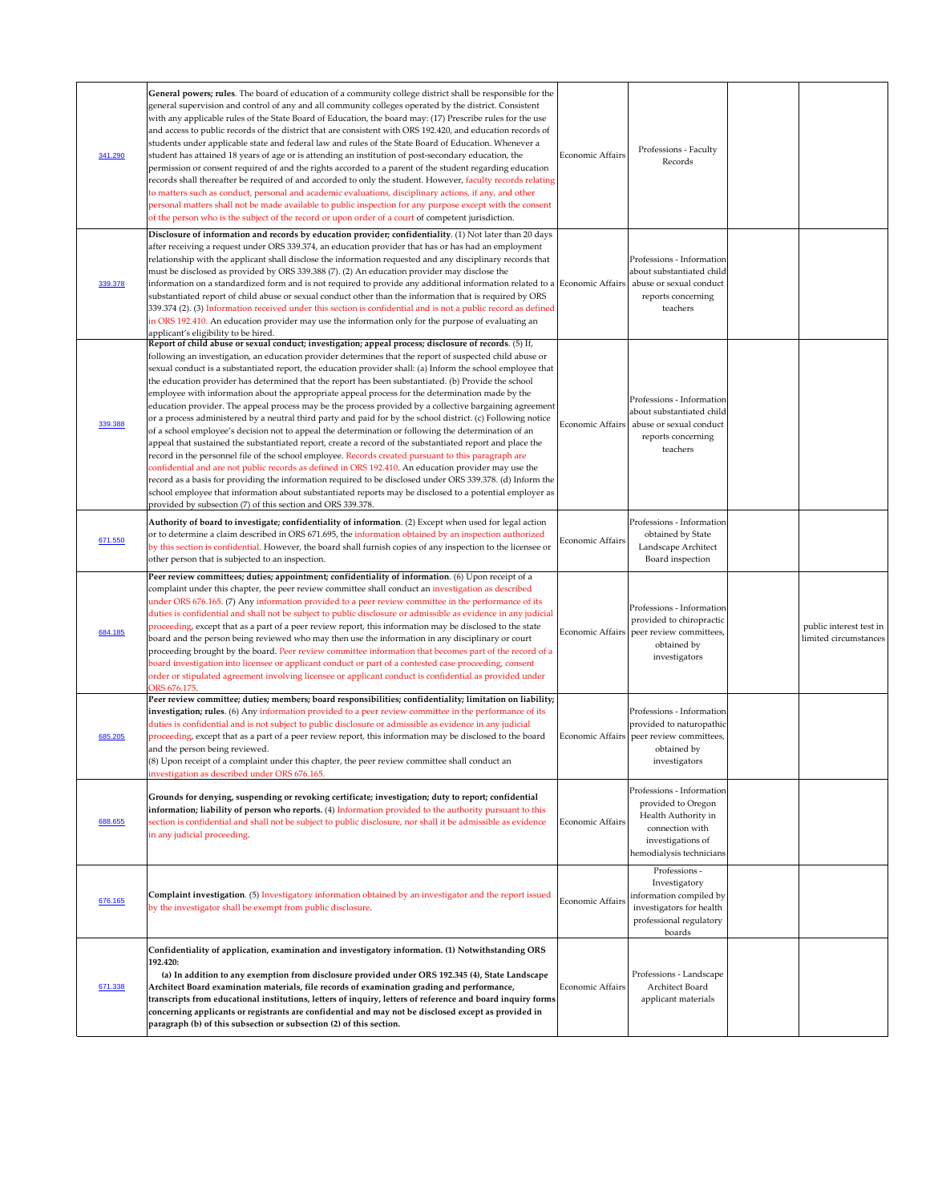| 341.290 | General powers; rules. The board of education of a community college district shall be responsible for the<br>general supervision and control of any and all community colleges operated by the district. Consistent<br>with any applicable rules of the State Board of Education, the board may: (17) Prescribe rules for the use<br>and access to public records of the district that are consistent with ORS 192.420, and education records of<br>students under applicable state and federal law and rules of the State Board of Education. Whenever a<br>student has attained 18 years of age or is attending an institution of post-secondary education, the<br>permission or consent required of and the rights accorded to a parent of the student regarding education<br>records shall thereafter be required of and accorded to only the student. However, faculty records relating<br>to matters such as conduct, personal and academic evaluations, disciplinary actions, if any, and other<br>personal matters shall not be made available to public inspection for any purpose except with the consent<br>of the person who is the subject of the record or upon order of a court of competent jurisdiction.                                                                                                                                                                                                                                                                            | Economic Affairs        | Professions - Faculty<br>Records                                                                                                           |                                                  |
|---------|-------------------------------------------------------------------------------------------------------------------------------------------------------------------------------------------------------------------------------------------------------------------------------------------------------------------------------------------------------------------------------------------------------------------------------------------------------------------------------------------------------------------------------------------------------------------------------------------------------------------------------------------------------------------------------------------------------------------------------------------------------------------------------------------------------------------------------------------------------------------------------------------------------------------------------------------------------------------------------------------------------------------------------------------------------------------------------------------------------------------------------------------------------------------------------------------------------------------------------------------------------------------------------------------------------------------------------------------------------------------------------------------------------------------------------------------------------------------------------------------------------|-------------------------|--------------------------------------------------------------------------------------------------------------------------------------------|--------------------------------------------------|
| 339.378 | Disclosure of information and records by education provider; confidentiality. (1) Not later than 20 days<br>after receiving a request under ORS 339.374, an education provider that has or has had an employment<br>relationship with the applicant shall disclose the information requested and any disciplinary records that<br>must be disclosed as provided by ORS 339.388 (7). (2) An education provider may disclose the<br>information on a standardized form and is not required to provide any additional information related to a Economic Affairs<br>substantiated report of child abuse or sexual conduct other than the information that is required by ORS<br>339.374 (2). (3) Information received under this section is confidential and is not a public record as defined<br>in ORS 192.410. An education provider may use the information only for the purpose of evaluating an<br>applicant's eligibility to be hired.                                                                                                                                                                                                                                                                                                                                                                                                                                                                                                                                                             |                         | Professions - Information<br>about substantiated child<br>abuse or sexual conduct<br>reports concerning<br>teachers                        |                                                  |
| 339.388 | Report of child abuse or sexual conduct; investigation; appeal process; disclosure of records. (5) If,<br>following an investigation, an education provider determines that the report of suspected child abuse or<br>sexual conduct is a substantiated report, the education provider shall: (a) Inform the school employee that<br>the education provider has determined that the report has been substantiated. (b) Provide the school<br>employee with information about the appropriate appeal process for the determination made by the<br>education provider. The appeal process may be the process provided by a collective bargaining agreement<br>or a process administered by a neutral third party and paid for by the school district. (c) Following notice<br>of a school employee's decision not to appeal the determination or following the determination of an<br>appeal that sustained the substantiated report, create a record of the substantiated report and place the<br>record in the personnel file of the school employee. Records created pursuant to this paragraph are<br>confidential and are not public records as defined in ORS 192.410. An education provider may use the<br>record as a basis for providing the information required to be disclosed under ORS 339.378. (d) Inform the<br>school employee that information about substantiated reports may be disclosed to a potential employer as<br>provided by subsection (7) of this section and ORS 339.378. | Economic Affairs        | Professions - Information<br>about substantiated child<br>abuse or sexual conduct<br>reports concerning<br>teachers                        |                                                  |
| 671.550 | Authority of board to investigate; confidentiality of information. (2) Except when used for legal action<br>or to determine a claim described in ORS 671.695, the information obtained by an inspection authorized<br>by this section is confidential. However, the board shall furnish copies of any inspection to the licensee or<br>other person that is subjected to an inspection.                                                                                                                                                                                                                                                                                                                                                                                                                                                                                                                                                                                                                                                                                                                                                                                                                                                                                                                                                                                                                                                                                                               | Economic Affairs        | Professions - Information<br>obtained by State<br>Landscape Architect<br>Board inspection                                                  |                                                  |
| 684.185 | Peer review committees; duties; appointment; confidentiality of information. (6) Upon receipt of a<br>complaint under this chapter, the peer review committee shall conduct an investigation as described<br>under ORS 676.165. (7) Any information provided to a peer review committee in the performance of its<br>duties is confidential and shall not be subject to public disclosure or admissible as evidence in any judicial<br>proceeding, except that as a part of a peer review report, this information may be disclosed to the state<br>board and the person being reviewed who may then use the information in any disciplinary or court<br>proceeding brought by the board. Peer review committee information that becomes part of the record of a<br>board investigation into licensee or applicant conduct or part of a contested case proceeding, consent<br>order or stipulated agreement involving licensee or applicant conduct is confidential as provided under<br>ORS 676.175.                                                                                                                                                                                                                                                                                                                                                                                                                                                                                                 |                         | Professions - Information<br>provided to chiropractic<br>Economic Affairs   peer review committees,<br>obtained by<br>investigators        | public interest test in<br>limited circumstances |
| 685.205 | Peer review committee; duties; members; board responsibilities; confidentiality; limitation on liability;<br>investigation; rules. (6) Any information provided to a peer review committee in the performance of its<br>duties is confidential and is not subject to public disclosure or admissible as evidence in any judicial<br>proceeding, except that as a part of a peer review report, this information may be disclosed to the board<br>and the person being reviewed.<br>$(8)$ Upon receipt of a complaint under this chapter, the peer review committee shall conduct an<br>investigation as described under ORS 676.165.                                                                                                                                                                                                                                                                                                                                                                                                                                                                                                                                                                                                                                                                                                                                                                                                                                                                  |                         | Professions - Information<br>provided to naturopathic<br>Economic Affairs peer review committees,<br>obtained by<br>investigators          |                                                  |
| 688.655 | Grounds for denying, suspending or revoking certificate; investigation; duty to report; confidential<br>information; liability of person who reports. (4) Information provided to the authority pursuant to this<br>section is confidential and shall not be subject to public disclosure, nor shall it be admissible as evidence<br>in any judicial proceeding.                                                                                                                                                                                                                                                                                                                                                                                                                                                                                                                                                                                                                                                                                                                                                                                                                                                                                                                                                                                                                                                                                                                                      | <b>Economic Affairs</b> | Professions - Information<br>provided to Oregon<br>Health Authority in<br>connection with<br>investigations of<br>hemodialysis technicians |                                                  |
| 676.165 | Complaint investigation. (5) Investigatory information obtained by an investigator and the report issued<br>by the investigator shall be exempt from public disclosure.                                                                                                                                                                                                                                                                                                                                                                                                                                                                                                                                                                                                                                                                                                                                                                                                                                                                                                                                                                                                                                                                                                                                                                                                                                                                                                                               | Economic Affairs        | Professions -<br>Investigatory<br>information compiled by<br>investigators for health<br>professional regulatory<br>boards                 |                                                  |
| 671.338 | Confidentiality of application, examination and investigatory information. (1) Notwithstanding ORS<br>192.420:<br>(a) In addition to any exemption from disclosure provided under ORS 192.345 (4), State Landscape<br>Architect Board examination materials, file records of examination grading and performance,<br>transcripts from educational institutions, letters of inquiry, letters of reference and board inquiry forms<br>concerning applicants or registrants are confidential and may not be disclosed except as provided in<br>paragraph (b) of this subsection or subsection (2) of this section.                                                                                                                                                                                                                                                                                                                                                                                                                                                                                                                                                                                                                                                                                                                                                                                                                                                                                       | Economic Affairs        | Professions - Landscape<br>Architect Board<br>applicant materials                                                                          |                                                  |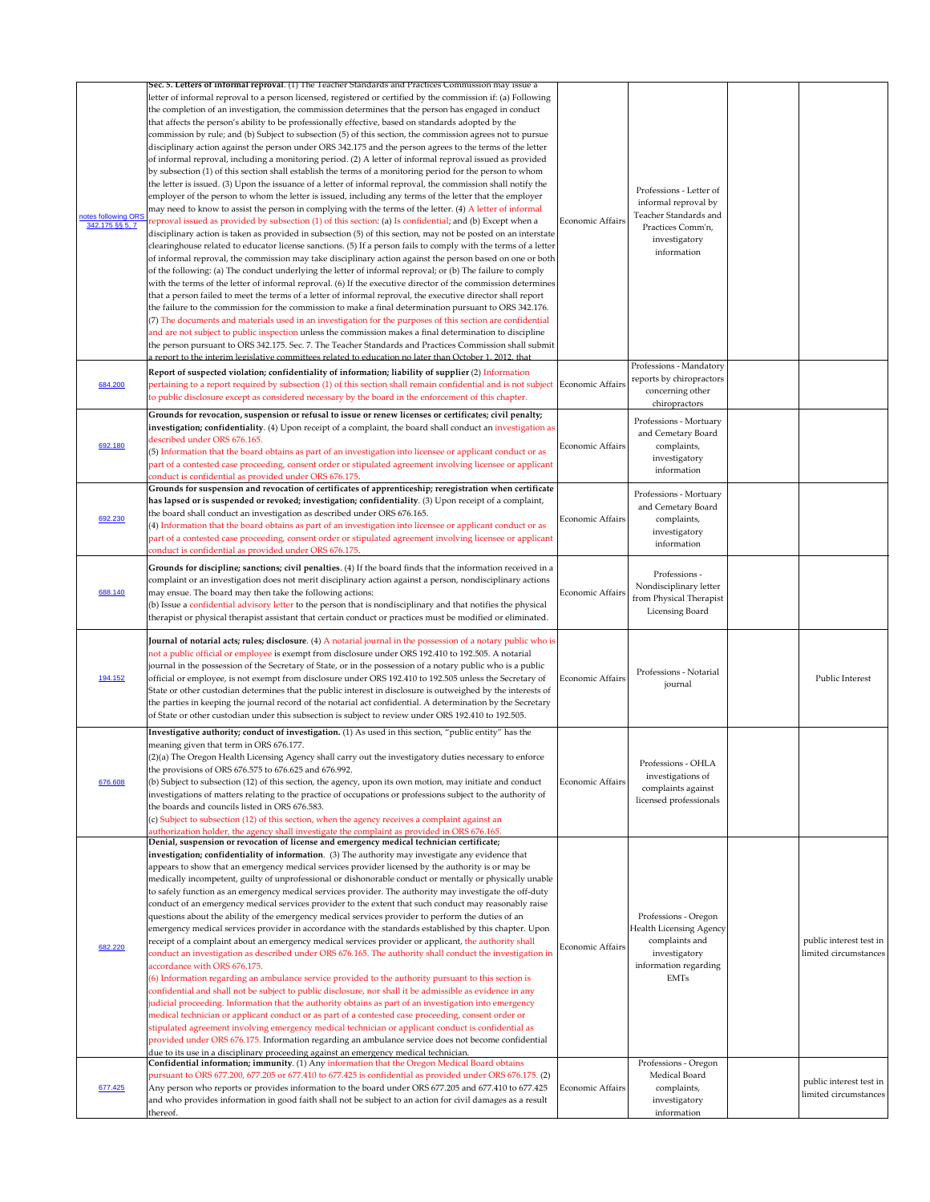| notes following ORS<br>342.175 §§ 5, 7 | Sec. 5. Letters of informal reproval. (1) The Teacher Standards and Practices Commission may issue a<br>letter of informal reproval to a person licensed, registered or certified by the commission if: (a) Following<br>the completion of an investigation, the commission determines that the person has engaged in conduct<br>that affects the person's ability to be professionally effective, based on standards adopted by the<br>commission by rule; and (b) Subject to subsection (5) of this section, the commission agrees not to pursue<br>disciplinary action against the person under ORS 342.175 and the person agrees to the terms of the letter<br>of informal reproval, including a monitoring period. (2) A letter of informal reproval issued as provided<br>by subsection (1) of this section shall establish the terms of a monitoring period for the person to whom<br>the letter is issued. (3) Upon the issuance of a letter of informal reproval, the commission shall notify the<br>employer of the person to whom the letter is issued, including any terms of the letter that the employer<br>may need to know to assist the person in complying with the terms of the letter. (4) A letter of informal<br>reproval issued as provided by subsection (1) of this section: (a) Is confidential; and (b) Except when a<br>disciplinary action is taken as provided in subsection (5) of this section, may not be posted on an interstate<br>clearinghouse related to educator license sanctions. (5) If a person fails to comply with the terms of a letter<br>of informal reproval, the commission may take disciplinary action against the person based on one or both<br>of the following: (a) The conduct underlying the letter of informal reproval; or (b) The failure to comply<br>with the terms of the letter of informal reproval. (6) If the executive director of the commission determines<br>that a person failed to meet the terms of a letter of informal reproval, the executive director shall report<br>the failure to the commission for the commission to make a final determination pursuant to ORS 342.176. | <b>Economic Affairs</b> | Professions - Letter of<br>informal reproval by<br>Teacher Standards and<br>Practices Comm'n,<br>investigatory<br>information     |                                                  |
|----------------------------------------|--------------------------------------------------------------------------------------------------------------------------------------------------------------------------------------------------------------------------------------------------------------------------------------------------------------------------------------------------------------------------------------------------------------------------------------------------------------------------------------------------------------------------------------------------------------------------------------------------------------------------------------------------------------------------------------------------------------------------------------------------------------------------------------------------------------------------------------------------------------------------------------------------------------------------------------------------------------------------------------------------------------------------------------------------------------------------------------------------------------------------------------------------------------------------------------------------------------------------------------------------------------------------------------------------------------------------------------------------------------------------------------------------------------------------------------------------------------------------------------------------------------------------------------------------------------------------------------------------------------------------------------------------------------------------------------------------------------------------------------------------------------------------------------------------------------------------------------------------------------------------------------------------------------------------------------------------------------------------------------------------------------------------------------------------------------------------------------------------------------------------------------------------------------|-------------------------|-----------------------------------------------------------------------------------------------------------------------------------|--------------------------------------------------|
| 684.200                                | (7) The documents and materials used in an investigation for the purposes of this section are confidential<br>and are not subject to public inspection unless the commission makes a final determination to discipline<br>the person pursuant to ORS 342.175. Sec. 7. The Teacher Standards and Practices Commission shall submit<br>a report to the interim legislative committees related to education no later than October 1, 2012, that<br>Report of suspected violation; confidentiality of information; liability of supplier (2) Information<br>pertaining to a report required by subsection (1) of this section shall remain confidential and is not subject Economic Affairs<br>to public disclosure except as considered necessary by the board in the enforcement of this chapter.                                                                                                                                                                                                                                                                                                                                                                                                                                                                                                                                                                                                                                                                                                                                                                                                                                                                                                                                                                                                                                                                                                                                                                                                                                                                                                                                                              |                         | Professions - Mandatory<br>reports by chiropractors<br>concerning other<br>chiropractors                                          |                                                  |
| 692.180                                | Grounds for revocation, suspension or refusal to issue or renew licenses or certificates; civil penalty;<br>investigation; confidentiality. (4) Upon receipt of a complaint, the board shall conduct an investigation as<br>described under ORS 676.165.<br>(5) Information that the board obtains as part of an investigation into licensee or applicant conduct or as<br>part of a contested case proceeding, consent order or stipulated agreement involving licensee or applicant<br>conduct is confidential as provided under ORS 676.175.                                                                                                                                                                                                                                                                                                                                                                                                                                                                                                                                                                                                                                                                                                                                                                                                                                                                                                                                                                                                                                                                                                                                                                                                                                                                                                                                                                                                                                                                                                                                                                                                              | Economic Affairs        | Professions - Mortuary<br>and Cemetary Board<br>complaints,<br>investigatory<br>information                                       |                                                  |
| 692.230                                | Grounds for suspension and revocation of certificates of apprenticeship; reregistration when certificate<br>has lapsed or is suspended or revoked; investigation; confidentiality. (3) Upon receipt of a complaint,<br>the board shall conduct an investigation as described under ORS 676.165.<br>(4) Information that the board obtains as part of an investigation into licensee or applicant conduct or as<br>part of a contested case proceeding, consent order or stipulated agreement involving licensee or applicant<br>conduct is confidential as provided under ORS 676.175.                                                                                                                                                                                                                                                                                                                                                                                                                                                                                                                                                                                                                                                                                                                                                                                                                                                                                                                                                                                                                                                                                                                                                                                                                                                                                                                                                                                                                                                                                                                                                                       | Economic Affairs        | Professions - Mortuary<br>and Cemetary Board<br>complaints,<br>investigatory<br>information                                       |                                                  |
| 688.140                                | Grounds for discipline; sanctions; civil penalties. (4) If the board finds that the information received in a<br>complaint or an investigation does not merit disciplinary action against a person, nondisciplinary actions<br>may ensue. The board may then take the following actions:<br>(b) Issue a confidential advisory letter to the person that is nondisciplinary and that notifies the physical<br>therapist or physical therapist assistant that certain conduct or practices must be modified or eliminated.                                                                                                                                                                                                                                                                                                                                                                                                                                                                                                                                                                                                                                                                                                                                                                                                                                                                                                                                                                                                                                                                                                                                                                                                                                                                                                                                                                                                                                                                                                                                                                                                                                     | Economic Affairs        | Professions -<br>Nondisciplinary letter<br>from Physical Therapist<br>Licensing Board                                             |                                                  |
| 194.152                                | Journal of notarial acts; rules; disclosure. (4) A notarial journal in the possession of a notary public who is<br>not a public official or employee is exempt from disclosure under ORS 192.410 to 192.505. A notarial<br>journal in the possession of the Secretary of State, or in the possession of a notary public who is a public<br>official or employee, is not exempt from disclosure under ORS 192.410 to 192.505 unless the Secretary of<br>State or other custodian determines that the public interest in disclosure is outweighed by the interests of<br>the parties in keeping the journal record of the notarial act confidential. A determination by the Secretary<br>of State or other custodian under this subsection is subject to review under ORS 192.410 to 192.505.                                                                                                                                                                                                                                                                                                                                                                                                                                                                                                                                                                                                                                                                                                                                                                                                                                                                                                                                                                                                                                                                                                                                                                                                                                                                                                                                                                  | Economic Affairs        | Professions - Notarial<br>journal                                                                                                 | Public Interest                                  |
| 676.608                                | Investigative authority; conduct of investigation. (1) As used in this section, "public entity" has the<br>meaning given that term in ORS 676.177.<br>(2)(a) The Oregon Health Licensing Agency shall carry out the investigatory duties necessary to enforce<br>the provisions of ORS 676.575 to 676.625 and 676.992.<br>(b) Subject to subsection (12) of this section, the agency, upon its own motion, may initiate and conduct<br>investigations of matters relating to the practice of occupations or professions subject to the authority of<br>the boards and councils listed in ORS 676.583.<br>(c) Subject to subsection (12) of this section, when the agency receives a complaint against an<br>authorization holder, the agency shall investigate the complaint as provided in ORS 676.165.                                                                                                                                                                                                                                                                                                                                                                                                                                                                                                                                                                                                                                                                                                                                                                                                                                                                                                                                                                                                                                                                                                                                                                                                                                                                                                                                                     | <b>Economic Affairs</b> | Professions - OHLA<br>investigations of<br>complaints against<br>licensed professionals                                           |                                                  |
| 682.220                                | Denial, suspension or revocation of license and emergency medical technician certificate;<br>investigation; confidentiality of information. (3) The authority may investigate any evidence that<br>appears to show that an emergency medical services provider licensed by the authority is or may be<br>medically incompetent, guilty of unprofessional or dishonorable conduct or mentally or physically unable<br>to safely function as an emergency medical services provider. The authority may investigate the off-duty<br>conduct of an emergency medical services provider to the extent that such conduct may reasonably raise<br>questions about the ability of the emergency medical services provider to perform the duties of an<br>emergency medical services provider in accordance with the standards established by this chapter. Upon<br>receipt of a complaint about an emergency medical services provider or applicant, the authority shall<br>conduct an investigation as described under ORS 676.165. The authority shall conduct the investigation in<br>accordance with ORS 676.175.<br>(6) Information regarding an ambulance service provided to the authority pursuant to this section is<br>confidential and shall not be subject to public disclosure, nor shall it be admissible as evidence in any<br>judicial proceeding. Information that the authority obtains as part of an investigation into emergency<br>medical technician or applicant conduct or as part of a contested case proceeding, consent order or<br>stipulated agreement involving emergency medical technician or applicant conduct is confidential as<br>provided under ORS 676.175. Information regarding an ambulance service does not become confidential<br>due to its use in a disciplinary proceeding against an emergency medical technician.                                                                                                                                                                                                                                                                                                    | Economic Affairs        | Professions - Oregon<br><b>Health Licensing Agency</b><br>complaints and<br>investigatory<br>information regarding<br><b>EMTs</b> | public interest test in<br>limited circumstances |
| 677.425                                | Confidential information; immunity. (1) Any information that the Oregon Medical Board obtains<br>pursuant to ORS 677.200, 677.205 or 677.410 to 677.425 is confidential as provided under ORS 676.175. (2)<br>Any person who reports or provides information to the board under ORS 677.205 and 677.410 to 677.425<br>and who provides information in good faith shall not be subject to an action for civil damages as a result<br>thereof.                                                                                                                                                                                                                                                                                                                                                                                                                                                                                                                                                                                                                                                                                                                                                                                                                                                                                                                                                                                                                                                                                                                                                                                                                                                                                                                                                                                                                                                                                                                                                                                                                                                                                                                 | <b>Economic Affairs</b> | Professions - Oregon<br>Medical Board<br>complaints,<br>investigatory<br>information                                              | public interest test in<br>limited circumstances |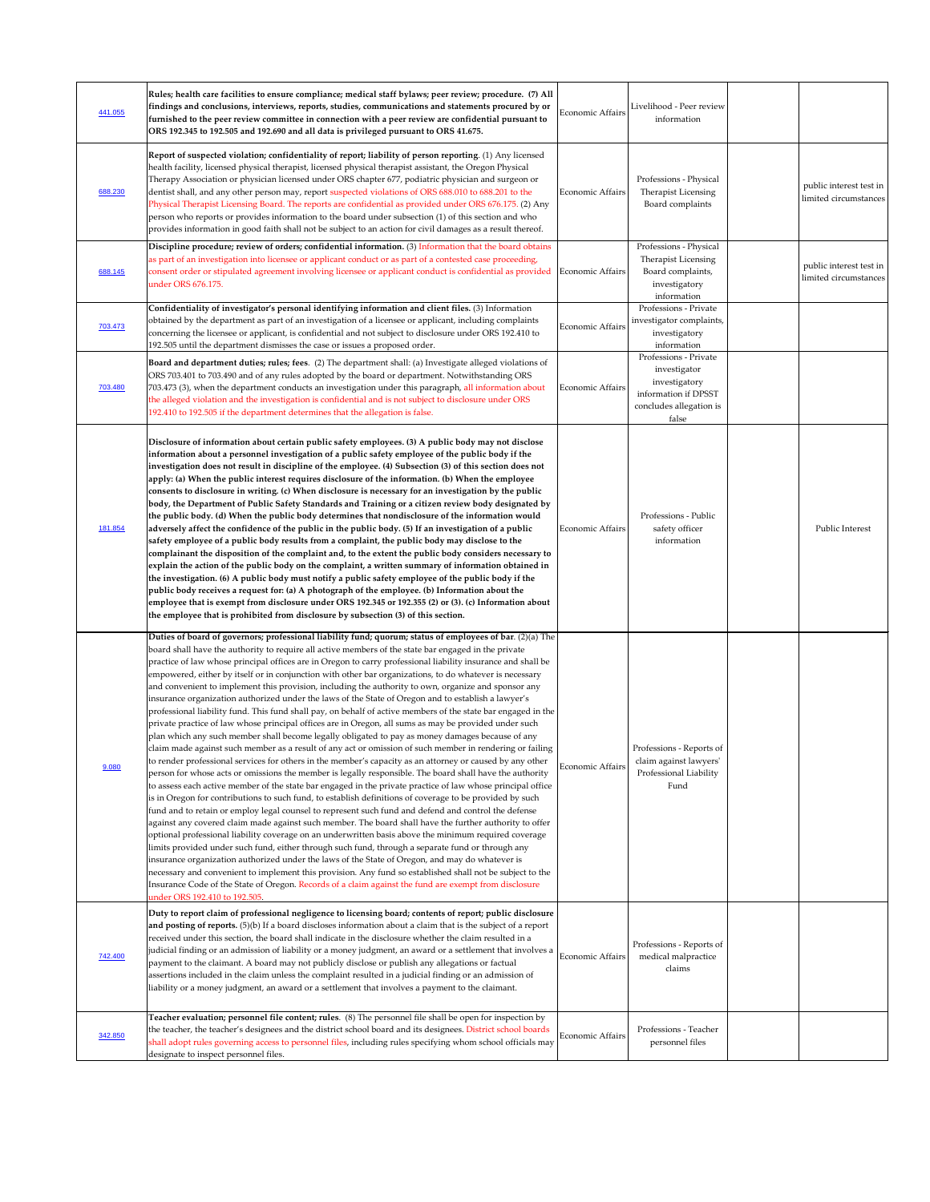| 441.055 | Rules; health care facilities to ensure compliance; medical staff bylaws; peer review; procedure. (7) All<br>findings and conclusions, interviews, reports, studies, communications and statements procured by or<br>furnished to the peer review committee in connection with a peer review are confidential pursuant to<br>ORS 192.345 to 192.505 and 192.690 and all data is privileged pursuant to ORS 41.675.                                                                                                                                                                                                                                                                                                                                                                                                                                                                                                                                                                                                                                                                                                                                                                                                                                                                                                                                                                                                                                                                                                                                                                                                                                                                                                                                                                                                                                                                                                                                                                                                                                                                                                                                                                                                                                                                                                                                   | Economic Affairs        | Livelihood - Peer review<br>information                                                                            |                                                  |
|---------|------------------------------------------------------------------------------------------------------------------------------------------------------------------------------------------------------------------------------------------------------------------------------------------------------------------------------------------------------------------------------------------------------------------------------------------------------------------------------------------------------------------------------------------------------------------------------------------------------------------------------------------------------------------------------------------------------------------------------------------------------------------------------------------------------------------------------------------------------------------------------------------------------------------------------------------------------------------------------------------------------------------------------------------------------------------------------------------------------------------------------------------------------------------------------------------------------------------------------------------------------------------------------------------------------------------------------------------------------------------------------------------------------------------------------------------------------------------------------------------------------------------------------------------------------------------------------------------------------------------------------------------------------------------------------------------------------------------------------------------------------------------------------------------------------------------------------------------------------------------------------------------------------------------------------------------------------------------------------------------------------------------------------------------------------------------------------------------------------------------------------------------------------------------------------------------------------------------------------------------------------------------------------------------------------------------------------------------------------|-------------------------|--------------------------------------------------------------------------------------------------------------------|--------------------------------------------------|
| 688.230 | Report of suspected violation; confidentiality of report; liability of person reporting. (1) Any licensed<br>health facility, licensed physical therapist, licensed physical therapist assistant, the Oregon Physical<br>Therapy Association or physician licensed under ORS chapter 677, podiatric physician and surgeon or<br>dentist shall, and any other person may, report suspected violations of ORS 688.010 to 688.201 to the<br>Physical Therapist Licensing Board. The reports are confidential as provided under ORS 676.175. (2) Any<br>person who reports or provides information to the board under subsection (1) of this section and who<br>provides information in good faith shall not be subject to an action for civil damages as a result thereof.                                                                                                                                                                                                                                                                                                                                                                                                                                                                                                                                                                                                                                                                                                                                                                                                                                                                                                                                                                                                                                                                                                                                                                                                                                                                                                                                                                                                                                                                                                                                                                              | Economic Affairs        | Professions - Physical<br>Therapist Licensing<br>Board complaints                                                  | public interest test in<br>limited circumstances |
| 688.145 | Discipline procedure; review of orders; confidential information. (3) Information that the board obtains<br>as part of an investigation into licensee or applicant conduct or as part of a contested case proceeding,<br>consent order or stipulated agreement involving licensee or applicant conduct is confidential as provided<br>under ORS 676.175.                                                                                                                                                                                                                                                                                                                                                                                                                                                                                                                                                                                                                                                                                                                                                                                                                                                                                                                                                                                                                                                                                                                                                                                                                                                                                                                                                                                                                                                                                                                                                                                                                                                                                                                                                                                                                                                                                                                                                                                             | <b>Economic Affairs</b> | Professions - Physical<br>Therapist Licensing<br>Board complaints,<br>investigatory<br>information                 | public interest test in<br>limited circumstances |
| 703.473 | Confidentiality of investigator's personal identifying information and client files. (3) Information<br>obtained by the department as part of an investigation of a licensee or applicant, including complaints<br>concerning the licensee or applicant, is confidential and not subject to disclosure under ORS 192.410 to<br>192.505 until the department dismisses the case or issues a proposed order.                                                                                                                                                                                                                                                                                                                                                                                                                                                                                                                                                                                                                                                                                                                                                                                                                                                                                                                                                                                                                                                                                                                                                                                                                                                                                                                                                                                                                                                                                                                                                                                                                                                                                                                                                                                                                                                                                                                                           | <b>Economic Affairs</b> | Professions - Private<br>investigator complaints,<br>investigatory<br>information                                  |                                                  |
| 703.480 | Board and department duties; rules; fees. (2) The department shall: (a) Investigate alleged violations of<br>ORS 703.401 to 703.490 and of any rules adopted by the board or department. Notwithstanding ORS<br>703.473 (3), when the department conducts an investigation under this paragraph, all information about<br>the alleged violation and the investigation is confidential and is not subject to disclosure under ORS<br>192.410 to 192.505 if the department determines that the allegation is false.                                                                                                                                                                                                                                                                                                                                                                                                                                                                                                                                                                                                                                                                                                                                                                                                                                                                                                                                                                                                                                                                                                                                                                                                                                                                                                                                                                                                                                                                                                                                                                                                                                                                                                                                                                                                                                    | <b>Economic Affairs</b> | Professions - Private<br>investigator<br>investigatory<br>information if DPSST<br>concludes allegation is<br>false |                                                  |
| 181.854 | Disclosure of information about certain public safety employees. (3) A public body may not disclose<br>information about a personnel investigation of a public safety employee of the public body if the<br>investigation does not result in discipline of the employee. (4) Subsection (3) of this section does not<br>apply: (a) When the public interest requires disclosure of the information. (b) When the employee<br>consents to disclosure in writing. (c) When disclosure is necessary for an investigation by the public<br>body, the Department of Public Safety Standards and Training or a citizen review body designated by<br>the public body. (d) When the public body determines that nondisclosure of the information would<br>adversely affect the confidence of the public in the public body. (5) If an investigation of a public<br>safety employee of a public body results from a complaint, the public body may disclose to the<br>complainant the disposition of the complaint and, to the extent the public body considers necessary to<br>explain the action of the public body on the complaint, a written summary of information obtained in<br>the investigation. (6) A public body must notify a public safety employee of the public body if the<br>public body receives a request for: (a) A photograph of the employee. (b) Information about the<br>employee that is exempt from disclosure under ORS 192.345 or 192.355 (2) or (3). (c) Information about<br>the employee that is prohibited from disclosure by subsection (3) of this section.                                                                                                                                                                                                                                                                                                                                                                                                                                                                                                                                                                                                                                                                                                                                                                | <b>Economic Affairs</b> | Professions - Public<br>safety officer<br>information                                                              | Public Interest                                  |
| 9.080   | Duties of board of governors; professional liability fund; quorum; status of employees of bar. (2)(a) The<br>board shall have the authority to require all active members of the state bar engaged in the private<br>practice of law whose principal offices are in Oregon to carry professional liability insurance and shall be<br>empowered, either by itself or in conjunction with other bar organizations, to do whatever is necessary<br>and convenient to implement this provision, including the authority to own, organize and sponsor any<br>insurance organization authorized under the laws of the State of Oregon and to establish a lawyer's<br>professional liability fund. This fund shall pay, on behalf of active members of the state bar engaged in the<br>private practice of law whose principal offices are in Oregon, all sums as may be provided under such<br>plan which any such member shall become legally obligated to pay as money damages because of any<br>claim made against such member as a result of any act or omission of such member in rendering or failing<br>to render professional services for others in the member's capacity as an attorney or caused by any other<br>person for whose acts or omissions the member is legally responsible. The board shall have the authority<br>to assess each active member of the state bar engaged in the private practice of law whose principal office<br>is in Oregon for contributions to such fund, to establish definitions of coverage to be provided by such<br>fund and to retain or employ legal counsel to represent such fund and defend and control the defense<br>against any covered claim made against such member. The board shall have the further authority to offer<br>optional professional liability coverage on an underwritten basis above the minimum required coverage<br>limits provided under such fund, either through such fund, through a separate fund or through any<br>insurance organization authorized under the laws of the State of Oregon, and may do whatever is<br>necessary and convenient to implement this provision. Any fund so established shall not be subject to the<br>Insurance Code of the State of Oregon. Records of a claim against the fund are exempt from disclosure<br>under ORS 192.410 to 192.505. | Economic Affairs        | Professions - Reports of<br>claim against lawyers'<br>Professional Liability<br>Fund                               |                                                  |
| 742.400 | Duty to report claim of professional negligence to licensing board; contents of report; public disclosure<br>and posting of reports. (5)(b) If a board discloses information about a claim that is the subject of a report<br>received under this section, the board shall indicate in the disclosure whether the claim resulted in a<br>judicial finding or an admission of liability or a money judgment, an award or a settlement that involves a<br>payment to the claimant. A board may not publicly disclose or publish any allegations or factual<br>assertions included in the claim unless the complaint resulted in a judicial finding or an admission of<br>liability or a money judgment, an award or a settlement that involves a payment to the claimant.                                                                                                                                                                                                                                                                                                                                                                                                                                                                                                                                                                                                                                                                                                                                                                                                                                                                                                                                                                                                                                                                                                                                                                                                                                                                                                                                                                                                                                                                                                                                                                              | <b>Economic Affairs</b> | Professions - Reports of<br>medical malpractice<br>claims                                                          |                                                  |
| 342.850 | Teacher evaluation; personnel file content; rules. (8) The personnel file shall be open for inspection by<br>the teacher, the teacher's designees and the district school board and its designees. District school boards<br>shall adopt rules governing access to personnel files, including rules specifying whom school officials may<br>designate to inspect personnel files.                                                                                                                                                                                                                                                                                                                                                                                                                                                                                                                                                                                                                                                                                                                                                                                                                                                                                                                                                                                                                                                                                                                                                                                                                                                                                                                                                                                                                                                                                                                                                                                                                                                                                                                                                                                                                                                                                                                                                                    | Economic Affairs        | Professions - Teacher<br>personnel files                                                                           |                                                  |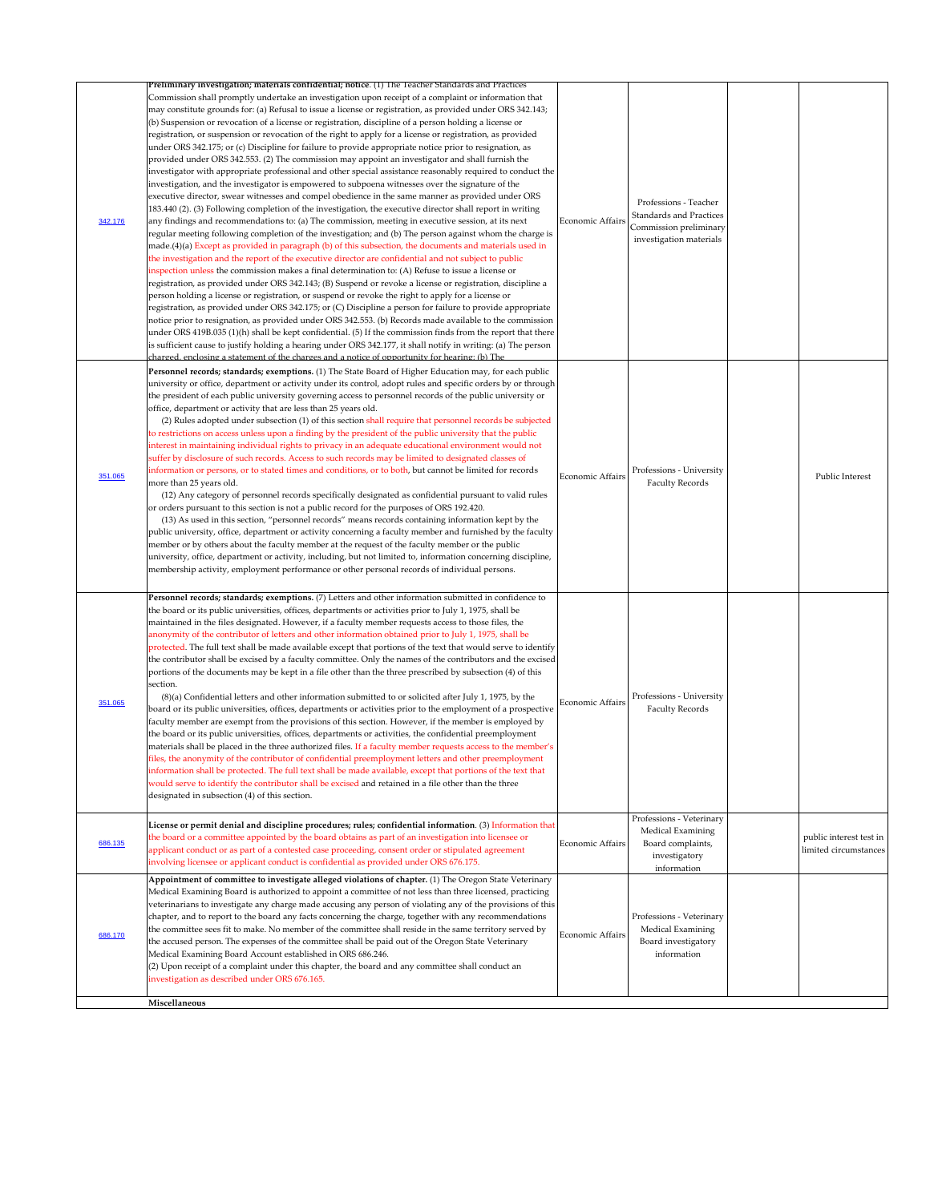|         | Preliminary investigation; materials confidential; notice. (1) The Teacher Standards and Practices                                                                                                                                                                                                                                                                                                                                                                                                                                                                                                                                                                                                                                                                                                                                                                                                                                                                                                                                                                                                                                                                                                                                                                                                                                                                                                                                                                                                                                                                                                                                                                                                                                                                                                                                                                                                                                                                                                                                                                                                                                                                                                                                                                                                                                                                                                                          |                  |                                                                                                              |                                                  |
|---------|-----------------------------------------------------------------------------------------------------------------------------------------------------------------------------------------------------------------------------------------------------------------------------------------------------------------------------------------------------------------------------------------------------------------------------------------------------------------------------------------------------------------------------------------------------------------------------------------------------------------------------------------------------------------------------------------------------------------------------------------------------------------------------------------------------------------------------------------------------------------------------------------------------------------------------------------------------------------------------------------------------------------------------------------------------------------------------------------------------------------------------------------------------------------------------------------------------------------------------------------------------------------------------------------------------------------------------------------------------------------------------------------------------------------------------------------------------------------------------------------------------------------------------------------------------------------------------------------------------------------------------------------------------------------------------------------------------------------------------------------------------------------------------------------------------------------------------------------------------------------------------------------------------------------------------------------------------------------------------------------------------------------------------------------------------------------------------------------------------------------------------------------------------------------------------------------------------------------------------------------------------------------------------------------------------------------------------------------------------------------------------------------------------------------------------|------------------|--------------------------------------------------------------------------------------------------------------|--------------------------------------------------|
| 342.176 | Commission shall promptly undertake an investigation upon receipt of a complaint or information that<br>may constitute grounds for: (a) Refusal to issue a license or registration, as provided under ORS 342.143;<br>(b) Suspension or revocation of a license or registration, discipline of a person holding a license or<br>registration, or suspension or revocation of the right to apply for a license or registration, as provided<br>under ORS 342.175; or (c) Discipline for failure to provide appropriate notice prior to resignation, as<br>provided under ORS 342.553. (2) The commission may appoint an investigator and shall furnish the<br>investigator with appropriate professional and other special assistance reasonably required to conduct the<br>investigation, and the investigator is empowered to subpoena witnesses over the signature of the<br>executive director, swear witnesses and compel obedience in the same manner as provided under ORS<br>183.440 (2). (3) Following completion of the investigation, the executive director shall report in writing<br>any findings and recommendations to: (a) The commission, meeting in executive session, at its next<br>regular meeting following completion of the investigation; and (b) The person against whom the charge is<br>made.(4)(a) Except as provided in paragraph (b) of this subsection, the documents and materials used in<br>the investigation and the report of the executive director are confidential and not subject to public<br>inspection unless the commission makes a final determination to: (A) Refuse to issue a license or<br>registration, as provided under ORS 342.143; (B) Suspend or revoke a license or registration, discipline a<br>person holding a license or registration, or suspend or revoke the right to apply for a license or<br>registration, as provided under ORS 342.175; or (C) Discipline a person for failure to provide appropriate<br>notice prior to resignation, as provided under ORS 342.553. (b) Records made available to the commission<br>under ORS 419B.035 (1)(h) shall be kept confidential. (5) If the commission finds from the report that there<br>is sufficient cause to justify holding a hearing under ORS 342.177, it shall notify in writing: (a) The person<br>charged, enclosing a statement of the charges and a notice of opportunity for hearing; (b) The | Economic Affairs | Professions - Teacher<br><b>Standards and Practices</b><br>Commission preliminary<br>investigation materials |                                                  |
| 351.065 | Personnel records; standards; exemptions. (1) The State Board of Higher Education may, for each public<br>university or office, department or activity under its control, adopt rules and specific orders by or through<br>the president of each public university governing access to personnel records of the public university or<br>office, department or activity that are less than 25 years old.<br>(2) Rules adopted under subsection (1) of this section shall require that personnel records be subjected<br>to restrictions on access unless upon a finding by the president of the public university that the public<br>interest in maintaining individual rights to privacy in an adequate educational environment would not<br>suffer by disclosure of such records. Access to such records may be limited to designated classes of<br>information or persons, or to stated times and conditions, or to both, but cannot be limited for records<br>more than 25 years old.<br>(12) Any category of personnel records specifically designated as confidential pursuant to valid rules<br>or orders pursuant to this section is not a public record for the purposes of ORS 192.420.<br>(13) As used in this section, "personnel records" means records containing information kept by the<br>public university, office, department or activity concerning a faculty member and furnished by the faculty<br>member or by others about the faculty member at the request of the faculty member or the public<br>university, office, department or activity, including, but not limited to, information concerning discipline,<br>membership activity, employment performance or other personal records of individual persons.                                                                                                                                                                                                                                                                                                                                                                                                                                                                                                                                                                                                                                                                                    | Economic Affairs | Professions - University<br><b>Faculty Records</b>                                                           | Public Interest                                  |
| 351.065 | Personnel records; standards; exemptions. (7) Letters and other information submitted in confidence to<br>the board or its public universities, offices, departments or activities prior to July 1, 1975, shall be<br>maintained in the files designated. However, if a faculty member requests access to those files, the<br>anonymity of the contributor of letters and other information obtained prior to July 1, 1975, shall be<br>protected. The full text shall be made available except that portions of the text that would serve to identify<br>the contributor shall be excised by a faculty committee. Only the names of the contributors and the excised<br>portions of the documents may be kept in a file other than the three prescribed by subsection (4) of this<br>section.<br>$(8)(a)$ Confidential letters and other information submitted to or solicited after July 1, 1975, by the<br>board or its public universities, offices, departments or activities prior to the employment of a prospective<br>faculty member are exempt from the provisions of this section. However, if the member is employed by<br>the board or its public universities, offices, departments or activities, the confidential preemployment<br>materials shall be placed in the three authorized files. If a faculty member requests access to the member's<br>files, the anonymity of the contributor of confidential preemployment letters and other preemployment<br>information shall be protected. The full text shall be made available, except that portions of the text that<br>would serve to identify the contributor shall be excised and retained in a file other than the three<br>designated in subsection (4) of this section.                                                                                                                                                                                                                                                                                                                                                                                                                                                                                                                                                                                                                                                                           | Economic Affairs | Professions - University<br><b>Faculty Records</b>                                                           |                                                  |
| 686.135 | License or permit denial and discipline procedures; rules; confidential information. (3) Information that<br>the board or a committee appointed by the board obtains as part of an investigation into licensee or<br>applicant conduct or as part of a contested case proceeding, consent order or stipulated agreement<br>involving licensee or applicant conduct is confidential as provided under ORS 676.175.                                                                                                                                                                                                                                                                                                                                                                                                                                                                                                                                                                                                                                                                                                                                                                                                                                                                                                                                                                                                                                                                                                                                                                                                                                                                                                                                                                                                                                                                                                                                                                                                                                                                                                                                                                                                                                                                                                                                                                                                           | Economic Affairs | Professions - Veterinary<br>Medical Examining<br>Board complaints,<br>investigatory<br>information           | public interest test in<br>limited circumstances |
| 686.170 | Appointment of committee to investigate alleged violations of chapter. (1) The Oregon State Veterinary<br>Medical Examining Board is authorized to appoint a committee of not less than three licensed, practicing<br>veterinarians to investigate any charge made accusing any person of violating any of the provisions of this<br>chapter, and to report to the board any facts concerning the charge, together with any recommendations<br>the committee sees fit to make. No member of the committee shall reside in the same territory served by<br>the accused person. The expenses of the committee shall be paid out of the Oregon State Veterinary<br>Medical Examining Board Account established in ORS 686.246.<br>$(2)$ Upon receipt of a complaint under this chapter, the board and any committee shall conduct an<br>investigation as described under ORS 676.165.<br>Miscellaneous                                                                                                                                                                                                                                                                                                                                                                                                                                                                                                                                                                                                                                                                                                                                                                                                                                                                                                                                                                                                                                                                                                                                                                                                                                                                                                                                                                                                                                                                                                                         | Economic Affairs | Professions - Veterinary<br>Medical Examining<br>Board investigatory<br>information                          |                                                  |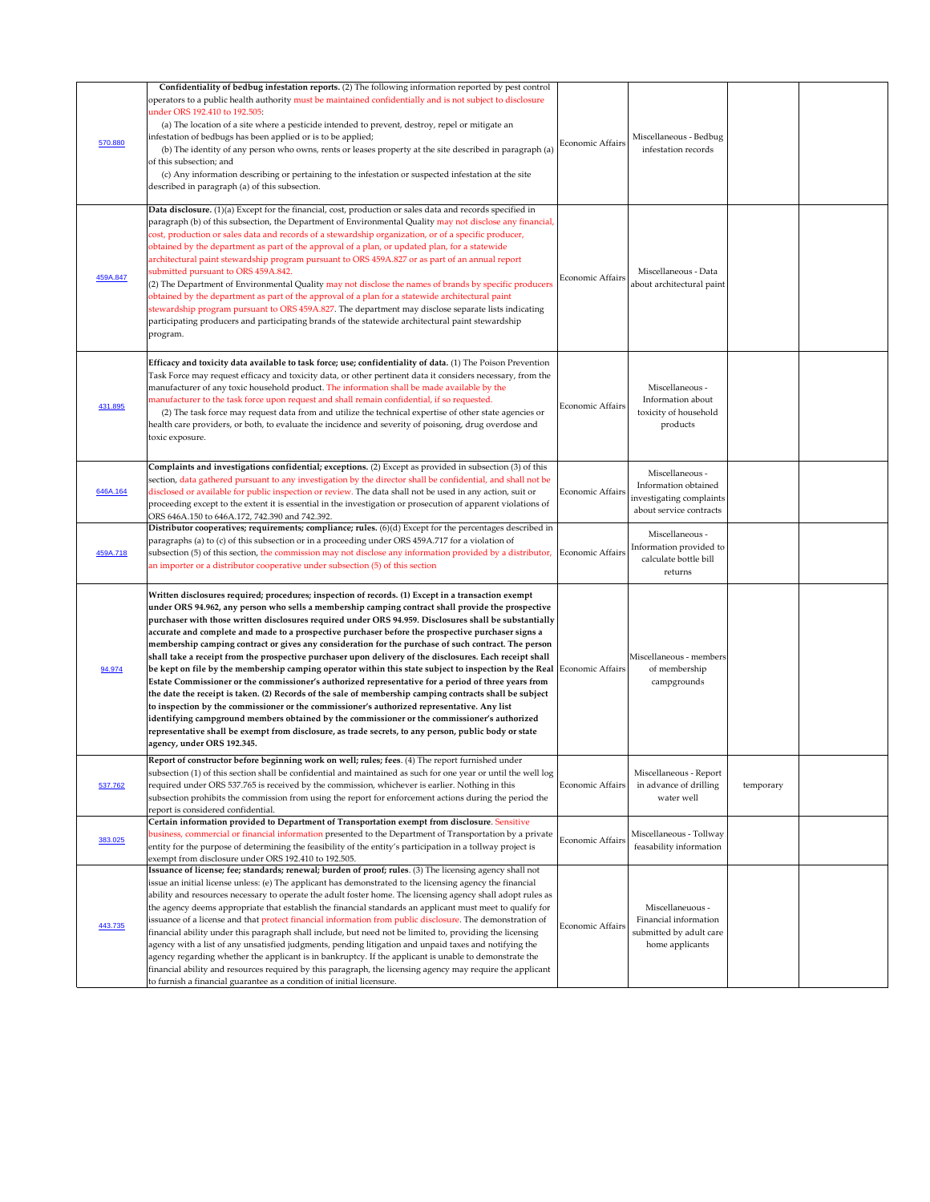| 570.880  | Confidentiality of bedbug infestation reports. (2) The following information reported by pest control<br>operators to a public health authority must be maintained confidentially and is not subject to disclosure<br>under ORS 192.410 to 192.505:<br>(a) The location of a site where a pesticide intended to prevent, destroy, repel or mitigate an<br>infestation of bedbugs has been applied or is to be applied;<br>(b) The identity of any person who owns, rents or leases property at the site described in paragraph (a)<br>of this subsection; and<br>(c) Any information describing or pertaining to the infestation or suspected infestation at the site<br>described in paragraph (a) of this subsection.                                                                                                                                                                                                                                                                                                                                                                                                                                                                                                                                                                                                                       | Economic Affairs        | Miscellaneous - Bedbug<br>infestation records                                                  |           |  |
|----------|-----------------------------------------------------------------------------------------------------------------------------------------------------------------------------------------------------------------------------------------------------------------------------------------------------------------------------------------------------------------------------------------------------------------------------------------------------------------------------------------------------------------------------------------------------------------------------------------------------------------------------------------------------------------------------------------------------------------------------------------------------------------------------------------------------------------------------------------------------------------------------------------------------------------------------------------------------------------------------------------------------------------------------------------------------------------------------------------------------------------------------------------------------------------------------------------------------------------------------------------------------------------------------------------------------------------------------------------------|-------------------------|------------------------------------------------------------------------------------------------|-----------|--|
| 459A.847 | Data disclosure. (1)(a) Except for the financial, cost, production or sales data and records specified in<br>paragraph (b) of this subsection, the Department of Environmental Quality may not disclose any financial,<br>cost, production or sales data and records of a stewardship organization, or of a specific producer,<br>obtained by the department as part of the approval of a plan, or updated plan, for a statewide<br>architectural paint stewardship program pursuant to ORS 459A.827 or as part of an annual report<br>submitted pursuant to ORS 459A.842.<br>(2) The Department of Environmental Quality may not disclose the names of brands by specific producers<br>obtained by the department as part of the approval of a plan for a statewide architectural paint<br>stewardship program pursuant to ORS 459A.827. The department may disclose separate lists indicating<br>participating producers and participating brands of the statewide architectural paint stewardship<br>program.                                                                                                                                                                                                                                                                                                                              | Economic Affairs        | Miscellaneous - Data<br>about architectural paint                                              |           |  |
| 431.895  | Efficacy and toxicity data available to task force; use; confidentiality of data. (1) The Poison Prevention<br>Task Force may request efficacy and toxicity data, or other pertinent data it considers necessary, from the<br>manufacturer of any toxic household product. The information shall be made available by the<br>manufacturer to the task force upon request and shall remain confidential, if so requested.<br>(2) The task force may request data from and utilize the technical expertise of other state agencies or<br>health care providers, or both, to evaluate the incidence and severity of poisoning, drug overdose and<br>toxic exposure.                                                                                                                                                                                                                                                                                                                                                                                                                                                                                                                                                                                                                                                                              | Economic Affairs        | Miscellaneous -<br>Information about<br>toxicity of household<br>products                      |           |  |
| 646A.164 | Complaints and investigations confidential; exceptions. (2) Except as provided in subsection (3) of this<br>section, data gathered pursuant to any investigation by the director shall be confidential, and shall not be<br>disclosed or available for public inspection or review. The data shall not be used in any action, suit or<br>proceeding except to the extent it is essential in the investigation or prosecution of apparent violations of<br>ORS 646A.150 to 646A.172, 742.390 and 742.392.                                                                                                                                                                                                                                                                                                                                                                                                                                                                                                                                                                                                                                                                                                                                                                                                                                      | Economic Affairs        | Miscellaneous -<br>Information obtained<br>investigating complaints<br>about service contracts |           |  |
| 459A.718 | Distributor cooperatives; requirements; compliance; rules. (6)(d) Except for the percentages described in<br>paragraphs (a) to (c) of this subsection or in a proceeding under ORS 459A.717 for a violation of<br>subsection (5) of this section, the commission may not disclose any information provided by a distributor, Economic Affairs<br>an importer or a distributor cooperative under subsection (5) of this section                                                                                                                                                                                                                                                                                                                                                                                                                                                                                                                                                                                                                                                                                                                                                                                                                                                                                                                |                         | Miscellaneous -<br>Information provided to<br>calculate bottle bill<br>returns                 |           |  |
| 94.974   | Written disclosures required; procedures; inspection of records. (1) Except in a transaction exempt<br>under ORS 94.962, any person who sells a membership camping contract shall provide the prospective<br>purchaser with those written disclosures required under ORS 94.959. Disclosures shall be substantially<br>accurate and complete and made to a prospective purchaser before the prospective purchaser signs a<br>membership camping contract or gives any consideration for the purchase of such contract. The person<br>shall take a receipt from the prospective purchaser upon delivery of the disclosures. Each receipt shall<br>$ $ be kept on file by the membership camping operator within this state subject to inspection by the Real $ $ Economic Affairs $ $<br>Estate Commissioner or the commissioner's authorized representative for a period of three years from<br>the date the receipt is taken. (2) Records of the sale of membership camping contracts shall be subject<br>to inspection by the commissioner or the commissioner's authorized representative. Any list<br>identifying campground members obtained by the commissioner or the commissioner's authorized<br>representative shall be exempt from disclosure, as trade secrets, to any person, public body or state<br>agency, under ORS 192.345. |                         | Miscellaneous - members<br>of membership<br>campgrounds                                        |           |  |
| 537.762  | Report of constructor before beginning work on well; rules; fees. (4) The report furnished under<br>subsection (1) of this section shall be confidential and maintained as such for one year or until the well log<br>required under ORS 537.765 is received by the commission, whichever is earlier. Nothing in this<br>subsection prohibits the commission from using the report for enforcement actions during the period the<br>report is considered confidential.                                                                                                                                                                                                                                                                                                                                                                                                                                                                                                                                                                                                                                                                                                                                                                                                                                                                        | Economic Affairs        | Miscellaneous - Report<br>in advance of drilling<br>water well                                 | temporary |  |
| 383.025  | Certain information provided to Department of Transportation exempt from disclosure. Sensitive<br>business, commercial or financial information presented to the Department of Transportation by a private<br>entity for the purpose of determining the feasibility of the entity's participation in a tollway project is<br>exempt from disclosure under ORS 192.410 to 192.505.                                                                                                                                                                                                                                                                                                                                                                                                                                                                                                                                                                                                                                                                                                                                                                                                                                                                                                                                                             | Economic Affairs        | Miscellaneous - Tollway<br>feasability information                                             |           |  |
| 443.735  | Issuance of license; fee; standards; renewal; burden of proof; rules. (3) The licensing agency shall not<br>issue an initial license unless: (e) The applicant has demonstrated to the licensing agency the financial<br>ability and resources necessary to operate the adult foster home. The licensing agency shall adopt rules as<br>the agency deems appropriate that establish the financial standards an applicant must meet to qualify for<br>issuance of a license and that protect financial information from public disclosure. The demonstration of<br>financial ability under this paragraph shall include, but need not be limited to, providing the licensing<br>agency with a list of any unsatisfied judgments, pending litigation and unpaid taxes and notifying the<br>agency regarding whether the applicant is in bankruptcy. If the applicant is unable to demonstrate the<br>financial ability and resources required by this paragraph, the licensing agency may require the applicant<br>to furnish a financial guarantee as a condition of initial licensure.                                                                                                                                                                                                                                                        | <b>Economic Affairs</b> | Miscellaneuous -<br>Financial information<br>submitted by adult care<br>home applicants        |           |  |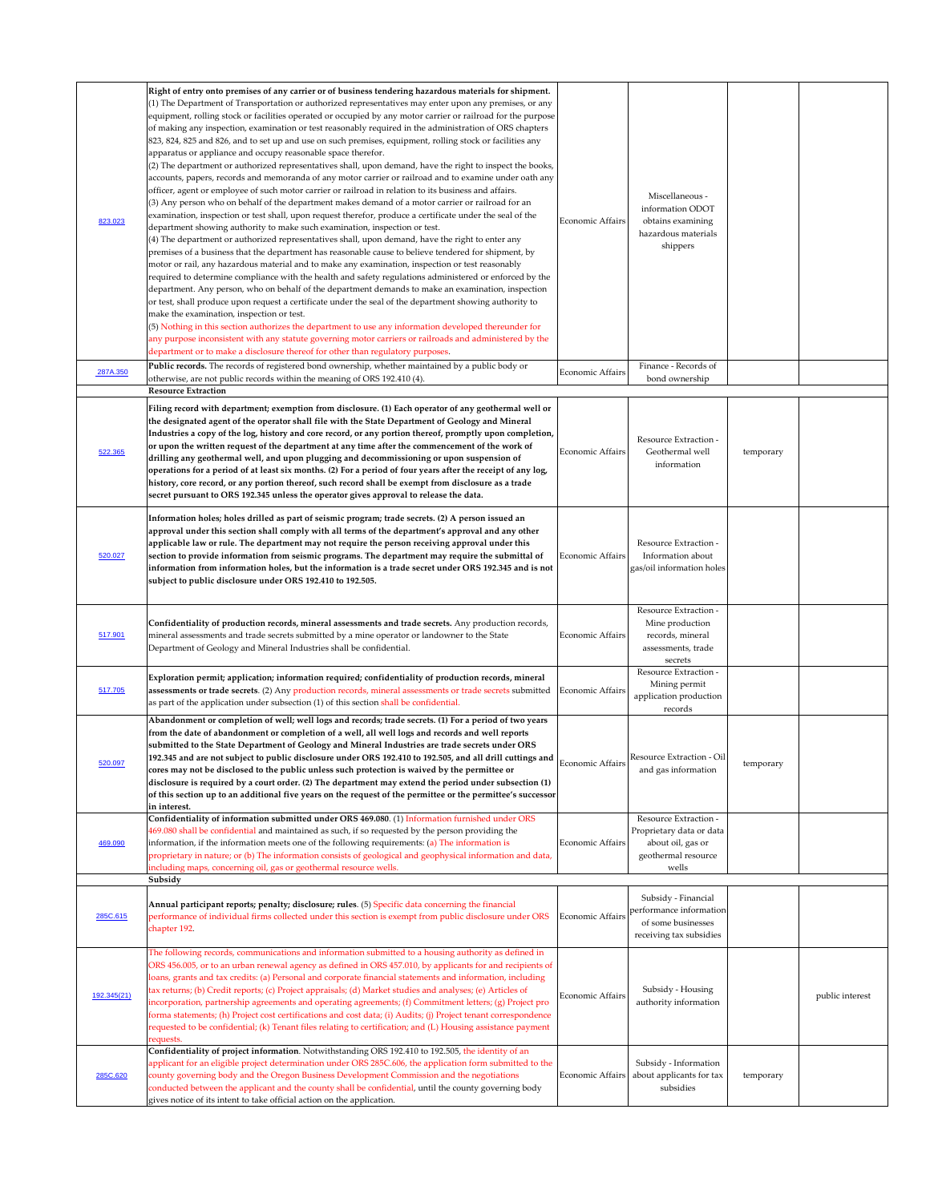| 823.023     | Right of entry onto premises of any carrier or of business tendering hazardous materials for shipment.<br>$(1)$ The Department of Transportation or authorized representatives may enter upon any premises, or any<br>equipment, rolling stock or facilities operated or occupied by any motor carrier or railroad for the purpose<br>of making any inspection, examination or test reasonably required in the administration of ORS chapters<br>823, 824, 825 and 826, and to set up and use on such premises, equipment, rolling stock or facilities any<br>apparatus or appliance and occupy reasonable space therefor.<br>$(2)$ The department or authorized representatives shall, upon demand, have the right to inspect the books,<br>accounts, papers, records and memoranda of any motor carrier or railroad and to examine under oath any<br>officer, agent or employee of such motor carrier or railroad in relation to its business and affairs.<br>(3) Any person who on behalf of the department makes demand of a motor carrier or railroad for an<br>examination, inspection or test shall, upon request therefor, produce a certificate under the seal of the<br>department showing authority to make such examination, inspection or test.<br>$(4)$ The department or authorized representatives shall, upon demand, have the right to enter any<br>premises of a business that the department has reasonable cause to believe tendered for shipment, by<br>motor or rail, any hazardous material and to make any examination, inspection or test reasonably<br>required to determine compliance with the health and safety regulations administered or enforced by the<br>department. Any person, who on behalf of the department demands to make an examination, inspection<br>or test, shall produce upon request a certificate under the seal of the department showing authority to<br>make the examination, inspection or test.<br>$(5)$ Nothing in this section authorizes the department to use any information developed thereunder for<br>any purpose inconsistent with any statute governing motor carriers or railroads and administered by the<br>department or to make a disclosure thereof for other than regulatory purposes. | <b>Economic Affairs</b> | Miscellaneous -<br>information ODOT<br>obtains examining<br>hazardous materials<br>shippers                   |           |                 |
|-------------|-----------------------------------------------------------------------------------------------------------------------------------------------------------------------------------------------------------------------------------------------------------------------------------------------------------------------------------------------------------------------------------------------------------------------------------------------------------------------------------------------------------------------------------------------------------------------------------------------------------------------------------------------------------------------------------------------------------------------------------------------------------------------------------------------------------------------------------------------------------------------------------------------------------------------------------------------------------------------------------------------------------------------------------------------------------------------------------------------------------------------------------------------------------------------------------------------------------------------------------------------------------------------------------------------------------------------------------------------------------------------------------------------------------------------------------------------------------------------------------------------------------------------------------------------------------------------------------------------------------------------------------------------------------------------------------------------------------------------------------------------------------------------------------------------------------------------------------------------------------------------------------------------------------------------------------------------------------------------------------------------------------------------------------------------------------------------------------------------------------------------------------------------------------------------------------------------------------------------------------------------------------------|-------------------------|---------------------------------------------------------------------------------------------------------------|-----------|-----------------|
| 287A.350    | Public records. The records of registered bond ownership, whether maintained by a public body or<br>otherwise, are not public records within the meaning of ORS 192.410 (4).<br><b>Resource Extraction</b>                                                                                                                                                                                                                                                                                                                                                                                                                                                                                                                                                                                                                                                                                                                                                                                                                                                                                                                                                                                                                                                                                                                                                                                                                                                                                                                                                                                                                                                                                                                                                                                                                                                                                                                                                                                                                                                                                                                                                                                                                                                      | <b>Economic Affairs</b> | Finance - Records of<br>bond ownership                                                                        |           |                 |
| 522.365     | Filing record with department; exemption from disclosure. (1) Each operator of any geothermal well or<br>the designated agent of the operator shall file with the State Department of Geology and Mineral<br>Industries a copy of the log, history and core record, or any portion thereof, promptly upon completion,<br>or upon the written request of the department at any time after the commencement of the work of<br>drilling any geothermal well, and upon plugging and decommissioning or upon suspension of<br>operations for a period of at least six months. (2) For a period of four years after the receipt of any log,<br>history, core record, or any portion thereof, such record shall be exempt from disclosure as a trade<br>secret pursuant to ORS 192.345 unless the operator gives approval to release the data.                                                                                                                                                                                                                                                                                                                                                                                                                                                                                                                                                                                                                                                                                                                                                                                                                                                                                                                                                                                                                                                                                                                                                                                                                                                                                                                                                                                                                         | <b>Economic Affairs</b> | <b>Resource Extraction -</b><br>Geothermal well<br>information                                                | temporary |                 |
| 520.027     | Information holes; holes drilled as part of seismic program; trade secrets. (2) A person issued an<br>approval under this section shall comply with all terms of the department's approval and any other<br>applicable law or rule. The department may not require the person receiving approval under this<br>section to provide information from seismic programs. The department may require the submittal of<br>information from information holes, but the information is a trade secret under ORS 192.345 and is not<br>subject to public disclosure under ORS 192.410 to 192.505.                                                                                                                                                                                                                                                                                                                                                                                                                                                                                                                                                                                                                                                                                                                                                                                                                                                                                                                                                                                                                                                                                                                                                                                                                                                                                                                                                                                                                                                                                                                                                                                                                                                                        | Economic Affairs        | <b>Resource Extraction -</b><br>Information about<br>gas/oil information holes                                |           |                 |
| 517.901     | Confidentiality of production records, mineral assessments and trade secrets. Any production records,<br>mineral assessments and trade secrets submitted by a mine operator or landowner to the State<br>Department of Geology and Mineral Industries shall be confidential.                                                                                                                                                                                                                                                                                                                                                                                                                                                                                                                                                                                                                                                                                                                                                                                                                                                                                                                                                                                                                                                                                                                                                                                                                                                                                                                                                                                                                                                                                                                                                                                                                                                                                                                                                                                                                                                                                                                                                                                    | <b>Economic Affairs</b> | <b>Resource Extraction -</b><br>Mine production<br>records, mineral<br>assessments, trade<br>secrets          |           |                 |
| 517.705     | Exploration permit; application; information required; confidentiality of production records, mineral<br>assessments or trade secrets. (2) Any production records, mineral assessments or trade secrets submitted<br>as part of the application under subsection (1) of this section shall be confidential.                                                                                                                                                                                                                                                                                                                                                                                                                                                                                                                                                                                                                                                                                                                                                                                                                                                                                                                                                                                                                                                                                                                                                                                                                                                                                                                                                                                                                                                                                                                                                                                                                                                                                                                                                                                                                                                                                                                                                     | Economic Affairs        | Resource Extraction -<br>Mining permit<br>application production<br>records                                   |           |                 |
| 520.097     | Abandonment or completion of well; well logs and records; trade secrets. (1) For a period of two years<br>from the date of abandonment or completion of a well, all well logs and records and well reports<br>submitted to the State Department of Geology and Mineral Industries are trade secrets under ORS<br>192.345 and are not subject to public disclosure under ORS 192.410 to 192.505, and all drill cuttings and<br>cores may not be disclosed to the public unless such protection is waived by the permittee or<br>disclosure is required by a court order. (2) The department may extend the period under subsection (1)<br>of this section up to an additional five years on the request of the permittee or the permittee's successor<br>in interest.                                                                                                                                                                                                                                                                                                                                                                                                                                                                                                                                                                                                                                                                                                                                                                                                                                                                                                                                                                                                                                                                                                                                                                                                                                                                                                                                                                                                                                                                                            | Economic Affairs        | <b>Resource Extraction - Oil</b><br>and gas information                                                       | temporary |                 |
| 469.090     | Confidentiality of information submitted under ORS 469.080. (1) Information furnished under ORS<br>469.080 shall be confidential and maintained as such, if so requested by the person providing the<br>information, if the information meets one of the following requirements: (a) The information is<br>proprietary in nature; or (b) The information consists of geological and geophysical information and data,<br>including maps, concerning oil, gas or geothermal resource wells.<br>Subsidy                                                                                                                                                                                                                                                                                                                                                                                                                                                                                                                                                                                                                                                                                                                                                                                                                                                                                                                                                                                                                                                                                                                                                                                                                                                                                                                                                                                                                                                                                                                                                                                                                                                                                                                                                           | Economic Affairs        | <b>Resource Extraction -</b><br>Proprietary data or data<br>about oil, gas or<br>geothermal resource<br>wells |           |                 |
| 285C.615    | Annual participant reports; penalty; disclosure; rules. (5) Specific data concerning the financial<br>performance of individual firms collected under this section is exempt from public disclosure under ORS<br>chapter 192.                                                                                                                                                                                                                                                                                                                                                                                                                                                                                                                                                                                                                                                                                                                                                                                                                                                                                                                                                                                                                                                                                                                                                                                                                                                                                                                                                                                                                                                                                                                                                                                                                                                                                                                                                                                                                                                                                                                                                                                                                                   | Economic Affairs        | Subsidy - Financial<br>performance information<br>of some businesses<br>receiving tax subsidies               |           |                 |
| 192.345(21) | The following records, communications and information submitted to a housing authority as defined in<br>ORS 456.005, or to an urban renewal agency as defined in ORS 457.010, by applicants for and recipients of<br>loans, grants and tax credits: (a) Personal and corporate financial statements and information, including<br>tax returns; (b) Credit reports; (c) Project appraisals; (d) Market studies and analyses; (e) Articles of<br>incorporation, partnership agreements and operating agreements; (f) Commitment letters; (g) Project pro<br>forma statements; (h) Project cost certifications and cost data; (i) Audits; (j) Project tenant correspondence<br>requested to be confidential; (k) Tenant files relating to certification; and (L) Housing assistance payment<br>requests.                                                                                                                                                                                                                                                                                                                                                                                                                                                                                                                                                                                                                                                                                                                                                                                                                                                                                                                                                                                                                                                                                                                                                                                                                                                                                                                                                                                                                                                           | Economic Affairs        | Subsidy - Housing<br>authority information                                                                    |           | public interest |
| 285C.620    | Confidentiality of project information. Notwithstanding ORS 192.410 to 192.505, the identity of an<br>applicant for an eligible project determination under ORS 285C.606, the application form submitted to the<br>county governing body and the Oregon Business Development Commission and the negotiations<br>conducted between the applicant and the county shall be confidential, until the county governing body<br>gives notice of its intent to take official action on the application.                                                                                                                                                                                                                                                                                                                                                                                                                                                                                                                                                                                                                                                                                                                                                                                                                                                                                                                                                                                                                                                                                                                                                                                                                                                                                                                                                                                                                                                                                                                                                                                                                                                                                                                                                                 | Economic Affairs        | Subsidy - Information<br>about applicants for tax<br>subsidies                                                | temporary |                 |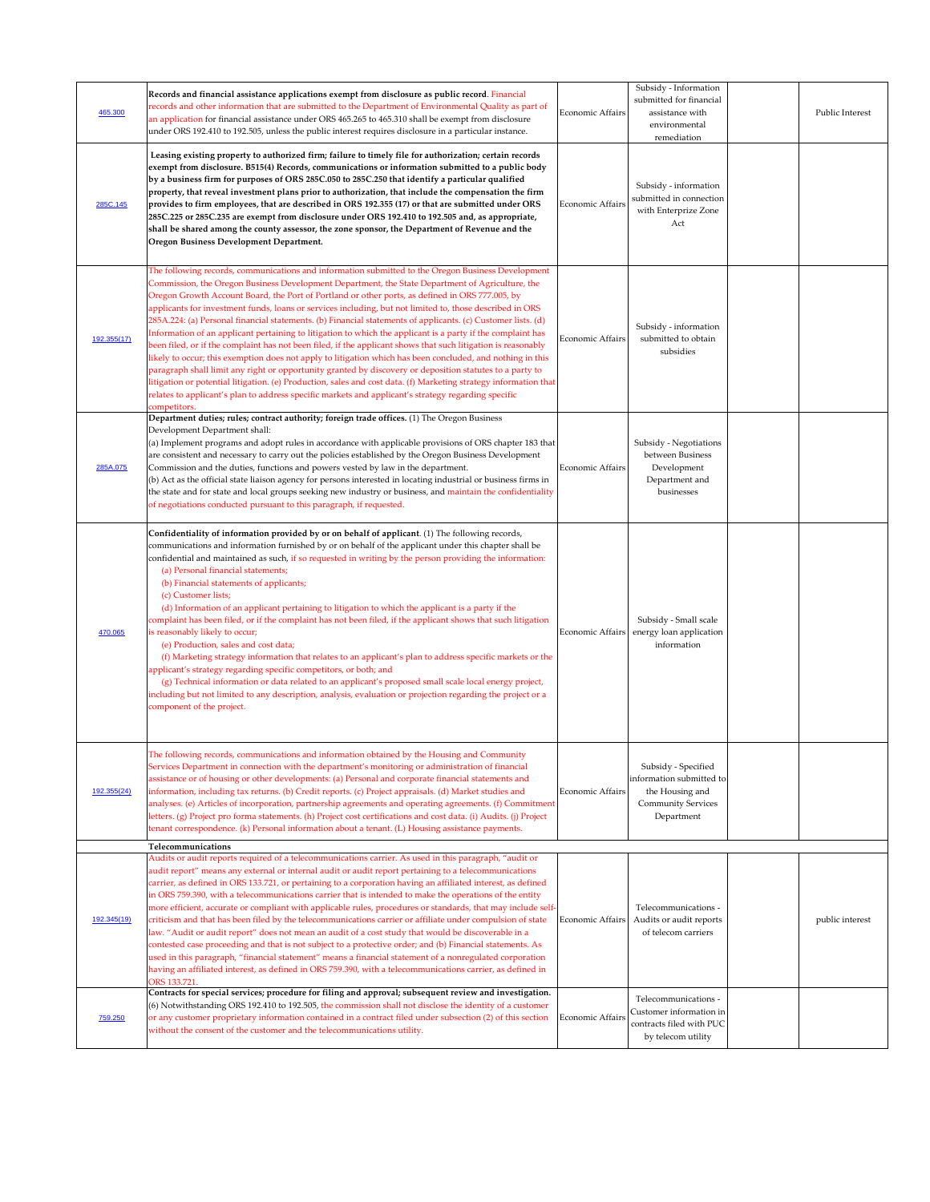| 465.300     | Records and financial assistance applications exempt from disclosure as public record. Financial<br>records and other information that are submitted to the Department of Environmental Quality as part of<br>an application for financial assistance under ORS 465.265 to 465.310 shall be exempt from disclosure<br>under ORS 192.410 to 192.505, unless the public interest requires disclosure in a particular instance.                                                                                                                                                                                                                                                                                                                                                                                                                                                                                                                                                                                                                                                                                                                                                                                                               | Economic Affairs        | Subsidy - Information<br>submitted for financial<br>assistance with<br>environmental<br>remediation           | Public Interest |
|-------------|--------------------------------------------------------------------------------------------------------------------------------------------------------------------------------------------------------------------------------------------------------------------------------------------------------------------------------------------------------------------------------------------------------------------------------------------------------------------------------------------------------------------------------------------------------------------------------------------------------------------------------------------------------------------------------------------------------------------------------------------------------------------------------------------------------------------------------------------------------------------------------------------------------------------------------------------------------------------------------------------------------------------------------------------------------------------------------------------------------------------------------------------------------------------------------------------------------------------------------------------|-------------------------|---------------------------------------------------------------------------------------------------------------|-----------------|
| 285C.145    | Leasing existing property to authorized firm; failure to timely file for authorization; certain records<br>exempt from disclosure. B515(4) Records, communications or information submitted to a public body<br>by a business firm for purposes of ORS 285C.050 to 285C.250 that identify a particular qualified<br>property, that reveal investment plans prior to authorization, that include the compensation the firm<br>provides to firm employees, that are described in ORS 192.355 (17) or that are submitted under ORS<br>285C.225 or 285C.235 are exempt from disclosure under ORS 192.410 to 192.505 and, as appropriate,<br>shall be shared among the county assessor, the zone sponsor, the Department of Revenue and the<br><b>Oregon Business Development Department.</b>                                                                                                                                                                                                                                                                                                                                                                                                                                                   | Economic Affairs        | Subsidy - information<br>submitted in connection<br>with Enterprize Zone<br>Act                               |                 |
| 192.355(17) | The following records, communications and information submitted to the Oregon Business Development<br>Commission, the Oregon Business Development Department, the State Department of Agriculture, the<br>Oregon Growth Account Board, the Port of Portland or other ports, as defined in ORS 777.005, by<br>applicants for investment funds, loans or services including, but not limited to, those described in ORS<br>285A.224: (a) Personal financial statements. (b) Financial statements of applicants. (c) Customer lists. (d)<br>Information of an applicant pertaining to litigation to which the applicant is a party if the complaint has<br>been filed, or if the complaint has not been filed, if the applicant shows that such litigation is reasonably<br>likely to occur; this exemption does not apply to litigation which has been concluded, and nothing in this<br>paragraph shall limit any right or opportunity granted by discovery or deposition statutes to a party to<br>litigation or potential litigation. (e) Production, sales and cost data. (f) Marketing strategy information that<br>relates to applicant's plan to address specific markets and applicant's strategy regarding specific<br>competitors. | Economic Affairs        | Subsidy - information<br>submitted to obtain<br>subsidies                                                     |                 |
| 285A.075    | Department duties; rules; contract authority; foreign trade offices. (1) The Oregon Business<br>Development Department shall:<br>(a) Implement programs and adopt rules in accordance with applicable provisions of ORS chapter 183 that<br>are consistent and necessary to carry out the policies established by the Oregon Business Development<br>Commission and the duties, functions and powers vested by law in the department.<br>(b) Act as the official state liaison agency for persons interested in locating industrial or business firms in<br>the state and for state and local groups seeking new industry or business, and maintain the confidentiality<br>of negotiations conducted pursuant to this paragraph, if requested.                                                                                                                                                                                                                                                                                                                                                                                                                                                                                             | Economic Affairs        | Subsidy - Negotiations<br>between Business<br>Development<br>Department and<br>businesses                     |                 |
| 470.065     | Confidentiality of information provided by or on behalf of applicant. (1) The following records,<br>communications and information furnished by or on behalf of the applicant under this chapter shall be<br>confidential and maintained as such, if so requested in writing by the person providing the information:<br>(a) Personal financial statements;<br>(b) Financial statements of applicants;<br>(c) Customer lists;<br>(d) Information of an applicant pertaining to litigation to which the applicant is a party if the<br>complaint has been filed, or if the complaint has not been filed, if the applicant shows that such litigation<br>is reasonably likely to occur;<br>(e) Production, sales and cost data;<br>(f) Marketing strategy information that relates to an applicant's plan to address specific markets or the<br>applicant's strategy regarding specific competitors, or both; and<br>(g) Technical information or data related to an applicant's proposed small scale local energy project,<br>including but not limited to any description, analysis, evaluation or projection regarding the project or a<br>component of the project.                                                                      | Economic Affairs        | Subsidy - Small scale<br>energy loan application<br>information                                               |                 |
| 192.355(24) | The following records, communications and information obtained by the Housing and Community<br>Services Department in connection with the department's monitoring or administration of financial<br>assistance or of housing or other developments: (a) Personal and corporate financial statements and<br>information, including tax returns. (b) Credit reports. (c) Project appraisals. (d) Market studies and<br>analyses. (e) Articles of incorporation, partnership agreements and operating agreements. (f) Commitment<br>letters. (g) Project pro forma statements. (h) Project cost certifications and cost data. (i) Audits. (j) Project<br>tenant correspondence. (k) Personal information about a tenant. (L) Housing assistance payments.<br>Telecommunications                                                                                                                                                                                                                                                                                                                                                                                                                                                               | Economic Affairs        | Subsidy - Specified<br>information submitted to<br>the Housing and<br><b>Community Services</b><br>Department |                 |
| 192.345(19) | Audits or audit reports required of a telecommunications carrier. As used in this paragraph, "audit or<br>audit report" means any external or internal audit or audit report pertaining to a telecommunications<br>carrier, as defined in ORS 133.721, or pertaining to a corporation having an affiliated interest, as defined<br>in ORS 759.390, with a telecommunications carrier that is intended to make the operations of the entity<br>more efficient, accurate or compliant with applicable rules, procedures or standards, that may include self-<br>criticism and that has been filed by the telecommunications carrier or affiliate under compulsion of state<br>law. "Audit or audit report" does not mean an audit of a cost study that would be discoverable in a<br>contested case proceeding and that is not subject to a protective order; and (b) Financial statements. As                                                                                                                                                                                                                                                                                                                                               | Economic Affairs        | Telecommunications -<br>Audits or audit reports<br>of telecom carriers                                        | public interest |
| 759.250     | used in this paragraph, "financial statement" means a financial statement of a nonregulated corporation<br>having an affiliated interest, as defined in ORS 759.390, with a telecommunications carrier, as defined in<br>ORS 133.721.<br>Contracts for special services; procedure for filing and approval; subsequent review and investigation.<br>(6) Notwithstanding ORS 192.410 to 192.505, the commission shall not disclose the identity of a customer<br>or any customer proprietary information contained in a contract filed under subsection (2) of this section<br>without the consent of the customer and the telecommunications utility.                                                                                                                                                                                                                                                                                                                                                                                                                                                                                                                                                                                      | <b>Economic Affairs</b> | Telecommunications -<br>Customer information in<br>contracts filed with PUC<br>by telecom utility             |                 |